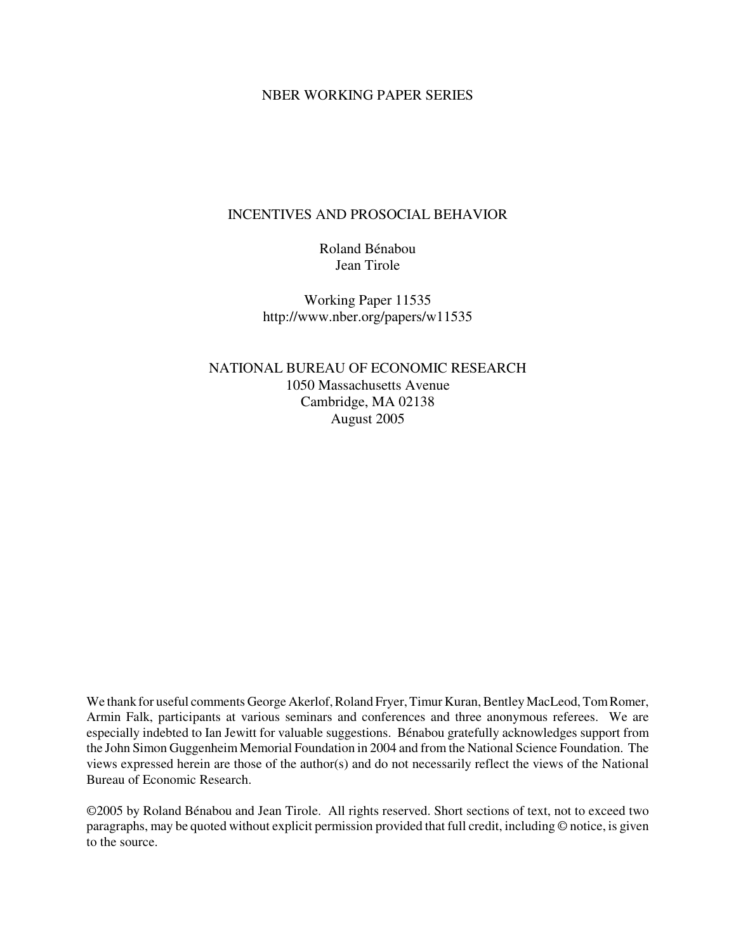## NBER WORKING PAPER SERIES

# INCENTIVES AND PROSOCIAL BEHAVIOR

Roland Bénabou Jean Tirole

Working Paper 11535 http://www.nber.org/papers/w11535

NATIONAL BUREAU OF ECONOMIC RESEARCH 1050 Massachusetts Avenue Cambridge, MA 02138 August 2005

We thank for useful comments George Akerlof, Roland Fryer, Timur Kuran, Bentley MacLeod, Tom Romer, Armin Falk, participants at various seminars and conferences and three anonymous referees. We are especially indebted to Ian Jewitt for valuable suggestions. Bénabou gratefully acknowledges support from the John Simon Guggenheim Memorial Foundation in 2004 and from the National Science Foundation. The views expressed herein are those of the author(s) and do not necessarily reflect the views of the National Bureau of Economic Research.

©2005 by Roland Bénabou and Jean Tirole. All rights reserved. Short sections of text, not to exceed two paragraphs, may be quoted without explicit permission provided that full credit, including © notice, is given to the source.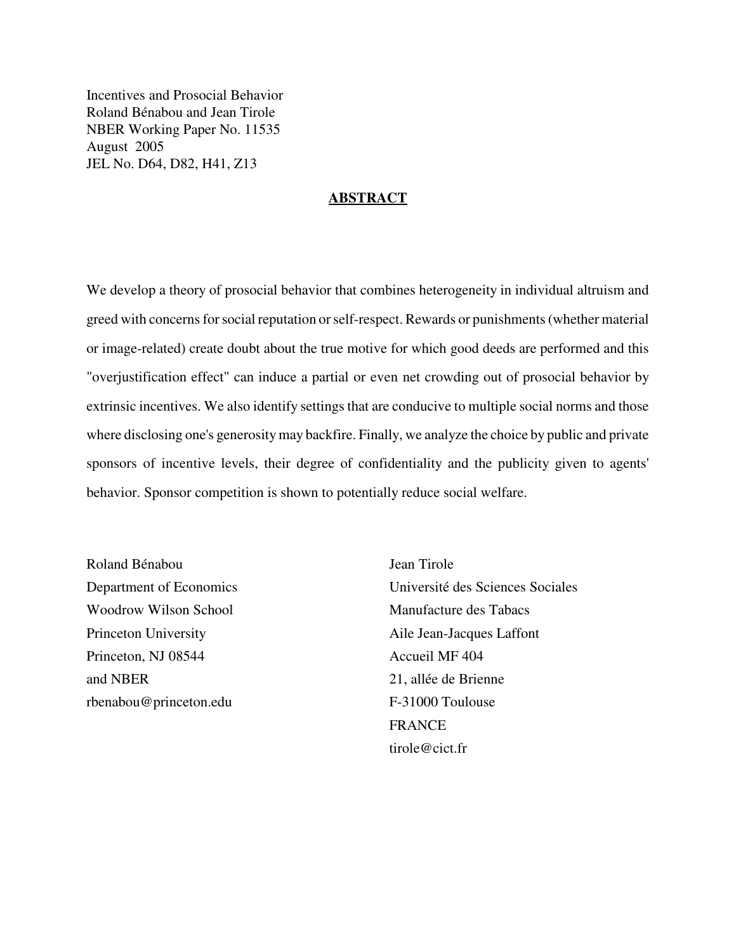Incentives and Prosocial Behavior Roland Bénabou and Jean Tirole NBER Working Paper No. 11535 August 2005 JEL No. D64, D82, H41, Z13

## **ABSTRACT**

We develop a theory of prosocial behavior that combines heterogeneity in individual altruism and greed with concerns for social reputation or self-respect. Rewards or punishments (whether material or image-related) create doubt about the true motive for which good deeds are performed and this "overjustification effect" can induce a partial or even net crowding out of prosocial behavior by extrinsic incentives. We also identify settings that are conducive to multiple social norms and those where disclosing one's generosity may backfire. Finally, we analyze the choice by public and private sponsors of incentive levels, their degree of confidentiality and the publicity given to agents' behavior. Sponsor competition is shown to potentially reduce social welfare.

Roland Bénabou Department of Economics Woodrow Wilson School Princeton University Princeton, NJ 08544 and NBER rbenabou@princeton.edu

Jean Tirole Université des Sciences Sociales Manufacture des Tabacs Aile Jean-Jacques Laffont Accueil MF 404 21, allée de Brienne F-31000 Toulouse FRANCE tirole@cict.fr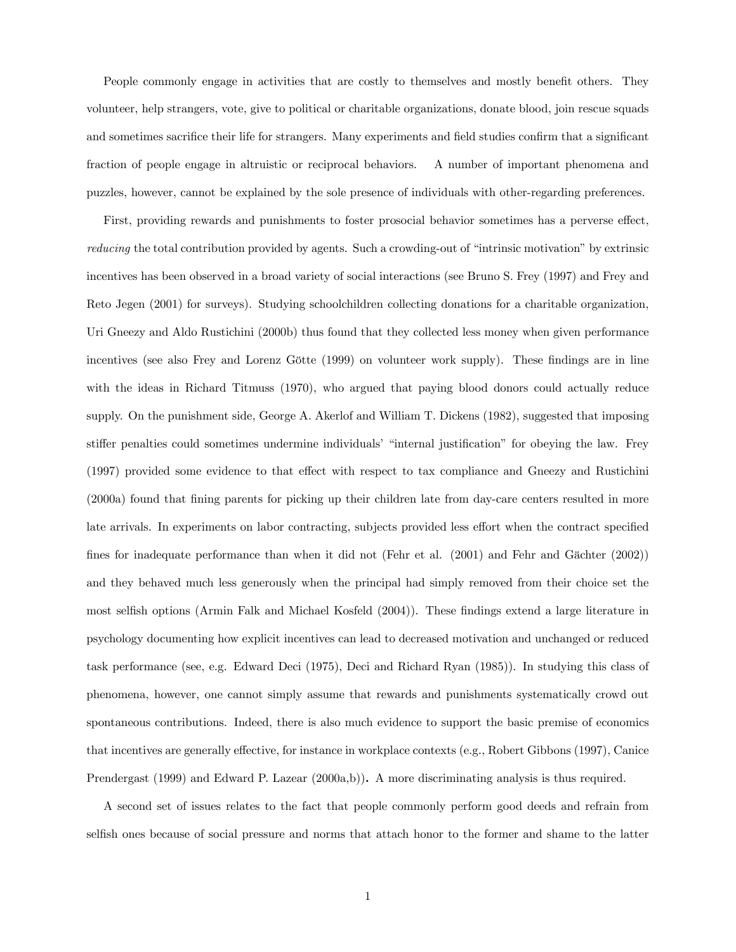People commonly engage in activities that are costly to themselves and mostly benefit others. They volunteer, help strangers, vote, give to political or charitable organizations, donate blood, join rescue squads and sometimes sacrifice their life for strangers. Many experiments and field studies confirm that a significant fraction of people engage in altruistic or reciprocal behaviors. A number of important phenomena and puzzles, however, cannot be explained by the sole presence of individuals with other-regarding preferences.

First, providing rewards and punishments to foster prosocial behavior sometimes has a perverse effect, reducing the total contribution provided by agents. Such a crowding-out of "intrinsic motivation" by extrinsic incentives has been observed in a broad variety of social interactions (see Bruno S. Frey (1997) and Frey and Reto Jegen (2001) for surveys). Studying schoolchildren collecting donations for a charitable organization, Uri Gneezy and Aldo Rustichini (2000b) thus found that they collected less money when given performance incentives (see also Frey and Lorenz Götte (1999) on volunteer work supply). These findings are in line with the ideas in Richard Titmuss (1970), who argued that paying blood donors could actually reduce supply. On the punishment side, George A. Akerlof and William T. Dickens (1982), suggested that imposing stiffer penalties could sometimes undermine individuals' "internal justification" for obeying the law. Frey (1997) provided some evidence to that effect with respect to tax compliance and Gneezy and Rustichini (2000a) found that fining parents for picking up their children late from day-care centers resulted in more late arrivals. In experiments on labor contracting, subjects provided less effort when the contract specified fines for inadequate performance than when it did not (Fehr et al. (2001) and Fehr and Gächter (2002)) and they behaved much less generously when the principal had simply removed from their choice set the most selfish options (Armin Falk and Michael Kosfeld (2004)). These findings extend a large literature in psychology documenting how explicit incentives can lead to decreased motivation and unchanged or reduced task performance (see, e.g. Edward Deci (1975), Deci and Richard Ryan (1985)). In studying this class of phenomena, however, one cannot simply assume that rewards and punishments systematically crowd out spontaneous contributions. Indeed, there is also much evidence to support the basic premise of economics that incentives are generally effective, for instance in workplace contexts (e.g., Robert Gibbons (1997), Canice Prendergast (1999) and Edward P. Lazear (2000a,b)). A more discriminating analysis is thus required.

A second set of issues relates to the fact that people commonly perform good deeds and refrain from selfish ones because of social pressure and norms that attach honor to the former and shame to the latter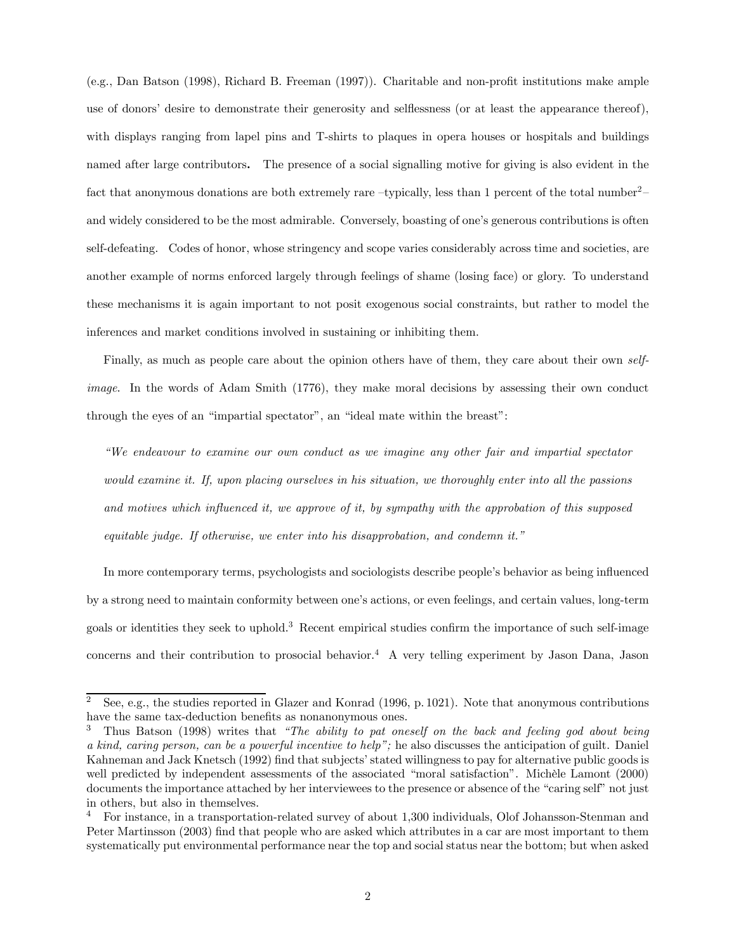(e.g., Dan Batson (1998), Richard B. Freeman (1997)). Charitable and non-profit institutions make ample use of donors' desire to demonstrate their generosity and selflessness (or at least the appearance thereof), with displays ranging from lapel pins and T-shirts to plaques in opera houses or hospitals and buildings named after large contributors. The presence of a social signalling motive for giving is also evident in the fact that anonymous donations are both extremely rare -typically, less than 1 percent of the total number<sup>2</sup>and widely considered to be the most admirable. Conversely, boasting of one's generous contributions is often self-defeating. Codes of honor, whose stringency and scope varies considerably across time and societies, are another example of norms enforced largely through feelings of shame (losing face) or glory. To understand these mechanisms it is again important to not posit exogenous social constraints, but rather to model the inferences and market conditions involved in sustaining or inhibiting them.

Finally, as much as people care about the opinion others have of them, they care about their own selfimage. In the words of Adam Smith (1776), they make moral decisions by assessing their own conduct through the eyes of an "impartial spectator", an "ideal mate within the breast":

"We endeavour to examine our own conduct as we imagine any other fair and impartial spectator would examine it. If, upon placing ourselves in his situation, we thoroughly enter into all the passions and motives which influenced it, we approve of it, by sympathy with the approbation of this supposed equitable judge. If otherwise, we enter into his disapprobation, and condemn it."

In more contemporary terms, psychologists and sociologists describe people's behavior as being influenced by a strong need to maintain conformity between one's actions, or even feelings, and certain values, long-term goals or identities they seek to uphold.<sup>3</sup> Recent empirical studies confirm the importance of such self-image concerns and their contribution to prosocial behavior.<sup>4</sup> A very telling experiment by Jason Dana, Jason

<sup>&</sup>lt;sup>2</sup> See, e.g., the studies reported in Glazer and Konrad (1996, p. 1021). Note that anonymous contributions have the same tax-deduction benefits as nonanonymous ones.

 $3$  Thus Batson (1998) writes that "The ability to pat oneself on the back and feeling god about being a kind, caring person, can be a powerful incentive to help"; he also discusses the anticipation of guilt. Daniel Kahneman and Jack Knetsch (1992) find that subjects' stated willingness to pay for alternative public goods is well predicted by independent assessments of the associated "moral satisfaction". Michèle Lamont (2000) documents the importance attached by her interviewees to the presence or absence of the "caring self" not just in others, but also in themselves.

<sup>4</sup> For instance, in a transportation-related survey of about 1,300 individuals, Olof Johansson-Stenman and Peter Martinsson (2003) find that people who are asked which attributes in a car are most important to them systematically put environmental performance near the top and social status near the bottom; but when asked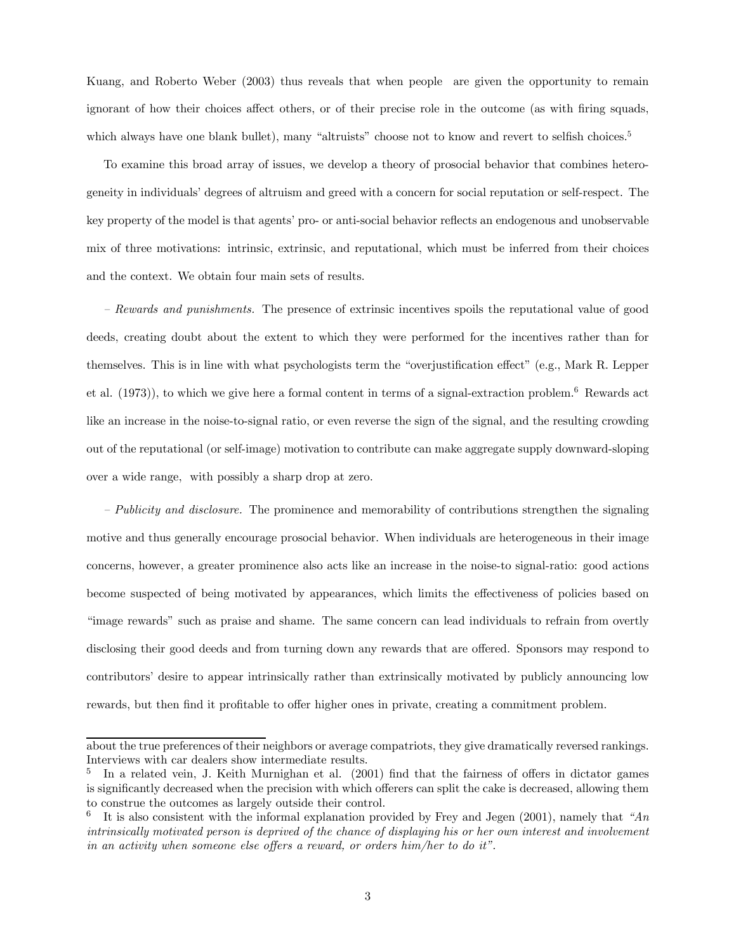Kuang, and Roberto Weber (2003) thus reveals that when people are given the opportunity to remain ignorant of how their choices affect others, or of their precise role in the outcome (as with firing squads, which always have one blank bullet), many "altruists" choose not to know and revert to selfish choices.<sup>5</sup>

To examine this broad array of issues, we develop a theory of prosocial behavior that combines heterogeneity in individuals' degrees of altruism and greed with a concern for social reputation or self-respect. The key property of the model is that agents' pro- or anti-social behavior reflects an endogenous and unobservable mix of three motivations: intrinsic, extrinsic, and reputational, which must be inferred from their choices and the context. We obtain four main sets of results.

— Rewards and punishments. The presence of extrinsic incentives spoils the reputational value of good deeds, creating doubt about the extent to which they were performed for the incentives rather than for themselves. This is in line with what psychologists term the "overjustification effect" (e.g., Mark R. Lepper et al. (1973)), to which we give here a formal content in terms of a signal-extraction problem.6 Rewards act like an increase in the noise-to-signal ratio, or even reverse the sign of the signal, and the resulting crowding out of the reputational (or self-image) motivation to contribute can make aggregate supply downward-sloping over a wide range, with possibly a sharp drop at zero.

 $P_{\text{sublicity}}$  and disclosure. The prominence and memorability of contributions strengthen the signaling motive and thus generally encourage prosocial behavior. When individuals are heterogeneous in their image concerns, however, a greater prominence also acts like an increase in the noise-to signal-ratio: good actions become suspected of being motivated by appearances, which limits the effectiveness of policies based on "image rewards" such as praise and shame. The same concern can lead individuals to refrain from overtly disclosing their good deeds and from turning down any rewards that are offered. Sponsors may respond to contributors' desire to appear intrinsically rather than extrinsically motivated by publicly announcing low rewards, but then find it profitable to offer higher ones in private, creating a commitment problem.

about the true preferences of their neighbors or average compatriots, they give dramatically reversed rankings. Interviews with car dealers show intermediate results.

<sup>5</sup> In a related vein, J. Keith Murnighan et al. (2001) find that the fairness of offers in dictator games is significantly decreased when the precision with which offerers can split the cake is decreased, allowing them to construe the outcomes as largely outside their control.

<sup>&</sup>lt;sup>6</sup> It is also consistent with the informal explanation provided by Frey and Jegen (2001), namely that "An intrinsically motivated person is deprived of the chance of displaying his or her own interest and involvement in an activity when someone else offers a reward, or orders him/her to do it".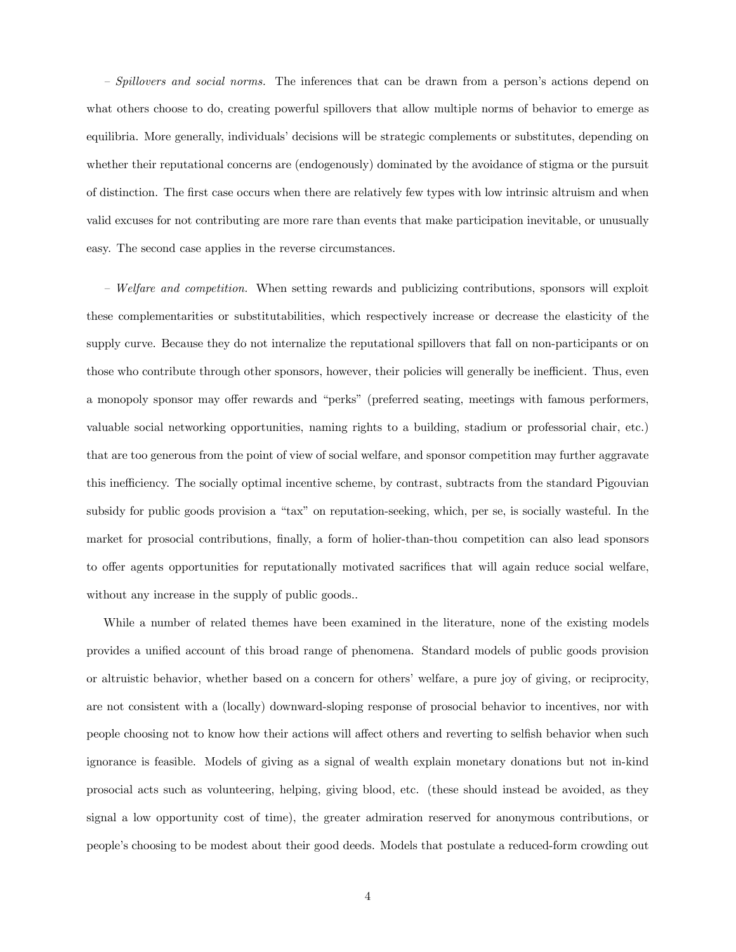– Spillovers and social norms. The inferences that can be drawn from a person's actions depend on what others choose to do, creating powerful spillovers that allow multiple norms of behavior to emerge as equilibria. More generally, individuals' decisions will be strategic complements or substitutes, depending on whether their reputational concerns are (endogenously) dominated by the avoidance of stigma or the pursuit of distinction. The first case occurs when there are relatively few types with low intrinsic altruism and when valid excuses for not contributing are more rare than events that make participation inevitable, or unusually easy. The second case applies in the reverse circumstances.

— Welfare and competition. When setting rewards and publicizing contributions, sponsors will exploit these complementarities or substitutabilities, which respectively increase or decrease the elasticity of the supply curve. Because they do not internalize the reputational spillovers that fall on non-participants or on those who contribute through other sponsors, however, their policies will generally be inefficient. Thus, even a monopoly sponsor may offer rewards and "perks" (preferred seating, meetings with famous performers, valuable social networking opportunities, naming rights to a building, stadium or professorial chair, etc.) that are too generous from the point of view of social welfare, and sponsor competition may further aggravate this inefficiency. The socially optimal incentive scheme, by contrast, subtracts from the standard Pigouvian subsidy for public goods provision a "tax" on reputation-seeking, which, per se, is socially wasteful. In the market for prosocial contributions, finally, a form of holier-than-thou competition can also lead sponsors to offer agents opportunities for reputationally motivated sacrifices that will again reduce social welfare, without any increase in the supply of public goods..

While a number of related themes have been examined in the literature, none of the existing models provides a unified account of this broad range of phenomena. Standard models of public goods provision or altruistic behavior, whether based on a concern for others' welfare, a pure joy of giving, or reciprocity, are not consistent with a (locally) downward-sloping response of prosocial behavior to incentives, nor with people choosing not to know how their actions will affect others and reverting to selfish behavior when such ignorance is feasible. Models of giving as a signal of wealth explain monetary donations but not in-kind prosocial acts such as volunteering, helping, giving blood, etc. (these should instead be avoided, as they signal a low opportunity cost of time), the greater admiration reserved for anonymous contributions, or people's choosing to be modest about their good deeds. Models that postulate a reduced-form crowding out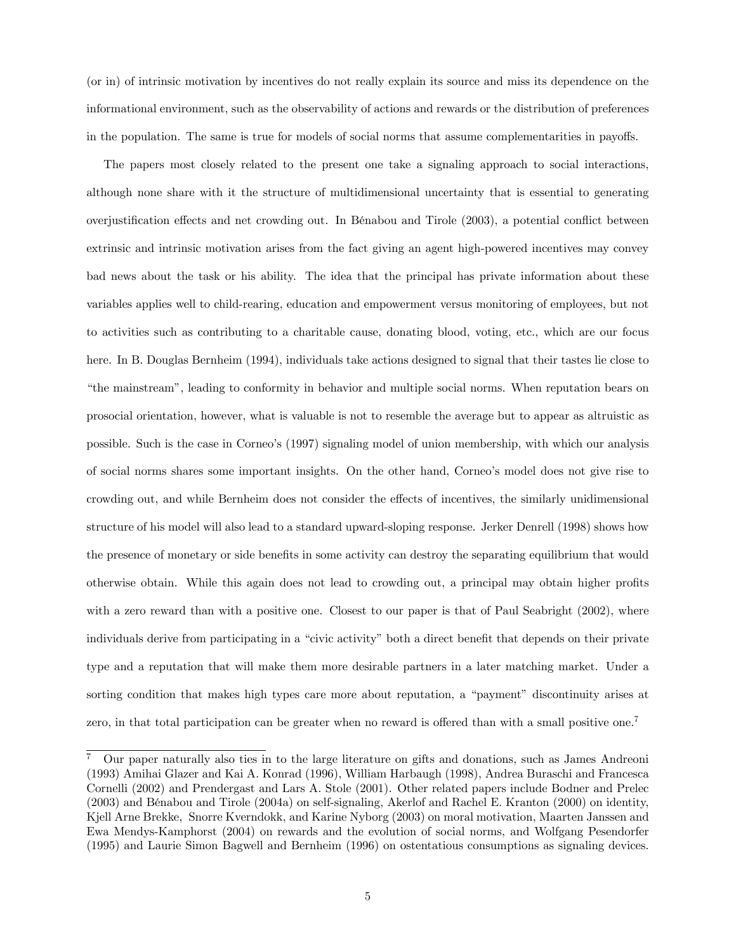(or in) of intrinsic motivation by incentives do not really explain its source and miss its dependence on the informational environment, such as the observability of actions and rewards or the distribution of preferences in the population. The same is true for models of social norms that assume complementarities in payoffs.

The papers most closely related to the present one take a signaling approach to social interactions, although none share with it the structure of multidimensional uncertainty that is essential to generating overjustification effects and net crowding out. In Bénabou and Tirole (2003), a potential conflict between extrinsic and intrinsic motivation arises from the fact giving an agent high-powered incentives may convey bad news about the task or his ability. The idea that the principal has private information about these variables applies well to child-rearing, education and empowerment versus monitoring of employees, but not to activities such as contributing to a charitable cause, donating blood, voting, etc., which are our focus here. In B. Douglas Bernheim (1994), individuals take actions designed to signal that their tastes lie close to "the mainstream", leading to conformity in behavior and multiple social norms. When reputation bears on prosocial orientation, however, what is valuable is not to resemble the average but to appear as altruistic as possible. Such is the case in Corneo's (1997) signaling model of union membership, with which our analysis of social norms shares some important insights. On the other hand, Corneo's model does not give rise to crowding out, and while Bernheim does not consider the effects of incentives, the similarly unidimensional structure of his model will also lead to a standard upward-sloping response. Jerker Denrell (1998) shows how the presence of monetary or side benefits in some activity can destroy the separating equilibrium that would otherwise obtain. While this again does not lead to crowding out, a principal may obtain higher profits with a zero reward than with a positive one. Closest to our paper is that of Paul Seabright (2002), where individuals derive from participating in a "civic activity" both a direct benefit that depends on their private type and a reputation that will make them more desirable partners in a later matching market. Under a sorting condition that makes high types care more about reputation, a "payment" discontinuity arises at zero, in that total participation can be greater when no reward is offered than with a small positive one.7

<sup>7</sup> Our paper naturally also ties in to the large literature on gifts and donations, such as James Andreoni (1993) Amihai Glazer and Kai A. Konrad (1996), William Harbaugh (1998), Andrea Buraschi and Francesca Cornelli (2002) and Prendergast and Lars A. Stole (2001). Other related papers include Bodner and Prelec (2003) and Bénabou and Tirole (2004a) on self-signaling, Akerlof and Rachel E. Kranton (2000) on identity, Kjell Arne Brekke, Snorre Kverndokk, and Karine Nyborg (2003) on moral motivation, Maarten Janssen and Ewa Mendys-Kamphorst (2004) on rewards and the evolution of social norms, and Wolfgang Pesendorfer (1995) and Laurie Simon Bagwell and Bernheim (1996) on ostentatious consumptions as signaling devices.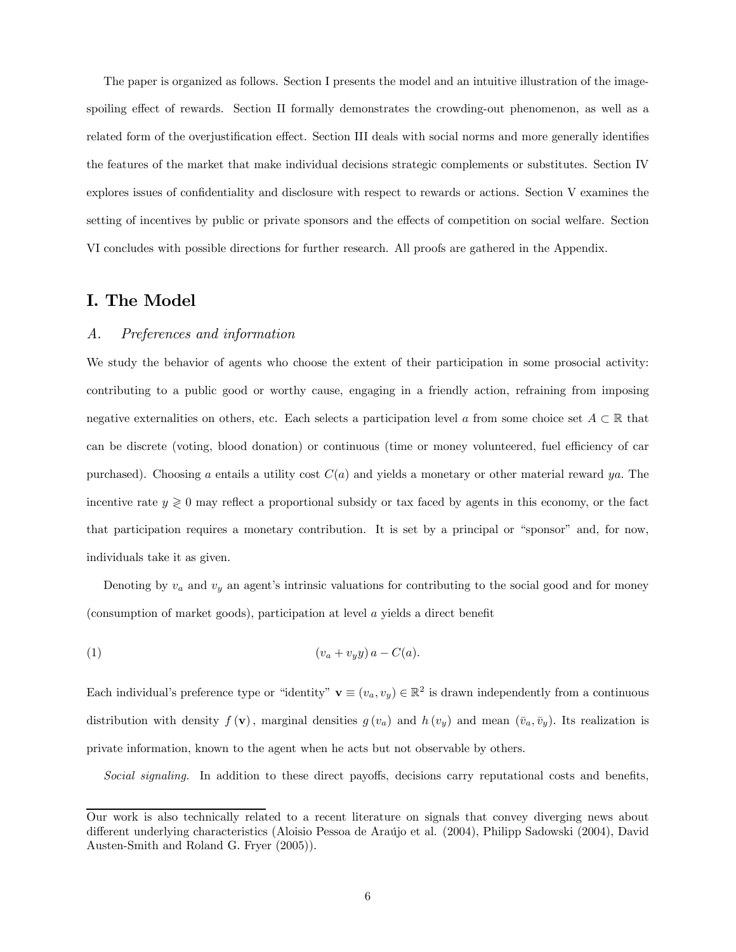The paper is organized as follows. Section I presents the model and an intuitive illustration of the imagespoiling effect of rewards. Section II formally demonstrates the crowding-out phenomenon, as well as a related form of the overjustification effect. Section III deals with social norms and more generally identifies the features of the market that make individual decisions strategic complements or substitutes. Section IV explores issues of confidentiality and disclosure with respect to rewards or actions. Section V examines the setting of incentives by public or private sponsors and the effects of competition on social welfare. Section VI concludes with possible directions for further research. All proofs are gathered in the Appendix.

# I. The Model

#### A. Preferences and information

We study the behavior of agents who choose the extent of their participation in some prosocial activity: contributing to a public good or worthy cause, engaging in a friendly action, refraining from imposing negative externalities on others, etc. Each selects a participation level a from some choice set  $A \subset \mathbb{R}$  that can be discrete (voting, blood donation) or continuous (time or money volunteered, fuel efficiency of car purchased). Choosing a entails a utility cost  $C(a)$  and yields a monetary or other material reward ya. The incentive rate  $y \geq 0$  may reflect a proportional subsidy or tax faced by agents in this economy, or the fact that participation requires a monetary contribution. It is set by a principal or "sponsor" and, for now, individuals take it as given.

Denoting by  $v_a$  and  $v_y$  an agent's intrinsic valuations for contributing to the social good and for money (consumption of market goods), participation at level a yields a direct benefit

$$
(1) \qquad (v_a + v_y y) a - C(a).
$$

Each individual's preference type or "identity"  $\mathbf{v} \equiv (v_a, v_y) \in \mathbb{R}^2$  is drawn independently from a continuous distribution with density  $f(\mathbf{v})$ , marginal densities  $g(v_a)$  and  $h(v_y)$  and mean  $(\bar{v}_a, \bar{v}_y)$ . Its realization is private information, known to the agent when he acts but not observable by others.

Social signaling. In addition to these direct payoffs, decisions carry reputational costs and benefits,

Our work is also technically related to a recent literature on signals that convey diverging news about different underlying characteristics (Aloisio Pessoa de Araújo et al. (2004), Philipp Sadowski (2004), David Austen-Smith and Roland G. Fryer (2005)).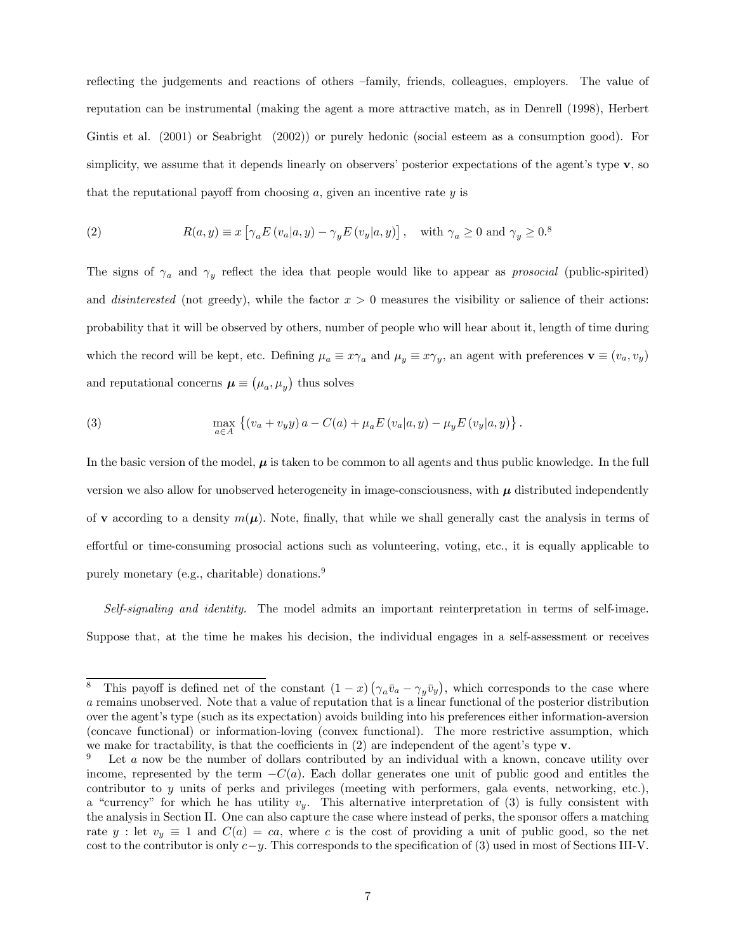reflecting the judgements and reactions of others —family, friends, colleagues, employers. The value of reputation can be instrumental (making the agent a more attractive match, as in Denrell (1998), Herbert Gintis et al. (2001) or Seabright (2002)) or purely hedonic (social esteem as a consumption good). For simplicity, we assume that it depends linearly on observers' posterior expectations of the agent's type v, so that the reputational payoff from choosing  $a$ , given an incentive rate  $y$  is

(2) 
$$
R(a,y) \equiv x \left[ \gamma_a E(v_a|a,y) - \gamma_y E(v_y|a,y) \right], \text{ with } \gamma_a \ge 0 \text{ and } \gamma_y \ge 0.
$$

The signs of  $\gamma_a$  and  $\gamma_y$  reflect the idea that people would like to appear as *prosocial* (public-spirited) and *disinterested* (not greedy), while the factor  $x > 0$  measures the visibility or salience of their actions: probability that it will be observed by others, number of people who will hear about it, length of time during which the record will be kept, etc. Defining  $\mu_a \equiv x\gamma_a$  and  $\mu_y \equiv x\gamma_y$ , an agent with preferences  $\mathbf{v} \equiv (v_a, v_y)$ and reputational concerns  $\boldsymbol{\mu} \equiv (\mu_a, \mu_y)$  thus solves

(3) 
$$
\max_{a \in A} \left\{ (v_a + v_y y) a - C(a) + \mu_a E(v_a | a, y) - \mu_y E(v_y | a, y) \right\}.
$$

In the basic version of the model,  $\mu$  is taken to be common to all agents and thus public knowledge. In the full version we also allow for unobserved heterogeneity in image-consciousness, with  $\mu$  distributed independently of **v** according to a density  $m(\mu)$ . Note, finally, that while we shall generally cast the analysis in terms of effortful or time-consuming prosocial actions such as volunteering, voting, etc., it is equally applicable to purely monetary (e.g., charitable) donations.<sup>9</sup>

Self-signaling and identity. The model admits an important reinterpretation in terms of self-image. Suppose that, at the time he makes his decision, the individual engages in a self-assessment or receives

<sup>&</sup>lt;sup>8</sup> This payoff is defined net of the constant  $(1-x)(\gamma_a\bar{v}_a-\gamma_y\bar{v}_y)$ , which corresponds to the case where a remains unobserved. Note that a value of reputation that is a linear functional of the posterior distribution over the agent's type (such as its expectation) avoids building into his preferences either information-aversion (concave functional) or information-loving (convex functional). The more restrictive assumption, which we make for tractability, is that the coefficients in  $(2)$  are independent of the agent's type **v**.

<sup>&</sup>lt;sup>9</sup> Let a now be the number of dollars contributed by an individual with a known, concave utility over income, represented by the term  $-C(a)$ . Each dollar generates one unit of public good and entitles the contributor to y units of perks and privileges (meeting with performers, gala events, networking, etc.), a "currency" for which he has utility  $v_y$ . This alternative interpretation of (3) is fully consistent with the analysis in Section II. One can also capture the case where instead of perks, the sponsor offers a matching rate y : let  $v_y \equiv 1$  and  $C(a) = ca$ , where c is the cost of providing a unit of public good, so the net cost to the contributor is only  $c-y$ . This corresponds to the specification of (3) used in most of Sections III-V.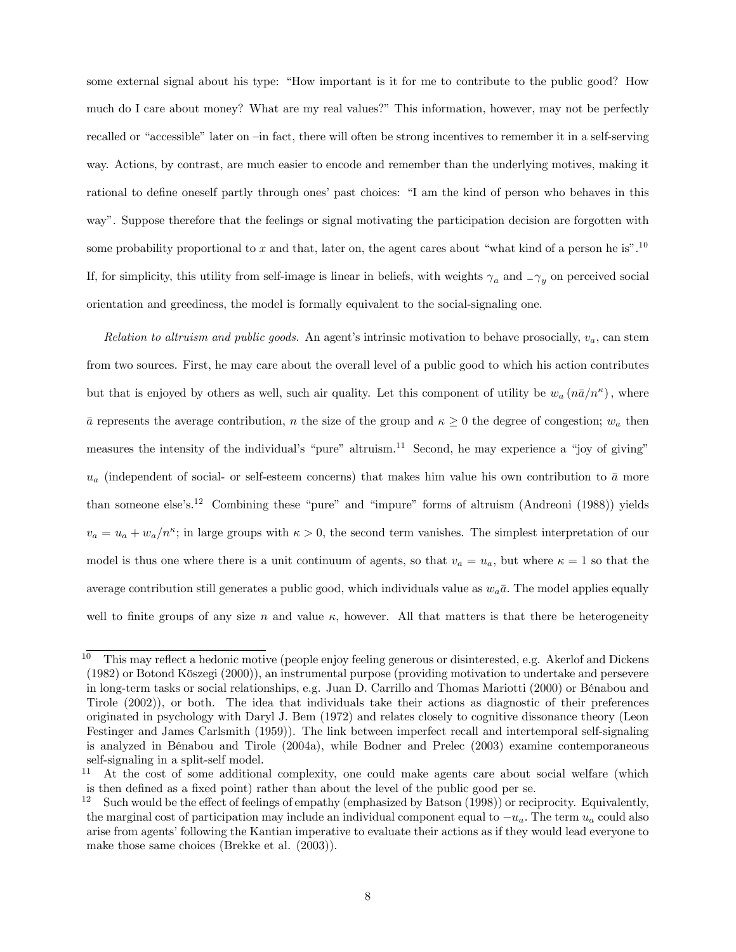some external signal about his type: "How important is it for me to contribute to the public good? How much do I care about money? What are my real values?" This information, however, may not be perfectly recalled or "accessible" later on —in fact, there will often be strong incentives to remember it in a self-serving way. Actions, by contrast, are much easier to encode and remember than the underlying motives, making it rational to define oneself partly through ones' past choices: "I am the kind of person who behaves in this way". Suppose therefore that the feelings or signal motivating the participation decision are forgotten with some probability proportional to x and that, later on, the agent cares about "what kind of a person he is".<sup>10</sup> If, for simplicity, this utility from self-image is linear in beliefs, with weights  $\gamma_a$  and  $-\gamma_y$  on perceived social orientation and greediness, the model is formally equivalent to the social-signaling one.

Relation to altruism and public goods. An agent's intrinsic motivation to behave prosocially,  $v_a$ , can stem from two sources. First, he may care about the overall level of a public good to which his action contributes but that is enjoyed by others as well, such air quality. Let this component of utility be  $w_a (n\bar{a}/n^{\kappa})$ , where  $\bar{a}$  represents the average contribution, n the size of the group and  $\kappa \geq 0$  the degree of congestion;  $w_a$  then measures the intensity of the individual's "pure" altruism.<sup>11</sup> Second, he may experience a "joy of giving"  $u_a$  (independent of social- or self-esteem concerns) that makes him value his own contribution to  $\bar{a}$  more than someone else's.12 Combining these "pure" and "impure" forms of altruism (Andreoni (1988)) yields  $v_a = u_a + w_a/n^{\kappa}$ ; in large groups with  $\kappa > 0$ , the second term vanishes. The simplest interpretation of our model is thus one where there is a unit continuum of agents, so that  $v_a = u_a$ , but where  $\kappa = 1$  so that the average contribution still generates a public good, which individuals value as  $w_a\bar{a}$ . The model applies equally well to finite groups of any size n and value  $\kappa$ , however. All that matters is that there be heterogeneity

<sup>&</sup>lt;sup>10</sup> This may reflect a hedonic motive (people enjoy feeling generous or disinterested, e.g. Akerlof and Dickens (1982) or Botond Köszegi (2000)), an instrumental purpose (providing motivation to undertake and persevere in long-term tasks or social relationships, e.g. Juan D. Carrillo and Thomas Mariotti (2000) or Bénabou and Tirole (2002)), or both. The idea that individuals take their actions as diagnostic of their preferences originated in psychology with Daryl J. Bem (1972) and relates closely to cognitive dissonance theory (Leon Festinger and James Carlsmith (1959)). The link between imperfect recall and intertemporal self-signaling is analyzed in Bénabou and Tirole (2004a), while Bodner and Prelec (2003) examine contemporaneous self-signaling in a split-self model.<br> $^{11}$  At the cost of some additions

At the cost of some additional complexity, one could make agents care about social welfare (which is then defined as a fixed point) rather than about the level of the public good per se.<br> $\frac{12}{12}$  Such would be the effect of feelings of empathy (emphasized by Batson (1998)) or reci-

<sup>12</sup> Such would be the effect of feelings of empathy (emphasized by Batson (1998)) or reciprocity. Equivalently, the marginal cost of participation may include an individual component equal to  $-u_a$ . The term  $u_a$  could also arise from agents' following the Kantian imperative to evaluate their actions as if they would lead everyone to make those same choices (Brekke et al. (2003)).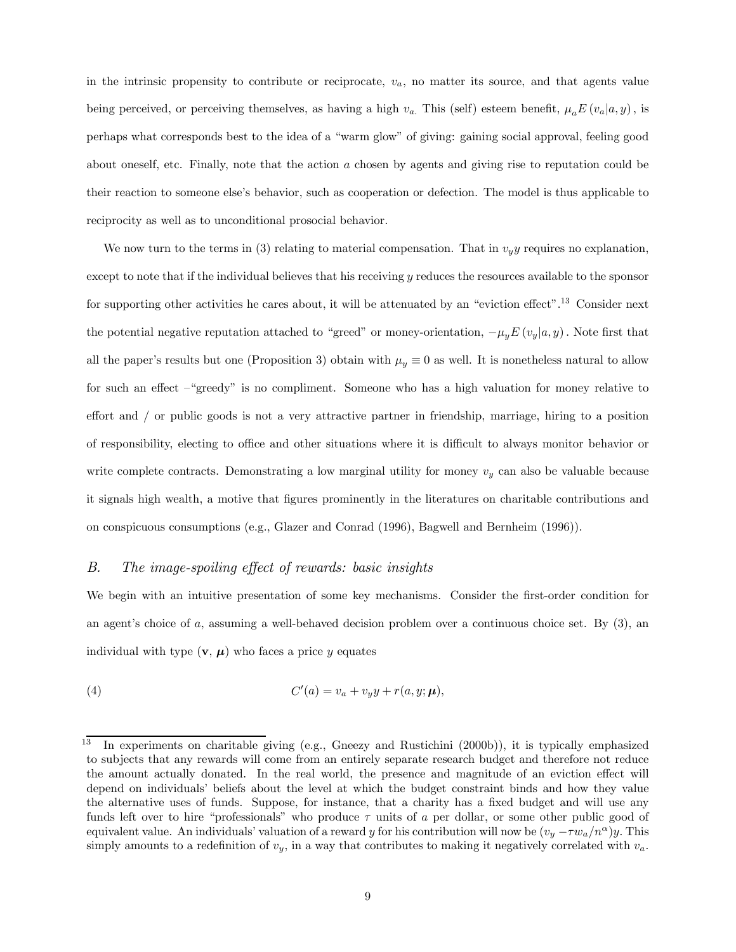in the intrinsic propensity to contribute or reciprocate,  $v_a$ , no matter its source, and that agents value being perceived, or perceiving themselves, as having a high  $v_a$ . This (self) esteem benefit,  $\mu_a E(v_a|a, y)$ , is perhaps what corresponds best to the idea of a "warm glow" of giving: gaining social approval, feeling good about oneself, etc. Finally, note that the action a chosen by agents and giving rise to reputation could be their reaction to someone else's behavior, such as cooperation or defection. The model is thus applicable to reciprocity as well as to unconditional prosocial behavior.

We now turn to the terms in (3) relating to material compensation. That in  $v_y y$  requires no explanation, except to note that if the individual believes that his receiving y reduces the resources available to the sponsor for supporting other activities he cares about, it will be attenuated by an "eviction effect".13 Consider next the potential negative reputation attached to "greed" or money-orientation,  $-\mu_y E(v_y|a, y)$ . Note first that all the paper's results but one (Proposition 3) obtain with  $\mu_y \equiv 0$  as well. It is nonetheless natural to allow for such an effect —"greedy" is no compliment. Someone who has a high valuation for money relative to effort and / or public goods is not a very attractive partner in friendship, marriage, hiring to a position of responsibility, electing to office and other situations where it is difficult to always monitor behavior or write complete contracts. Demonstrating a low marginal utility for money  $v_y$  can also be valuable because it signals high wealth, a motive that figures prominently in the literatures on charitable contributions and on conspicuous consumptions (e.g., Glazer and Conrad (1996), Bagwell and Bernheim (1996)).

### B. The image-spoiling effect of rewards: basic insights

We begin with an intuitive presentation of some key mechanisms. Consider the first-order condition for an agent's choice of a, assuming a well-behaved decision problem over a continuous choice set. By (3), an individual with type  $(v, \mu)$  who faces a price y equates

(4) 
$$
C'(a) = v_a + v_y y + r(a, y; \mu),
$$

In experiments on charitable giving (e.g., Gneezy and Rustichini (2000b)), it is typically emphasized to subjects that any rewards will come from an entirely separate research budget and therefore not reduce the amount actually donated. In the real world, the presence and magnitude of an eviction effect will depend on individuals' beliefs about the level at which the budget constraint binds and how they value the alternative uses of funds. Suppose, for instance, that a charity has a fixed budget and will use any funds left over to hire "professionals" who produce  $\tau$  units of a per dollar, or some other public good of equivalent value. An individuals' valuation of a reward y for his contribution will now be  $(v_y - \tau w_a/n^{\alpha})y$ . This simply amounts to a redefinition of  $v_y$ , in a way that contributes to making it negatively correlated with  $v_a$ .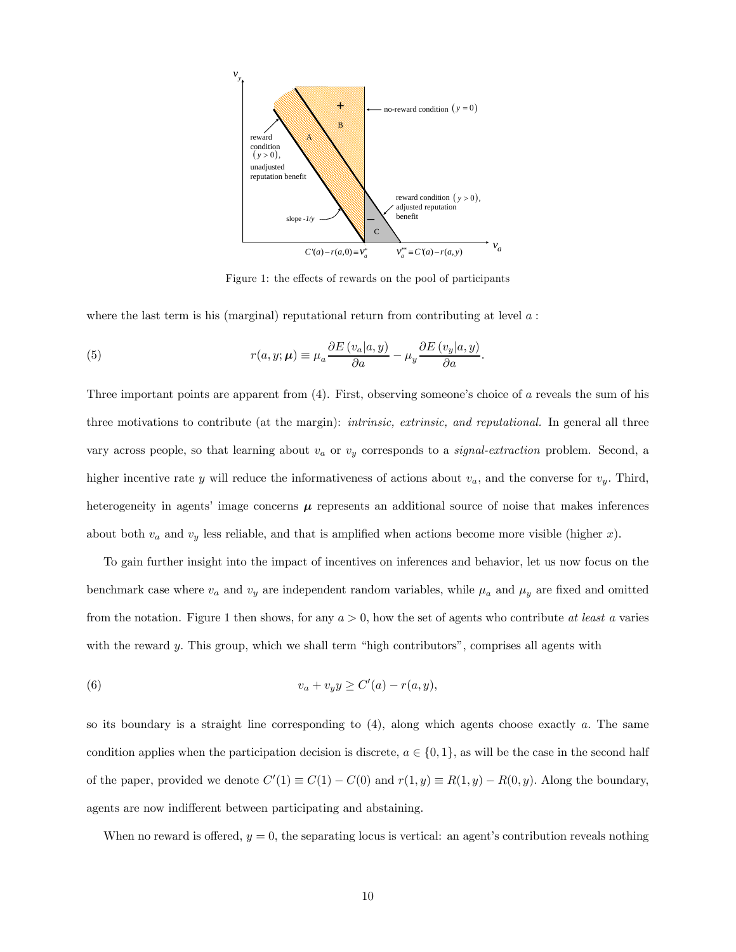

Figure 1: the effects of rewards on the pool of participants

where the last term is his (marginal) reputational return from contributing at level  $a$ :

(5) 
$$
r(a, y; \mu) \equiv \mu_a \frac{\partial E(v_a|a, y)}{\partial a} - \mu_y \frac{\partial E(v_y|a, y)}{\partial a}.
$$

Three important points are apparent from (4). First, observing someone's choice of a reveals the sum of his three motivations to contribute (at the margin): *intrinsic, extrinsic, and reputational*. In general all three vary across people, so that learning about  $v_a$  or  $v_y$  corresponds to a *signal-extraction* problem. Second, a higher incentive rate y will reduce the informativeness of actions about  $v_a$ , and the converse for  $v_y$ . Third, heterogeneity in agents' image concerns  $\mu$  represents an additional source of noise that makes inferences about both  $v_a$  and  $v_y$  less reliable, and that is amplified when actions become more visible (higher x).

To gain further insight into the impact of incentives on inferences and behavior, let us now focus on the benchmark case where  $v_a$  and  $v_y$  are independent random variables, while  $\mu_a$  and  $\mu_y$  are fixed and omitted from the notation. Figure 1 then shows, for any  $a > 0$ , how the set of agents who contribute at least a varies with the reward  $y$ . This group, which we shall term "high contributors", comprises all agents with

(6) 
$$
v_a + v_y y \ge C'(a) - r(a, y),
$$

so its boundary is a straight line corresponding to  $(4)$ , along which agents choose exactly a. The same condition applies when the participation decision is discrete,  $a \in \{0, 1\}$ , as will be the case in the second half of the paper, provided we denote  $C'(1) \equiv C(1) - C(0)$  and  $r(1, y) \equiv R(1, y) - R(0, y)$ . Along the boundary, agents are now indifferent between participating and abstaining.

When no reward is offered,  $y = 0$ , the separating locus is vertical: an agent's contribution reveals nothing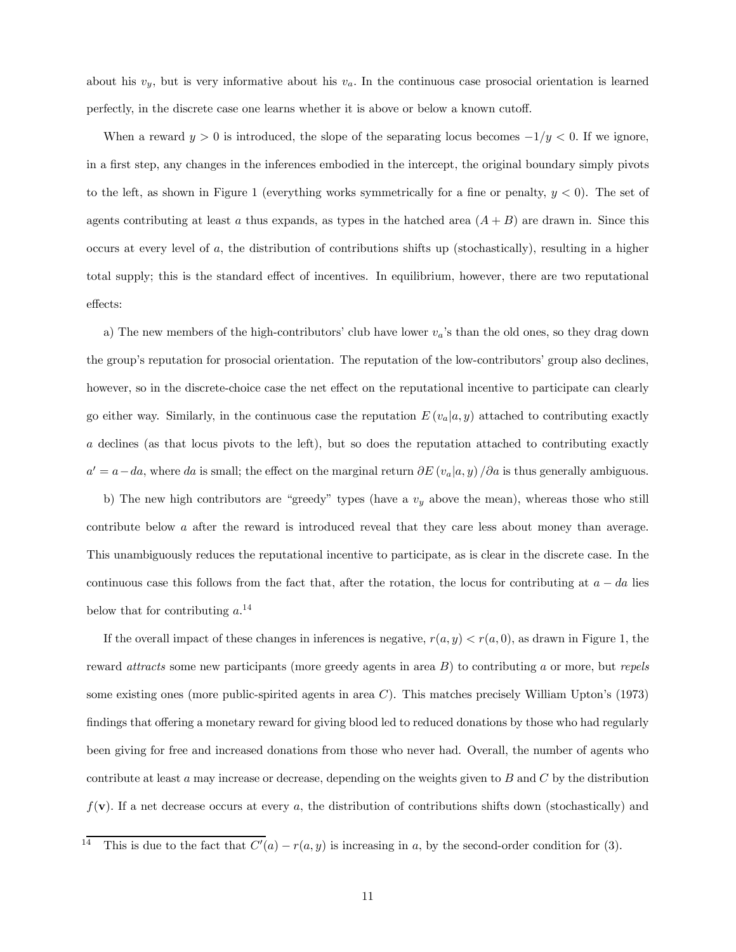about his  $v_y$ , but is very informative about his  $v_a$ . In the continuous case prosocial orientation is learned perfectly, in the discrete case one learns whether it is above or below a known cutoff.

When a reward  $y > 0$  is introduced, the slope of the separating locus becomes  $-1/y < 0$ . If we ignore, in a first step, any changes in the inferences embodied in the intercept, the original boundary simply pivots to the left, as shown in Figure 1 (everything works symmetrically for a fine or penalty,  $y < 0$ ). The set of agents contributing at least a thus expands, as types in the hatched area  $(A + B)$  are drawn in. Since this occurs at every level of a, the distribution of contributions shifts up (stochastically), resulting in a higher total supply; this is the standard effect of incentives. In equilibrium, however, there are two reputational effects:

a) The new members of the high-contributors' club have lower  $v_a$ 's than the old ones, so they drag down the group's reputation for prosocial orientation. The reputation of the low-contributors' group also declines, however, so in the discrete-choice case the net effect on the reputational incentive to participate can clearly go either way. Similarly, in the continuous case the reputation  $E(v_a|a, y)$  attached to contributing exactly a declines (as that locus pivots to the left), but so does the reputation attached to contributing exactly  $a' = a - da$ , where da is small; the effect on the marginal return  $\partial E (v_a | a, y) / \partial a$  is thus generally ambiguous.

b) The new high contributors are "greedy" types (have a  $v_y$  above the mean), whereas those who still contribute below a after the reward is introduced reveal that they care less about money than average. This unambiguously reduces the reputational incentive to participate, as is clear in the discrete case. In the continuous case this follows from the fact that, after the rotation, the locus for contributing at  $a - da$  lies below that for contributing  $a^{14}$ 

If the overall impact of these changes in inferences is negative,  $r(a, y) < r(a, 0)$ , as drawn in Figure 1, the reward attracts some new participants (more greedy agents in area B) to contributing a or more, but repels some existing ones (more public-spirited agents in area  $C$ ). This matches precisely William Upton's (1973) findings that offering a monetary reward for giving blood led to reduced donations by those who had regularly been giving for free and increased donations from those who never had. Overall, the number of agents who contribute at least a may increase or decrease, depending on the weights given to B and C by the distribution  $f(\mathbf{v})$ . If a net decrease occurs at every a, the distribution of contributions shifts down (stochastically) and

<sup>&</sup>lt;sup>14</sup> This is due to the fact that  $C'(a) - r(a, y)$  is increasing in a, by the second-order condition for (3).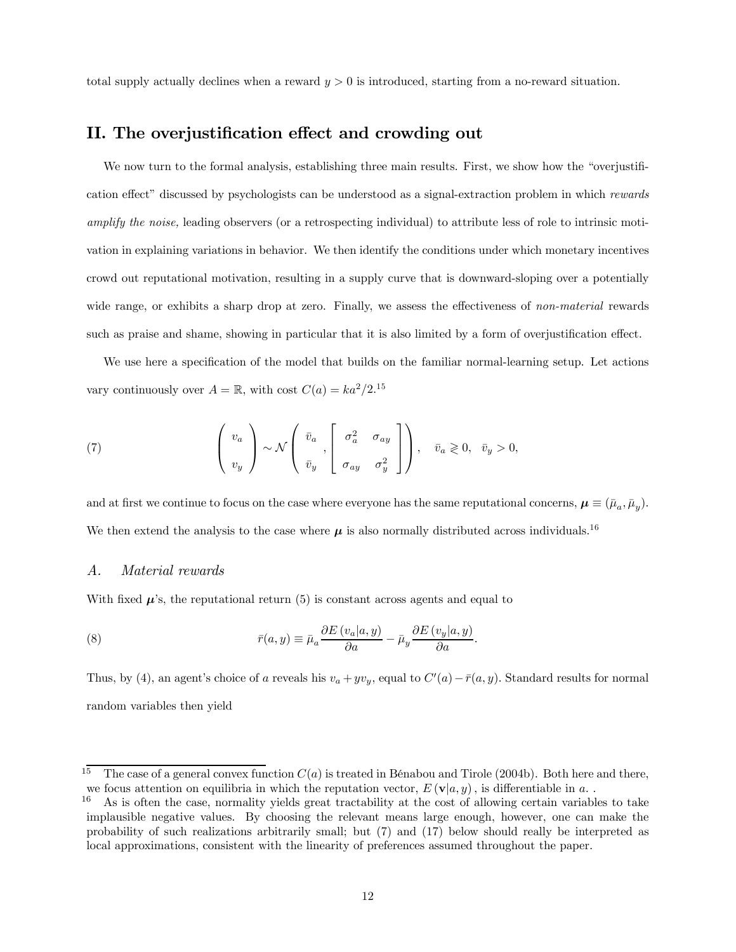total supply actually declines when a reward  $y > 0$  is introduced, starting from a no-reward situation.

# II. The overjustification effect and crowding out

We now turn to the formal analysis, establishing three main results. First, we show how the "overjustification effect" discussed by psychologists can be understood as a signal-extraction problem in which rewards amplify the noise, leading observers (or a retrospecting individual) to attribute less of role to intrinsic motivation in explaining variations in behavior. We then identify the conditions under which monetary incentives crowd out reputational motivation, resulting in a supply curve that is downward-sloping over a potentially wide range, or exhibits a sharp drop at zero. Finally, we assess the effectiveness of non-material rewards such as praise and shame, showing in particular that it is also limited by a form of overjustification effect.

We use here a specification of the model that builds on the familiar normal-learning setup. Let actions vary continuously over  $A = \mathbb{R}$ , with cost  $C(a) = ka^2/2$ .<sup>15</sup>

(7) 
$$
\begin{pmatrix} v_a \\ v_y \end{pmatrix} \sim \mathcal{N} \begin{pmatrix} \bar{v}_a \\ \bar{v}_y \end{pmatrix} \begin{pmatrix} \sigma_a^2 & \sigma_{ay} \\ \sigma_{ay} & \sigma_y^2 \end{pmatrix}, \quad \bar{v}_a \geq 0, \quad \bar{v}_y > 0,
$$

and at first we continue to focus on the case where everyone has the same reputational concerns,  $\mu \equiv (\bar{\mu}_a, \bar{\mu}_y)$ . We then extend the analysis to the case where  $\mu$  is also normally distributed across individuals.<sup>16</sup>

#### A. Material rewards

With fixed  $\mu$ 's, the reputational return  $(5)$  is constant across agents and equal to

(8) 
$$
\bar{r}(a, y) \equiv \bar{\mu}_a \frac{\partial E(v_a|a, y)}{\partial a} - \bar{\mu}_y \frac{\partial E(v_y|a, y)}{\partial a}.
$$

Thus, by (4), an agent's choice of a reveals his  $v_a + yv_y$ , equal to  $C'(a) - \bar{r}(a, y)$ . Standard results for normal random variables then yield

<sup>&</sup>lt;sup>5</sup> The case of a general convex function  $C(a)$  is treated in Bénabou and Tirole (2004b). Both here and there, we focus attention on equilibria in which the reputation vector,  $E(\mathbf{v}|a, y)$ , is differentiable in a.

 $^{16}$  As is often the case, normality yields great tractability at the cost of allowing certain variables to take implausible negative values. By choosing the relevant means large enough, however, one can make the probability of such realizations arbitrarily small; but (7) and (17) below should really be interpreted as local approximations, consistent with the linearity of preferences assumed throughout the paper.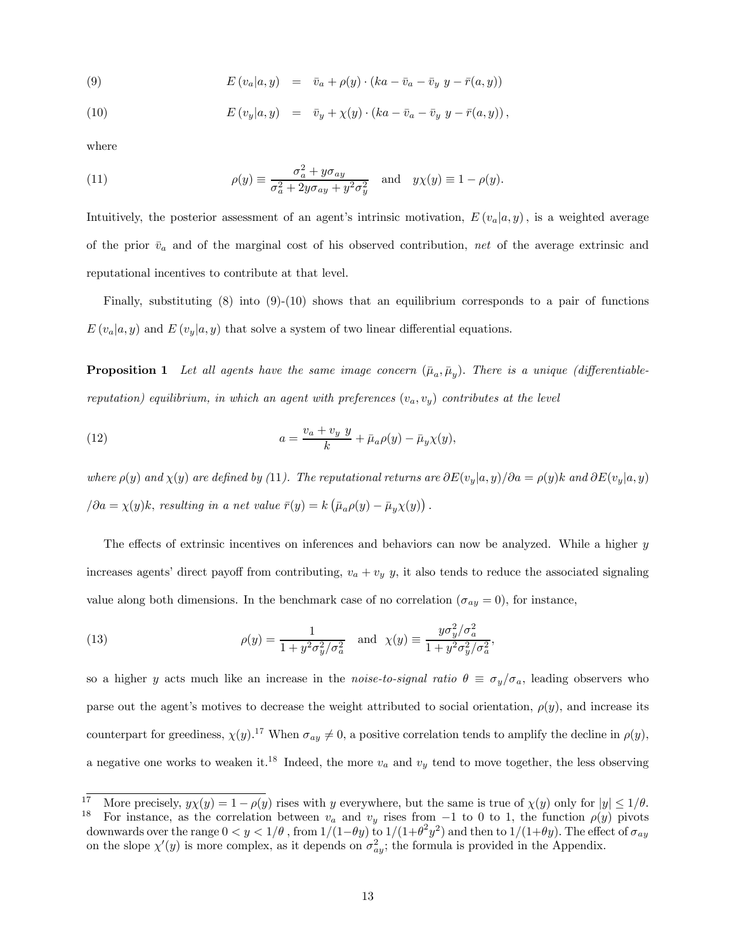(9) 
$$
E(v_a|a,y) = \overline{v}_a + \rho(y) \cdot (ka - \overline{v}_a - \overline{v}_y y - \overline{r}(a,y))
$$

(10) 
$$
E(v_y|a,y) = \overline{v}_y + \chi(y) \cdot (ka - \overline{v}_a - \overline{v}_y y - \overline{r}(a,y)),
$$

where

(11) 
$$
\rho(y) \equiv \frac{\sigma_a^2 + y \sigma_{ay}}{\sigma_a^2 + 2y \sigma_{ay} + y^2 \sigma_y^2} \quad \text{and} \quad y\chi(y) \equiv 1 - \rho(y).
$$

Intuitively, the posterior assessment of an agent's intrinsic motivation,  $E(v_a|a, y)$ , is a weighted average of the prior  $\bar{v}_a$  and of the marginal cost of his observed contribution, net of the average extrinsic and reputational incentives to contribute at that level.

Finally, substituting  $(8)$  into  $(9)-(10)$  shows that an equilibrium corresponds to a pair of functions  $E(v_a|a, y)$  and  $E(v_y|a, y)$  that solve a system of two linear differential equations.

**Proposition 1** Let all agents have the same image concern  $(\bar{\mu}_a, \bar{\mu}_y)$ . There is a unique (differentiablereputation) equilibrium, in which an agent with preferences  $(v_a, v_y)$  contributes at the level

(12) 
$$
a = \frac{v_a + v_y y}{k} + \bar{\mu}_a \rho(y) - \bar{\mu}_y \chi(y),
$$

where  $\rho(y)$  and  $\chi(y)$  are defined by (11). The reputational returns are  $\partial E(v_y|a, y)/\partial a = \rho(y)k$  and  $\partial E(v_y|a, y)$  $\sqrt{\partial a} = \chi(y)k$ , resulting in a net value  $\bar{r}(y) = k(\bar{\mu}_a \rho(y) - \bar{\mu}_y \chi(y))$ .

The effects of extrinsic incentives on inferences and behaviors can now be analyzed. While a higher y increases agents' direct payoff from contributing,  $v_a + v_y$ , it also tends to reduce the associated signaling value along both dimensions. In the benchmark case of no correlation ( $\sigma_{ay} = 0$ ), for instance,

(13) 
$$
\rho(y) = \frac{1}{1 + y^2 \sigma_y^2 / \sigma_a^2} \text{ and } \chi(y) \equiv \frac{y \sigma_y^2 / \sigma_a^2}{1 + y^2 \sigma_y^2 / \sigma_a^2},
$$

so a higher y acts much like an increase in the *noise-to-signal ratio*  $\theta \equiv \sigma_y/\sigma_a$ , leading observers who parse out the agent's motives to decrease the weight attributed to social orientation,  $\rho(y)$ , and increase its counterpart for greediness,  $\chi(y)$ .<sup>17</sup> When  $\sigma_{ay} \neq 0$ , a positive correlation tends to amplify the decline in  $\rho(y)$ , a negative one works to weaken it.<sup>18</sup> Indeed, the more  $v_a$  and  $v_y$  tend to move together, the less observing

<sup>&</sup>lt;sup>17</sup> More precisely,  $y\chi(y)=1-\rho(y)$  rises with y everywhere, but the same is true of  $\chi(y)$  only for  $|y| \leq 1/\theta$ . <sup>18</sup> For instance, as the correlation between  $v_a$  and  $v_y$  rises from −1 to 0 to 1, the function  $\rho(y)$  pivots downwards over the range  $0 < y < 1/\theta$ , from  $1/(1-\theta y)$  to  $1/(1+\theta^2 y^2)$  and then to  $1/(1+\theta y)$ . The effect of  $\sigma_{ay}$ on the slope  $\chi'(y)$  is more complex, as it depends on  $\sigma_{ay}^2$ ; the formula is provided in the Appendix.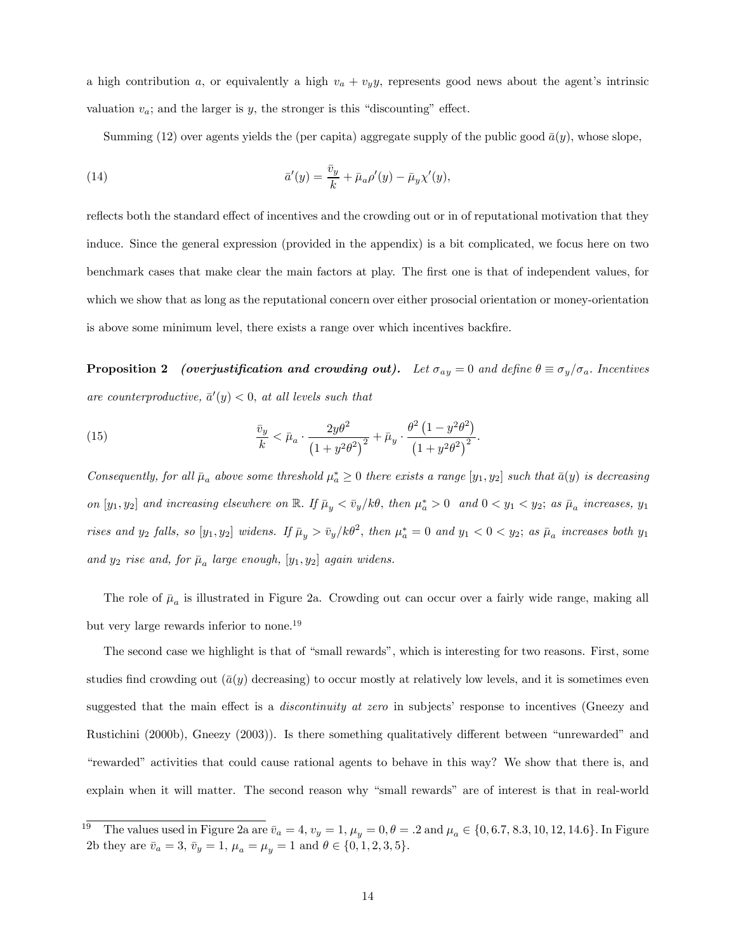a high contribution a, or equivalently a high  $v_a + v_yy$ , represents good news about the agent's intrinsic valuation  $v_a$ ; and the larger is y, the stronger is this "discounting" effect.

Summing (12) over agents yields the (per capita) aggregate supply of the public good  $\bar{a}(y)$ , whose slope,

(14) 
$$
\bar{a}'(y) = \frac{\bar{v}_y}{k} + \bar{\mu}_a \rho'(y) - \bar{\mu}_y \chi'(y),
$$

reflects both the standard effect of incentives and the crowding out or in of reputational motivation that they induce. Since the general expression (provided in the appendix) is a bit complicated, we focus here on two benchmark cases that make clear the main factors at play. The first one is that of independent values, for which we show that as long as the reputational concern over either prosocial orientation or money-orientation is above some minimum level, there exists a range over which incentives backfire.

**Proposition 2** (overjustification and crowding out). Let  $\sigma_{ay} = 0$  and define  $\theta \equiv \sigma_y/\sigma_a$ . Incentives are counterproductive,  $\bar{a}'(y) < 0$ , at all levels such that

(15) 
$$
\frac{\bar{v}_y}{k} < \bar{\mu}_a \cdot \frac{2y\theta^2}{\left(1+y^2\theta^2\right)^2} + \bar{\mu}_y \cdot \frac{\theta^2\left(1-y^2\theta^2\right)}{\left(1+y^2\theta^2\right)^2}.
$$

Consequently, for all  $\bar{\mu}_a$  above some threshold  $\mu_a^* \geq 0$  there exists a range  $[y_1, y_2]$  such that  $\bar{a}(y)$  is decreasing on  $[y_1, y_2]$  and increasing elsewhere on  $\mathbb{R}$ . If  $\bar{\mu}_y < \bar{v}_y/k\theta$ , then  $\mu_a^* > 0$  and  $0 < y_1 < y_2$ ; as  $\bar{\mu}_a$  increases,  $y_1$ rises and y<sub>2</sub> falls, so  $[y_1, y_2]$  widens. If  $\bar{\mu}_y > \bar{v}_y / k\theta^2$ , then  $\mu_a^* = 0$  and  $y_1 < 0 < y_2$ ; as  $\bar{\mu}_a$  increases both  $y_1$ and  $y_2$  rise and, for  $\bar{\mu}_a$  large enough,  $[y_1, y_2]$  again widens.

The role of  $\bar{\mu}_a$  is illustrated in Figure 2a. Crowding out can occur over a fairly wide range, making all but very large rewards inferior to none.19

The second case we highlight is that of "small rewards", which is interesting for two reasons. First, some studies find crowding out  $(\bar{a}(y)$  decreasing) to occur mostly at relatively low levels, and it is sometimes even suggested that the main effect is a *discontinuity at zero* in subjects' response to incentives (Gneezy and Rustichini (2000b), Gneezy (2003)). Is there something qualitatively different between "unrewarded" and "rewarded" activities that could cause rational agents to behave in this way? We show that there is, and explain when it will matter. The second reason why "small rewards" are of interest is that in real-world

<sup>19</sup> The values used in Figure 2a are  $\bar{v}_a = 4$ ,  $v_y = 1$ ,  $\mu_y = 0$ ,  $\theta = .2$  and  $\mu_a \in \{0, 6.7, 8.3, 10, 12, 14.6\}$ . In Figure 2b they are  $\bar{v}_a = 3$ ,  $\bar{v}_y = 1$ ,  $\mu_a = \mu_y = 1$  and  $\theta \in \{0, 1, 2, 3, 5\}.$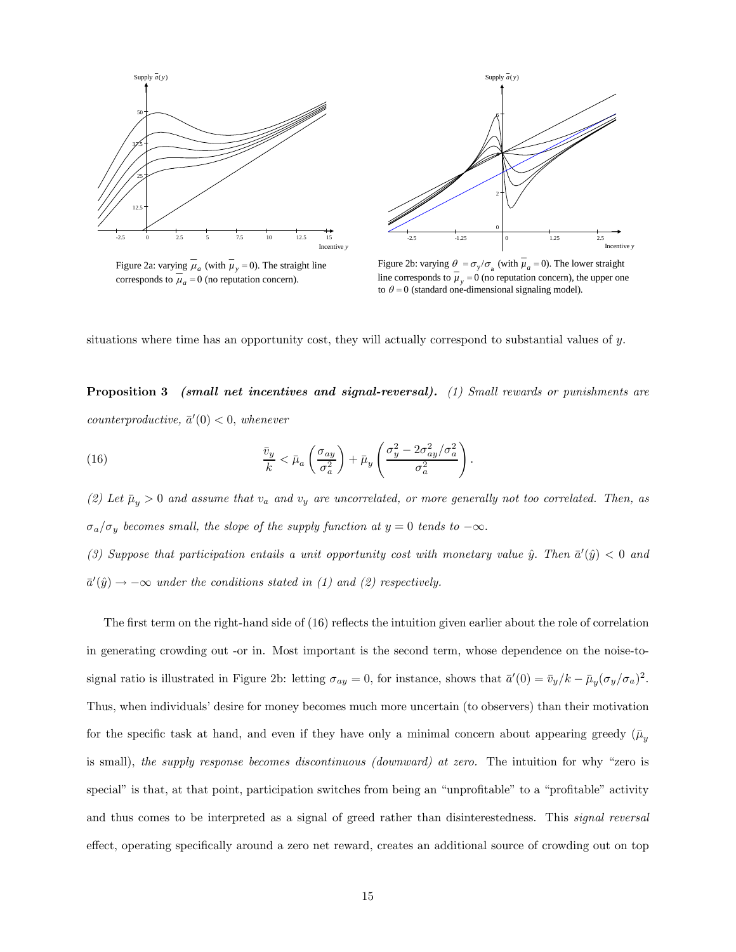

Figure 2a: varying  $\mu_a$  (with  $\mu_y = 0$ ). The straight line corresponds to  $\mu_a = 0$  (no reputation concern).



Figure 2b: varying  $\theta = \sigma_y / \sigma_a$  (with  $\mu_a = 0$ ). The lower straight line corresponds to  $\mu_y = 0$  (no reputation concern), the upper one to  $\theta = 0$  (standard one-dimensional signaling model).

situations where time has an opportunity cost, they will actually correspond to substantial values of y.

**Proposition 3** (small net incentives and signal-reversal). (1) Small rewards or punishments are *counterproductive*,  $\bar{a}'(0) < 0$ , *whenever* 

(16) 
$$
\frac{\bar{v}_y}{k} < \bar{\mu}_a \left( \frac{\sigma_{ay}}{\sigma_a^2} \right) + \bar{\mu}_y \left( \frac{\sigma_y^2 - 2\sigma_{ay}^2/\sigma_a^2}{\sigma_a^2} \right).
$$

(2) Let  $\bar{\mu}_y > 0$  and assume that  $v_a$  and  $v_y$  are uncorrelated, or more generally not too correlated. Then, as  $\sigma_a/\sigma_y$  becomes small, the slope of the supply function at  $y = 0$  tends to  $-\infty$ .

(3) Suppose that participation entails a unit opportunity cost with monetary value  $\hat{y}$ . Then  $\bar{a}'(\hat{y}) < 0$  and  $\bar{a}'(\hat{y}) \rightarrow -\infty$  under the conditions stated in (1) and (2) respectively.

The first term on the right-hand side of (16) reflects the intuition given earlier about the role of correlation in generating crowding out -or in. Most important is the second term, whose dependence on the noise-tosignal ratio is illustrated in Figure 2b: letting  $\sigma_{ay} = 0$ , for instance, shows that  $\bar{a}'(0) = \bar{v}_y/k - \bar{\mu}_y(\sigma_y/\sigma_a)^2$ . Thus, when individuals' desire for money becomes much more uncertain (to observers) than their motivation for the specific task at hand, and even if they have only a minimal concern about appearing greedy  $(\bar{\mu}_v$ is small), the supply response becomes discontinuous (downward) at zero. The intuition for why "zero is special" is that, at that point, participation switches from being an "unprofitable" to a "profitable" activity and thus comes to be interpreted as a signal of greed rather than disinterestedness. This *signal reversal* effect, operating specifically around a zero net reward, creates an additional source of crowding out on top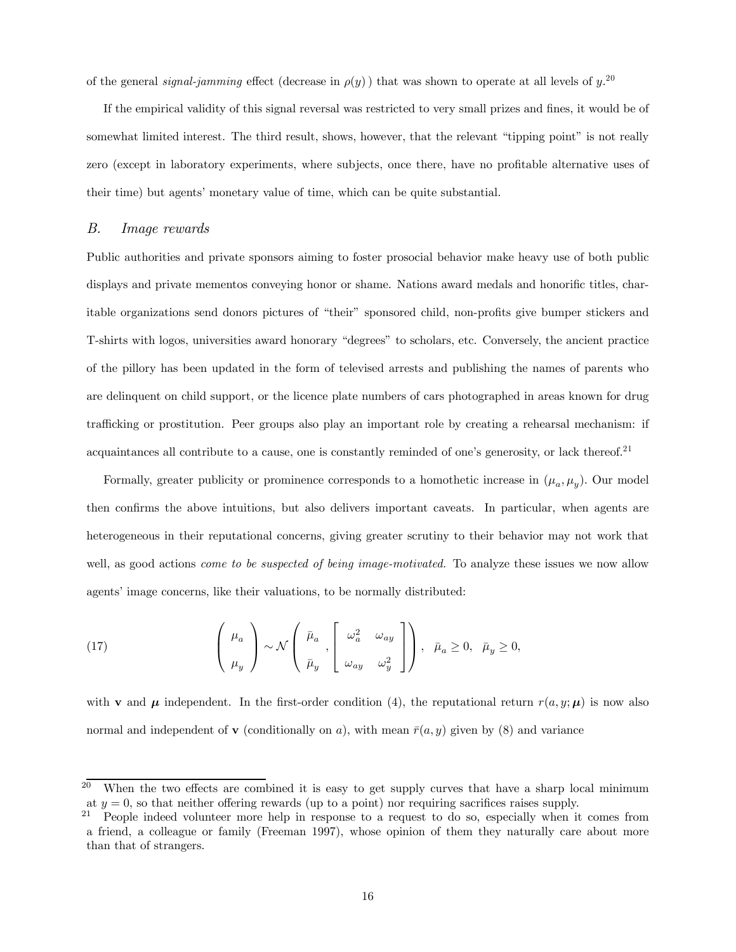of the general *signal-jamming* effect (decrease in  $\rho(y)$ ) that was shown to operate at all levels of y.<sup>20</sup>

If the empirical validity of this signal reversal was restricted to very small prizes and fines, it would be of somewhat limited interest. The third result, shows, however, that the relevant "tipping point" is not really zero (except in laboratory experiments, where subjects, once there, have no profitable alternative uses of their time) but agents' monetary value of time, which can be quite substantial.

### B. Image rewards

Public authorities and private sponsors aiming to foster prosocial behavior make heavy use of both public displays and private mementos conveying honor or shame. Nations award medals and honorific titles, charitable organizations send donors pictures of "their" sponsored child, non-profits give bumper stickers and T-shirts with logos, universities award honorary "degrees" to scholars, etc. Conversely, the ancient practice of the pillory has been updated in the form of televised arrests and publishing the names of parents who are delinquent on child support, or the licence plate numbers of cars photographed in areas known for drug trafficking or prostitution. Peer groups also play an important role by creating a rehearsal mechanism: if acquaintances all contribute to a cause, one is constantly reminded of one's generosity, or lack thereof.<sup>21</sup>

Formally, greater publicity or prominence corresponds to a homothetic increase in  $(\mu_a, \mu_y)$ . Our model then confirms the above intuitions, but also delivers important caveats. In particular, when agents are heterogeneous in their reputational concerns, giving greater scrutiny to their behavior may not work that well, as good actions *come to be suspected of being image-motivated*. To analyze these issues we now allow agents' image concerns, like their valuations, to be normally distributed:

(17) 
$$
\begin{pmatrix} \mu_a \\ \mu_y \end{pmatrix} \sim \mathcal{N} \begin{pmatrix} \bar{\mu}_a \\ \bar{\mu}_y \end{pmatrix} \begin{pmatrix} \omega_a^2 & \omega_{ay} \\ \omega_{ay} & \omega_y^2 \end{pmatrix}, \quad \bar{\mu}_a \ge 0, \quad \bar{\mu}_y \ge 0,
$$

with **v** and **µ** independent. In the first-order condition (4), the reputational return  $r(a, y; \mu)$  is now also normal and independent of v (conditionally on a), with mean  $\bar{r}(a, y)$  given by (8) and variance

<sup>&</sup>lt;sup>20</sup> When the two effects are combined it is easy to get supply curves that have a sharp local minimum at  $y = 0$ , so that neither offering rewards (up to a point) nor requiring sacrifices raises supply.

<sup>21</sup> People indeed volunteer more help in response to a request to do so, especially when it comes from a friend, a colleague or family (Freeman 1997), whose opinion of them they naturally care about more than that of strangers.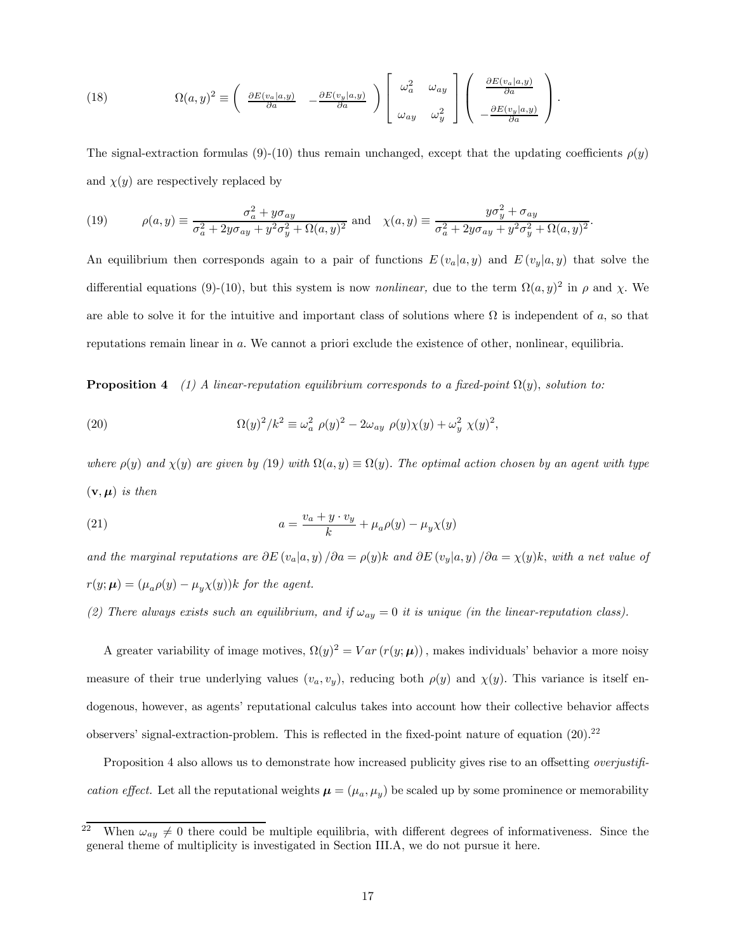(18) 
$$
\Omega(a,y)^2 \equiv \begin{pmatrix} \frac{\partial E(v_a|a,y)}{\partial a} & -\frac{\partial E(v_y|a,y)}{\partial a} \end{pmatrix} \begin{bmatrix} \omega_a^2 & \omega_{ay} \\ \omega_{ay} & \omega_y^2 \end{bmatrix} \begin{pmatrix} \frac{\partial E(v_a|a,y)}{\partial a} \\ -\frac{\partial E(v_y|a,y)}{\partial a} \end{pmatrix}.
$$

The signal-extraction formulas (9)-(10) thus remain unchanged, except that the updating coefficients  $\rho(y)$ and  $\chi(y)$  are respectively replaced by

(19) 
$$
\rho(a,y) \equiv \frac{\sigma_a^2 + y\sigma_{ay}}{\sigma_a^2 + 2y\sigma_{ay} + y^2\sigma_y^2 + \Omega(a,y)^2} \text{ and } \chi(a,y) \equiv \frac{y\sigma_y^2 + \sigma_{ay}}{\sigma_a^2 + 2y\sigma_{ay} + y^2\sigma_y^2 + \Omega(a,y)^2}.
$$

An equilibrium then corresponds again to a pair of functions  $E(v_a|a, y)$  and  $E(v_y|a, y)$  that solve the differential equations (9)-(10), but this system is now *nonlinear*, due to the term  $\Omega(a, y)^2$  in  $\rho$  and  $\chi$ . We are able to solve it for the intuitive and important class of solutions where  $\Omega$  is independent of a, so that reputations remain linear in a. We cannot a priori exclude the existence of other, nonlinear, equilibria.

**Proposition 4** (1) A linear-reputation equilibrium corresponds to a fixed-point  $\Omega(y)$ , solution to:

(20) 
$$
\Omega(y)^2 / k^2 \equiv \omega_a^2 \, \rho(y)^2 - 2\omega_{ay} \, \rho(y)\chi(y) + \omega_y^2 \, \chi(y)^2,
$$

where  $\rho(y)$  and  $\chi(y)$  are given by (19) with  $\Omega(a, y) \equiv \Omega(y)$ . The optimal action chosen by an agent with type  $(v, \mu)$  is then

(21) 
$$
a = \frac{v_a + y \cdot v_y}{k} + \mu_a \rho(y) - \mu_y \chi(y)
$$

and the marginal reputations are  $\partial E (v_a|a, y) / \partial a = \rho(y)k$  and  $\partial E (v_y|a, y) / \partial a = \chi(y)k$ , with a net value of  $r(y; \mu) = (\mu_a \rho(y) - \mu_y \chi(y))k$  for the agent.

(2) There always exists such an equilibrium, and if  $\omega_{ay} = 0$  it is unique (in the linear-reputation class).

A greater variability of image motives,  $\Omega(y)^2 = Var(r(y; \mu))$ , makes individuals' behavior a more noisy measure of their true underlying values  $(v_a, v_y)$ , reducing both  $\rho(y)$  and  $\chi(y)$ . This variance is itself endogenous, however, as agents' reputational calculus takes into account how their collective behavior affects observers' signal-extraction-problem. This is reflected in the fixed-point nature of equation  $(20).^{22}$ 

Proposition 4 also allows us to demonstrate how increased publicity gives rise to an offsetting *overjustifi*cation effect. Let all the reputational weights  $\mu = (\mu_a, \mu_y)$  be scaled up by some prominence or memorability

<sup>&</sup>lt;sup>22</sup> When  $\omega_{ay} \neq 0$  there could be multiple equilibria, with different degrees of informativeness. Since the general theme of multiplicity is investigated in Section III.A, we do not pursue it here.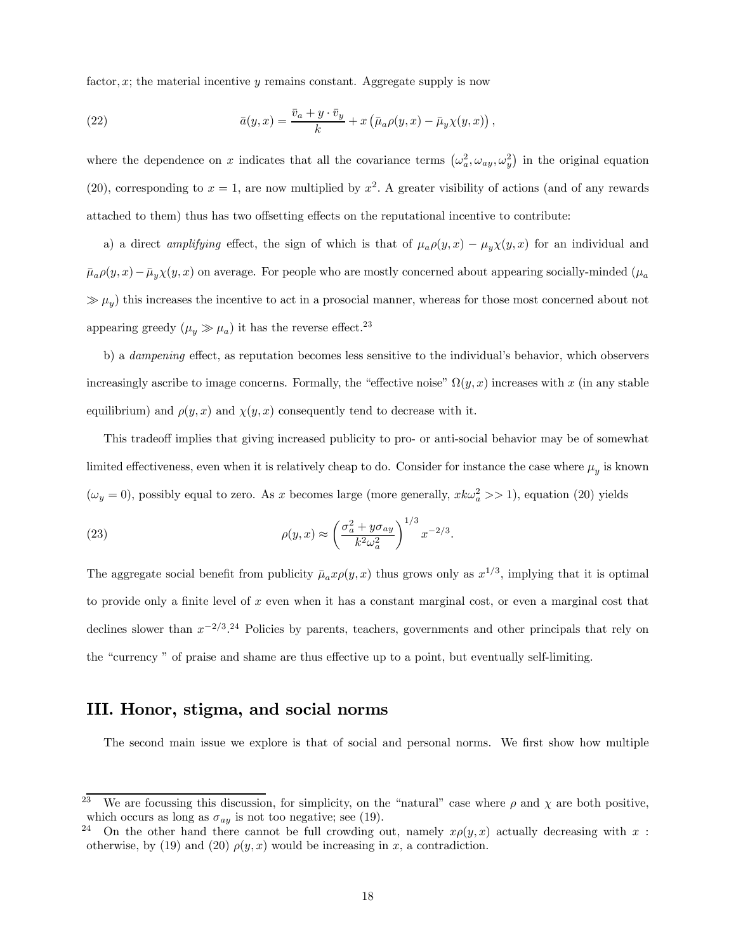factor, x; the material incentive  $\gamma$  remains constant. Aggregate supply is now

(22) 
$$
\bar{a}(y,x) = \frac{\bar{v}_a + y \cdot \bar{v}_y}{k} + x \left( \bar{\mu}_a \rho(y,x) - \bar{\mu}_y \chi(y,x) \right),
$$

where the dependence on x indicates that all the covariance terms  $(\omega_a^2, \omega_{ay}, \omega_y^2)$  in the original equation (20), corresponding to  $x = 1$ , are now multiplied by  $x^2$ . A greater visibility of actions (and of any rewards attached to them) thus has two offsetting effects on the reputational incentive to contribute:

a) a direct amplifying effect, the sign of which is that of  $\mu_a \rho(y, x) - \mu_y \chi(y, x)$  for an individual and  $\bar{\mu}_a \rho(y, x) - \bar{\mu}_y \chi(y, x)$  on average. For people who are mostly concerned about appearing socially-minded ( $\mu_a$  $\gg \mu_y$ ) this increases the incentive to act in a prosocial manner, whereas for those most concerned about not appearing greedy  $(\mu_y \gg \mu_a)$  it has the reverse effect.  $^{23}$ 

b) a dampening effect, as reputation becomes less sensitive to the individual's behavior, which observers increasingly ascribe to image concerns. Formally, the "effective noise"  $\Omega(y, x)$  increases with x (in any stable equilibrium) and  $\rho(y, x)$  and  $\chi(y, x)$  consequently tend to decrease with it.

This tradeoff implies that giving increased publicity to pro- or anti-social behavior may be of somewhat limited effectiveness, even when it is relatively cheap to do. Consider for instance the case where  $\mu_{\nu}$  is known  $(\omega_y = 0)$ , possibly equal to zero. As x becomes large (more generally,  $x k \omega_a^2 >> 1$ ), equation (20) yields

(23) 
$$
\rho(y,x) \approx \left(\frac{\sigma_a^2 + y \sigma_{ay}}{k^2 \omega_a^2}\right)^{1/3} x^{-2/3}.
$$

The aggregate social benefit from publicity  $\bar{\mu}_a x \rho(y, x)$  thus grows only as  $x^{1/3}$ , implying that it is optimal to provide only a finite level of x even when it has a constant marginal cost, or even a marginal cost that declines slower than  $x^{-2/3}$ .<sup>24</sup> Policies by parents, teachers, governments and other principals that rely on the "currency " of praise and shame are thus effective up to a point, but eventually self-limiting.

## III. Honor, stigma, and social norms

The second main issue we explore is that of social and personal norms. We first show how multiple

We are focussing this discussion, for simplicity, on the "natural" case where  $\rho$  and  $\chi$  are both positive, which occurs as long as  $\sigma_{ay}$  is not too negative; see (19).

<sup>&</sup>lt;sup>24</sup> On the other hand there cannot be full crowding out, namely  $x\rho(y, x)$  actually decreasing with x : otherwise, by (19) and (20)  $\rho(y, x)$  would be increasing in x, a contradiction.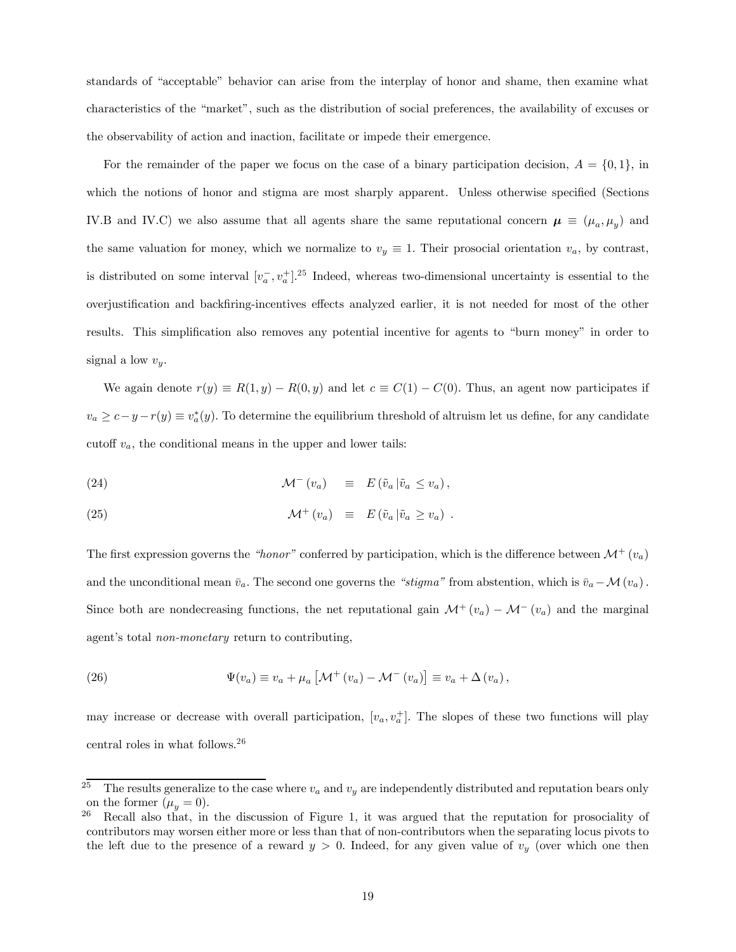standards of "acceptable" behavior can arise from the interplay of honor and shame, then examine what characteristics of the "market", such as the distribution of social preferences, the availability of excuses or the observability of action and inaction, facilitate or impede their emergence.

For the remainder of the paper we focus on the case of a binary participation decision,  $A = \{0, 1\}$ , in which the notions of honor and stigma are most sharply apparent. Unless otherwise specified (Sections IV.B and IV.C) we also assume that all agents share the same reputational concern  $\mu \equiv (\mu_a, \mu_v)$  and the same valuation for money, which we normalize to  $v_y \equiv 1$ . Their prosocial orientation  $v_a$ , by contrast, is distributed on some interval  $[v_a^-, v_a^+]$ .<sup>25</sup> Indeed, whereas two-dimensional uncertainty is essential to the overjustification and backfiring-incentives effects analyzed earlier, it is not needed for most of the other results. This simplification also removes any potential incentive for agents to "burn money" in order to signal a low  $v_y$ .

We again denote  $r(y) \equiv R(1, y) - R(0, y)$  and let  $c \equiv C(1) - C(0)$ . Thus, an agent now participates if  $v_a \geq c - y - r(y) \equiv v_a^*(y)$ . To determine the equilibrium threshold of altruism let us define, for any candidate cutoff  $v_a$ , the conditional means in the upper and lower tails:

(24) 
$$
\mathcal{M}^{-}(v_a) \equiv E(\tilde{v}_a | \tilde{v}_a \le v_a),
$$

(25) 
$$
\mathcal{M}^+(v_a) \equiv E(\tilde{v}_a | \tilde{v}_a \ge v_a) .
$$

The first expression governs the "honor" conferred by participation, which is the difference between  $\mathcal{M}^+(v_a)$ and the unconditional mean  $\bar{v}_a$ . The second one governs the "stigma" from abstention, which is  $\bar{v}_a - \mathcal{M}(v_a)$ . Since both are nondecreasing functions, the net reputational gain  $\mathcal{M}^+(v_a) - \mathcal{M}^-(v_a)$  and the marginal agent's total non-monetary return to contributing,

(26) 
$$
\Psi(v_a) \equiv v_a + \mu_a \left[ \mathcal{M}^+(v_a) - \mathcal{M}^-(v_a) \right] \equiv v_a + \Delta(v_a),
$$

may increase or decrease with overall participation,  $[v_a, v_a^+]$ . The slopes of these two functions will play central roles in what follows.26

The results generalize to the case where  $v_a$  and  $v_y$  are independently distributed and reputation bears only on the former  $(\mu_y = 0)$ .<br><sup>26</sup> Recall also that, in the discussion of Figure 1, it was argued that the reputation for prosociality of

contributors may worsen either more or less than that of non-contributors when the separating locus pivots to the left due to the presence of a reward  $y > 0$ . Indeed, for any given value of  $v_y$  (over which one then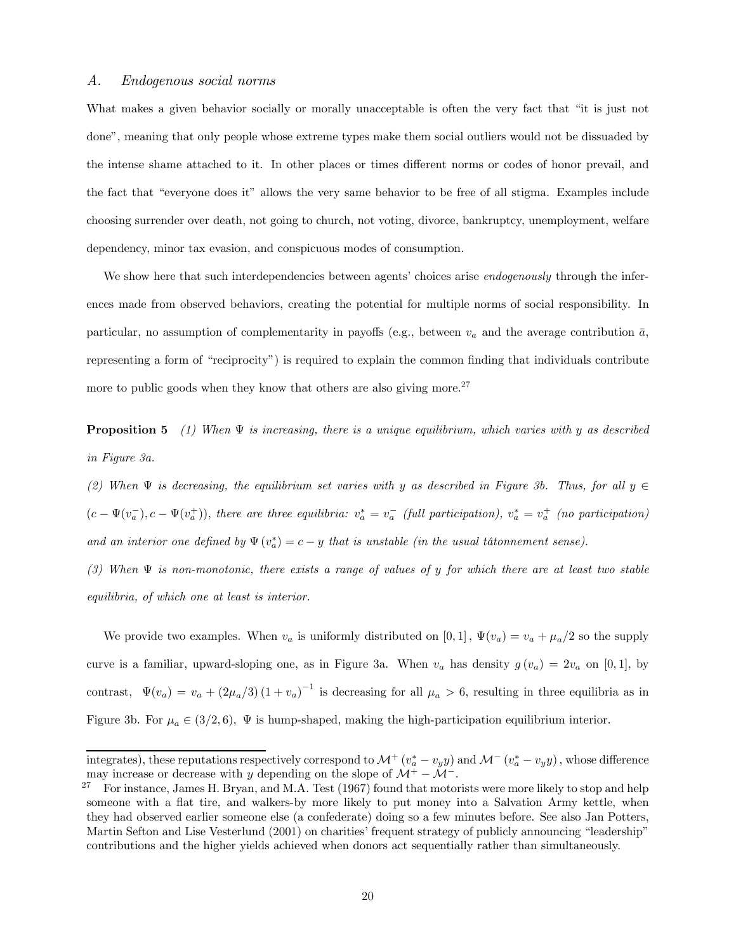#### A. Endogenous social norms

What makes a given behavior socially or morally unacceptable is often the very fact that "it is just not done", meaning that only people whose extreme types make them social outliers would not be dissuaded by the intense shame attached to it. In other places or times different norms or codes of honor prevail, and the fact that "everyone does it" allows the very same behavior to be free of all stigma. Examples include choosing surrender over death, not going to church, not voting, divorce, bankruptcy, unemployment, welfare dependency, minor tax evasion, and conspicuous modes of consumption.

We show here that such interdependencies between agents' choices arise *endogenously* through the inferences made from observed behaviors, creating the potential for multiple norms of social responsibility. In particular, no assumption of complementarity in payoffs (e.g., between  $v_a$  and the average contribution  $\bar{a}$ , representing a form of "reciprocity") is required to explain the common finding that individuals contribute more to public goods when they know that others are also giving more.<sup>27</sup>

**Proposition 5** (1) When  $\Psi$  is increasing, there is a unique equilibrium, which varies with y as described in Figure 3a.

(2) When  $\Psi$  is decreasing, the equilibrium set varies with y as described in Figure 3b. Thus, for all  $y \in$  $(c - \Psi(v_a^-), c - \Psi(v_a^+))$ , there are three equilibria:  $v_a^* = v_a^-$  (full participation),  $v_a^* = v_a^+$  (no participation) and an interior one defined by  $\Psi(v_a^*) = c - y$  that is unstable (in the usual tâtonnement sense).

(3) When  $\Psi$  is non-monotonic, there exists a range of values of y for which there are at least two stable equilibria, of which one at least is interior.

We provide two examples. When  $v_a$  is uniformly distributed on [0,1],  $\Psi(v_a) = v_a + \mu_a/2$  so the supply curve is a familiar, upward-sloping one, as in Figure 3a. When  $v_a$  has density  $g(v_a)=2v_a$  on [0, 1], by contrast,  $\Psi(v_a) = v_a + (2\mu_a/3)(1 + v_a)^{-1}$  is decreasing for all  $\mu_a > 6$ , resulting in three equilibria as in Figure 3b. For  $\mu_a \in (3/2, 6)$ ,  $\Psi$  is hump-shaped, making the high-participation equilibrium interior.

integrates), these reputations respectively correspond to  $\mathcal{M}^+$   $(v_a^* - v_y y)$  and  $\mathcal{M}^ (v_a^* - v_y y)$ , whose difference may increase or decrease with y depending on the slope of  $\mathcal{M}^+ - \mathcal{M}^-$ .<br><sup>27</sup> For instance, James H. Bryan, and M.A. Test (1967) found that motorists were more likely to stop and help

someone with a flat tire, and walkers-by more likely to put money into a Salvation Army kettle, when they had observed earlier someone else (a confederate) doing so a few minutes before. See also Jan Potters, Martin Sefton and Lise Vesterlund (2001) on charities' frequent strategy of publicly announcing "leadership" contributions and the higher yields achieved when donors act sequentially rather than simultaneously.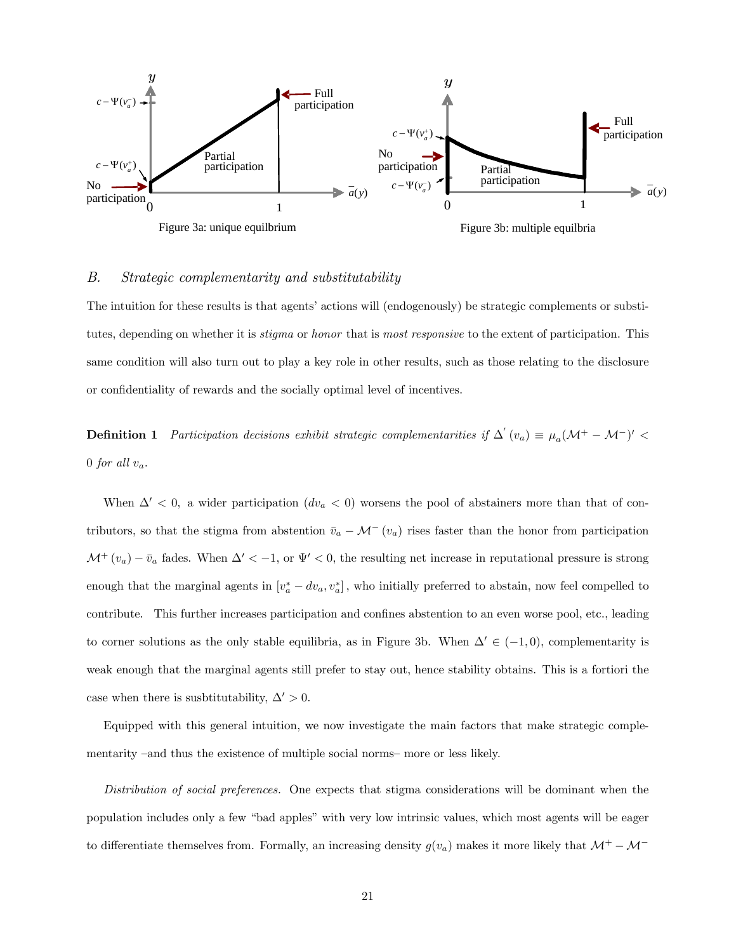

## B. Strategic complementarity and substitutability

The intuition for these results is that agents' actions will (endogenously) be strategic complements or substitutes, depending on whether it is *stigma* or *honor* that is most responsive to the extent of participation. This same condition will also turn out to play a key role in other results, such as those relating to the disclosure or confidentiality of rewards and the socially optimal level of incentives.

**Definition 1** Participation decisions exhibit strategic complementarities if  $\Delta'(v_a) \equiv \mu_a(\mathcal{M}^+ - \mathcal{M}^-)' <$ 0 for all  $v_a$ .

When  $\Delta' < 0$ , a wider participation  $(dv_a < 0)$  worsens the pool of abstainers more than that of contributors, so that the stigma from abstention  $\bar{v}_a - \mathcal{M}^- (v_a)$  rises faster than the honor from participation  $\mathcal{M}^+(v_a) - \bar{v}_a$  fades. When  $\Delta' < -1$ , or  $\Psi' < 0$ , the resulting net increase in reputational pressure is strong enough that the marginal agents in  $[v_a^* - dv_a, v_a^*]$ , who initially preferred to abstain, now feel compelled to contribute. This further increases participation and confines abstention to an even worse pool, etc., leading to corner solutions as the only stable equilibria, as in Figure 3b. When  $\Delta' \in (-1, 0)$ , complementarity is weak enough that the marginal agents still prefer to stay out, hence stability obtains. This is a fortiori the case when there is susbtitutability,  $\Delta' > 0$ .

Equipped with this general intuition, we now investigate the main factors that make strategic complementarity —and thus the existence of multiple social norms— more or less likely.

Distribution of social preferences. One expects that stigma considerations will be dominant when the population includes only a few "bad apples" with very low intrinsic values, which most agents will be eager to differentiate themselves from. Formally, an increasing density  $g(v_a)$  makes it more likely that  $\mathcal{M}^+ - \mathcal{M}^-$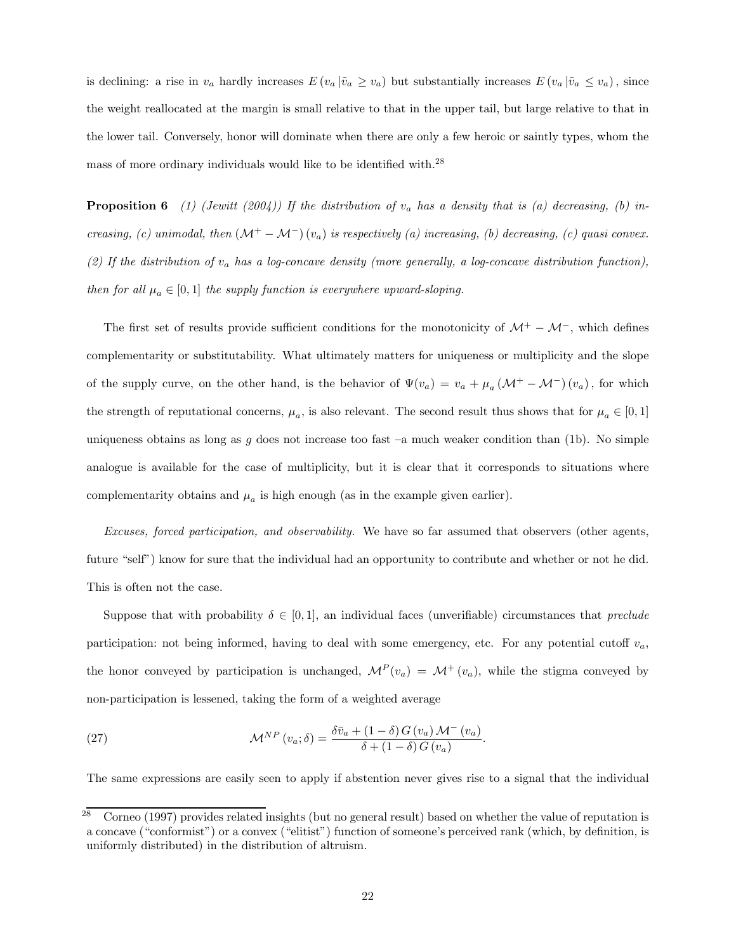is declining: a rise in  $v_a$  hardly increases  $E(v_a | \tilde{v}_a \ge v_a)$  but substantially increases  $E(v_a | \tilde{v}_a \le v_a)$ , since the weight reallocated at the margin is small relative to that in the upper tail, but large relative to that in the lower tail. Conversely, honor will dominate when there are only a few heroic or saintly types, whom the mass of more ordinary individuals would like to be identified with.28

**Proposition 6** (1) (Jewitt (2004)) If the distribution of  $v_a$  has a density that is (a) decreasing, (b) increasing, (c) unimodal, then  $(\mathcal{M}^+ - \mathcal{M}^-)(v_a)$  is respectively (a) increasing, (b) decreasing, (c) quasi convex. (2) If the distribution of  $v_a$  has a log-concave density (more generally, a log-concave distribution function), then for all  $\mu_a \in [0,1]$  the supply function is everywhere upward-sloping.

The first set of results provide sufficient conditions for the monotonicity of  $\mathcal{M}^+ - \mathcal{M}^-$ , which defines complementarity or substitutability. What ultimately matters for uniqueness or multiplicity and the slope of the supply curve, on the other hand, is the behavior of  $\Psi(v_a) = v_a + \mu_a (\mathcal{M}^+ - \mathcal{M}^-)(v_a)$ , for which the strength of reputational concerns,  $\mu_a$ , is also relevant. The second result thus shows that for  $\mu_a \in [0, 1]$ uniqueness obtains as long as  $g$  does not increase too fast  $-a$  much weaker condition than (1b). No simple analogue is available for the case of multiplicity, but it is clear that it corresponds to situations where complementarity obtains and  $\mu_a$  is high enough (as in the example given earlier).

Excuses, forced participation, and observability. We have so far assumed that observers (other agents, future "self") know for sure that the individual had an opportunity to contribute and whether or not he did. This is often not the case.

Suppose that with probability  $\delta \in [0, 1]$ , an individual faces (unverifiable) circumstances that *preclude* participation: not being informed, having to deal with some emergency, etc. For any potential cutoff  $v_a$ , the honor conveyed by participation is unchanged,  $\mathcal{M}^P(v_a) = \mathcal{M}^+(v_a)$ , while the stigma conveyed by non-participation is lessened, taking the form of a weighted average

(27) 
$$
\mathcal{M}^{NP}(v_a;\delta) = \frac{\delta \bar{v}_a + (1-\delta) G(v_a) \mathcal{M}^-(v_a)}{\delta + (1-\delta) G(v_a)}.
$$

The same expressions are easily seen to apply if abstention never gives rise to a signal that the individual

<sup>28</sup> Corneo (1997) provides related insights (but no general result) based on whether the value of reputation is a concave ("conformist") or a convex ("elitist") function of someone's perceived rank (which, by definition, is uniformly distributed) in the distribution of altruism.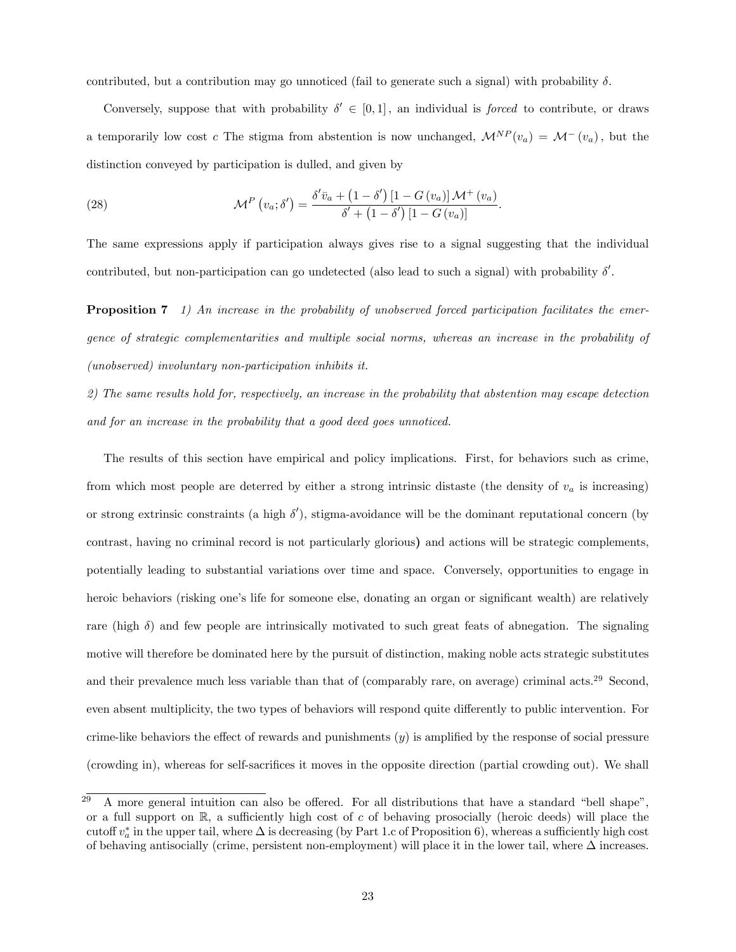contributed, but a contribution may go unnoticed (fail to generate such a signal) with probability  $\delta$ .

Conversely, suppose that with probability  $\delta' \in [0,1]$ , an individual is *forced* to contribute, or draws a temporarily low cost c The stigma from abstention is now unchanged,  $\mathcal{M}^{NP}(v_a) = \mathcal{M}^-(v_a)$ , but the distinction conveyed by participation is dulled, and given by

(28) 
$$
\mathcal{M}^{P}\left(v_{a};\delta'\right)=\frac{\delta'\bar{v}_{a}+\left(1-\delta'\right)\left[1-G\left(v_{a}\right)\right]\mathcal{M}^{+}\left(v_{a}\right)}{\delta'+\left(1-\delta'\right)\left[1-G\left(v_{a}\right)\right]}.
$$

The same expressions apply if participation always gives rise to a signal suggesting that the individual contributed, but non-participation can go undetected (also lead to such a signal) with probability  $\delta'$ .

**Proposition 7** 1) An increase in the probability of unobserved forced participation facilitates the emergence of strategic complementarities and multiple social norms, whereas an increase in the probability of (unobserved) involuntary non-participation inhibits it.

2) The same results hold for, respectively, an increase in the probability that abstention may escape detection and for an increase in the probability that a good deed goes unnoticed.

The results of this section have empirical and policy implications. First, for behaviors such as crime, from which most people are deterred by either a strong intrinsic distaste (the density of  $v_a$  is increasing) or strong extrinsic constraints (a high  $\delta'$ ), stigma-avoidance will be the dominant reputational concern (by contrast, having no criminal record is not particularly glorious) and actions will be strategic complements, potentially leading to substantial variations over time and space. Conversely, opportunities to engage in heroic behaviors (risking one's life for someone else, donating an organ or significant wealth) are relatively rare (high  $\delta$ ) and few people are intrinsically motivated to such great feats of abnegation. The signaling motive will therefore be dominated here by the pursuit of distinction, making noble acts strategic substitutes and their prevalence much less variable than that of (comparably rare, on average) criminal acts.29 Second, even absent multiplicity, the two types of behaviors will respond quite differently to public intervention. For crime-like behaviors the effect of rewards and punishments  $(y)$  is amplified by the response of social pressure (crowding in), whereas for self-sacrifices it moves in the opposite direction (partial crowding out). We shall

<sup>29</sup> A more general intuition can also be offered. For all distributions that have a standard "bell shape", or a full support on  $\mathbb{R}$ , a sufficiently high cost of c of behaving prosocially (heroic deeds) will place the cutoff  $v_a^*$  in the upper tail, where  $\Delta$  is decreasing (by Part 1.c of Proposition 6), whereas a sufficiently high cost of behaving antisocially (crime, persistent non-employment) will place it in the lower tail, where  $\Delta$  increases.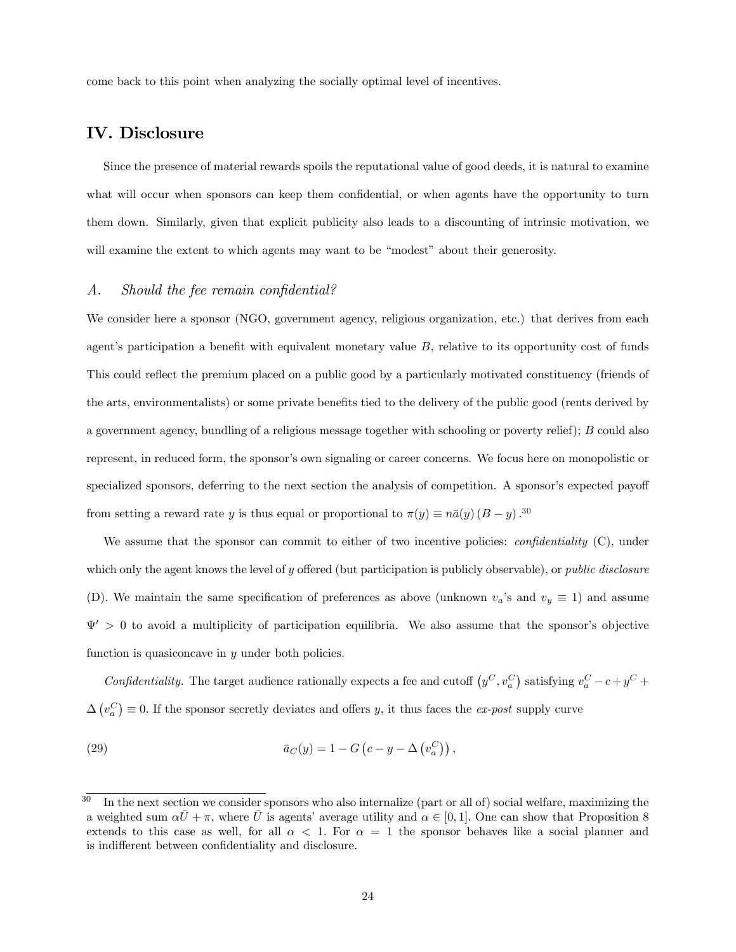come back to this point when analyzing the socially optimal level of incentives.

## IV. Disclosure

Since the presence of material rewards spoils the reputational value of good deeds, it is natural to examine what will occur when sponsors can keep them confidential, or when agents have the opportunity to turn them down. Similarly, given that explicit publicity also leads to a discounting of intrinsic motivation, we will examine the extent to which agents may want to be "modest" about their generosity.

### A. Should the fee remain confidential?

We consider here a sponsor (NGO, government agency, religious organization, etc.) that derives from each agent's participation a benefit with equivalent monetary value  $B$ , relative to its opportunity cost of funds This could reflect the premium placed on a public good by a particularly motivated constituency (friends of the arts, environmentalists) or some private benefits tied to the delivery of the public good (rents derived by a government agency, bundling of a religious message together with schooling or poverty relief); B could also represent, in reduced form, the sponsor's own signaling or career concerns. We focus here on monopolistic or specialized sponsors, deferring to the next section the analysis of competition. A sponsor's expected payoff from setting a reward rate y is thus equal or proportional to  $\pi(y) \equiv n\bar{a}(y) (B - y)$ .<sup>30</sup>

We assume that the sponsor can commit to either of two incentive policies: *confidentiality* (C), under which only the agent knows the level of y offered (but participation is publicly observable), or *public disclosure* (D). We maintain the same specification of preferences as above (unknown  $v_a$ 's and  $v_y \equiv 1$ ) and assume  $\Psi' > 0$  to avoid a multiplicity of participation equilibria. We also assume that the sponsor's objective function is quasiconcave in  $y$  under both policies.

Confidentiality. The target audience rationally expects a fee and cutoff  $(y^C, v_a^C)$  satisfying  $v_a^C - c + y^C +$  $\Delta(v_a^C) \equiv 0$ . If the sponsor secretly deviates and offers y, it thus faces the *ex-post* supply curve

(29) 
$$
\bar{a}_C(y) = 1 - G\left(c - y - \Delta\left(v_a^C\right)\right),
$$

In the next section we consider sponsors who also internalize (part or all of) social welfare, maximizing the a weighted sum  $\alpha \bar{U} + \pi$ , where  $\bar{U}$  is agents' average utility and  $\alpha \in [0, 1]$ . One can show that Proposition 8 extends to this case as well, for all  $\alpha < 1$ . For  $\alpha = 1$  the sponsor behaves like a social planner and is indifferent between confidentiality and disclosure.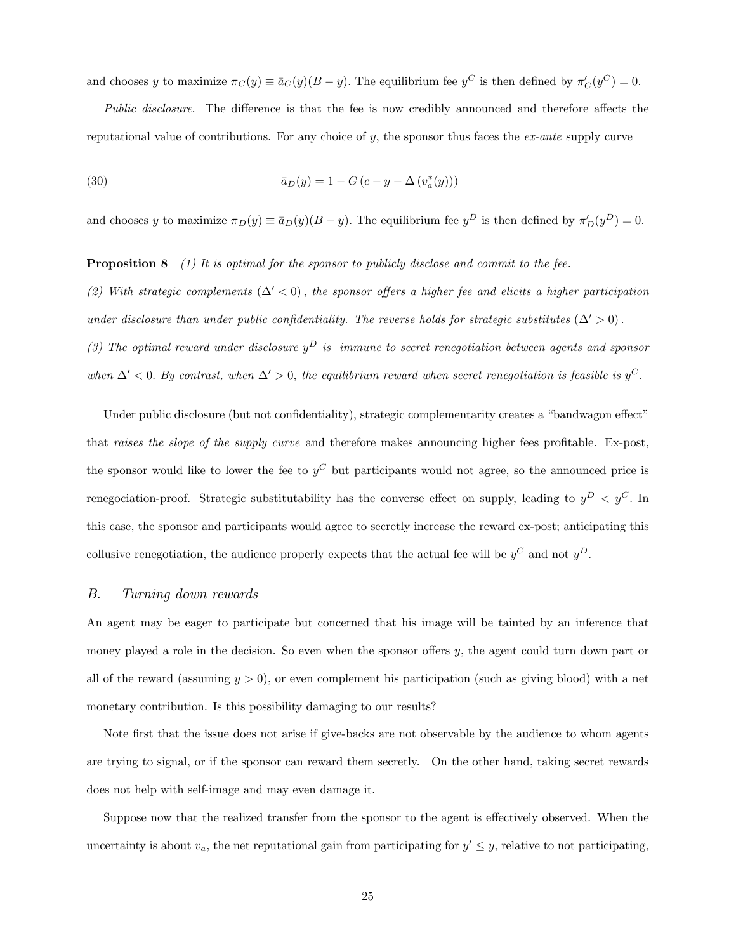and chooses y to maximize  $\pi_C(y) \equiv \bar{a}_C(y)(B - y)$ . The equilibrium fee  $y^C$  is then defined by  $\pi'_C(y^C) = 0$ .

Public disclosure. The difference is that the fee is now credibly announced and therefore affects the reputational value of contributions. For any choice of  $y$ , the sponsor thus faces the  $ex$ -ante supply curve

(30) 
$$
\bar{a}_D(y) = 1 - G(c - y - \Delta(v_a^*(y)))
$$

and chooses y to maximize  $\pi_D(y) \equiv \bar{a}_D(y)(B - y)$ . The equilibrium fee  $y^D$  is then defined by  $\pi'_D(y^D) = 0$ .

**Proposition 8** (1) It is optimal for the sponsor to publicly disclose and commit to the fee.

(2) With strategic complements  $(\Delta' < 0)$ , the sponsor offers a higher fee and elicits a higher participation under disclosure than under public confidentiality. The reverse holds for strategic substitutes  $(\Delta' > 0)$ . (3) The optimal reward under disclosure  $y^D$  is immune to secret renegotiation between agents and sponsor when  $\Delta' < 0$ . By contrast, when  $\Delta' > 0$ , the equilibrium reward when secret renegotiation is feasible is  $y^C$ .

Under public disclosure (but not confidentiality), strategic complementarity creates a "bandwagon effect" that raises the slope of the supply curve and therefore makes announcing higher fees profitable. Ex-post, the sponsor would like to lower the fee to  $y^C$  but participants would not agree, so the announced price is renegociation-proof. Strategic substitutability has the converse effect on supply, leading to  $y^D < y^C$ . In this case, the sponsor and participants would agree to secretly increase the reward ex-post; anticipating this collusive renegotiation, the audience properly expects that the actual fee will be  $y^C$  and not  $y^D$ .

#### B. Turning down rewards

An agent may be eager to participate but concerned that his image will be tainted by an inference that money played a role in the decision. So even when the sponsor offers y, the agent could turn down part or all of the reward (assuming  $y > 0$ ), or even complement his participation (such as giving blood) with a net monetary contribution. Is this possibility damaging to our results?

Note first that the issue does not arise if give-backs are not observable by the audience to whom agents are trying to signal, or if the sponsor can reward them secretly. On the other hand, taking secret rewards does not help with self-image and may even damage it.

Suppose now that the realized transfer from the sponsor to the agent is effectively observed. When the uncertainty is about  $v_a$ , the net reputational gain from participating for  $y' \leq y$ , relative to not participating,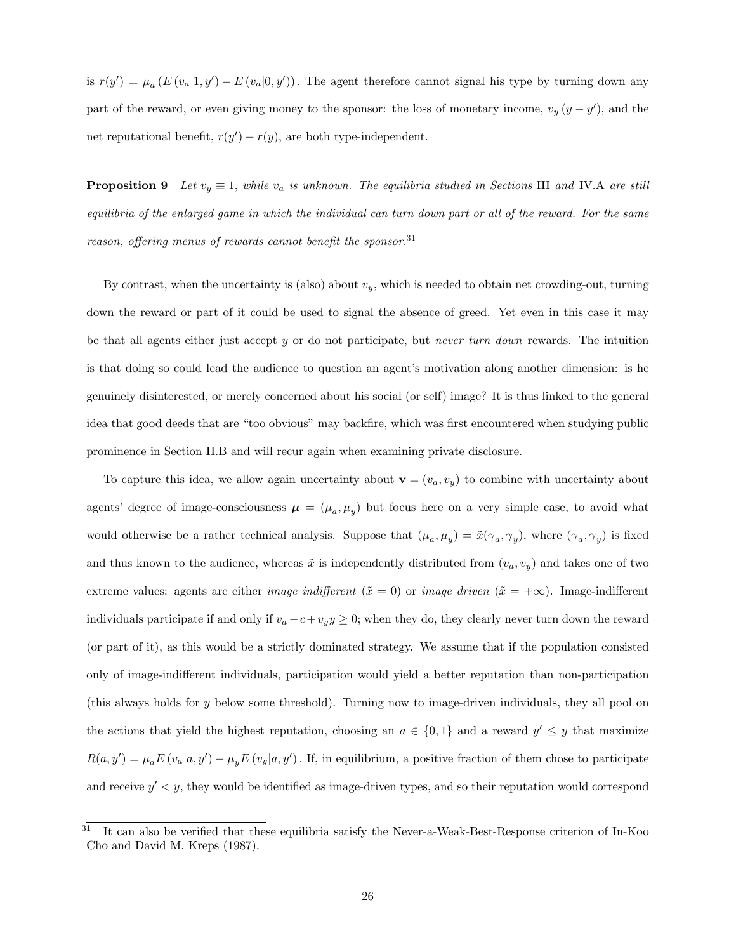is  $r(y') = \mu_a (E(v_a|1, y') - E(v_a|0, y'))$ . The agent therefore cannot signal his type by turning down any part of the reward, or even giving money to the sponsor: the loss of monetary income,  $v_y(y - y')$ , and the net reputational benefit,  $r(y') - r(y)$ , are both type-independent.

**Proposition 9** Let  $v_y \equiv 1$ , while  $v_a$  is unknown. The equilibria studied in Sections III and IV.A are still equilibria of the enlarged game in which the individual can turn down part or all of the reward. For the same reason, offering menus of rewards cannot benefit the sponsor.<sup>31</sup>

By contrast, when the uncertainty is (also) about  $v_y$ , which is needed to obtain net crowding-out, turning down the reward or part of it could be used to signal the absence of greed. Yet even in this case it may be that all agents either just accept  $y$  or do not participate, but *never turn down* rewards. The intuition is that doing so could lead the audience to question an agent's motivation along another dimension: is he genuinely disinterested, or merely concerned about his social (or self) image? It is thus linked to the general idea that good deeds that are "too obvious" may backfire, which was first encountered when studying public prominence in Section II.B and will recur again when examining private disclosure.

To capture this idea, we allow again uncertainty about  $\mathbf{v} = (v_a, v_y)$  to combine with uncertainty about agents' degree of image-consciousness  $\mu = (\mu_a, \mu_y)$  but focus here on a very simple case, to avoid what would otherwise be a rather technical analysis. Suppose that  $(\mu_a, \mu_y) = \tilde{x}(\gamma_a, \gamma_y)$ , where  $(\gamma_a, \gamma_y)$  is fixed and thus known to the audience, whereas  $\tilde{x}$  is independently distributed from  $(v_a, v_y)$  and takes one of two extreme values: agents are either *image indifferent* ( $\tilde{x} = 0$ ) or *image driven* ( $\tilde{x} = +\infty$ ). Image-indifferent individuals participate if and only if  $v_a - c + v_y y \geq 0$ ; when they do, they clearly never turn down the reward (or part of it), as this would be a strictly dominated strategy. We assume that if the population consisted only of image-indifferent individuals, participation would yield a better reputation than non-participation (this always holds for y below some threshold). Turning now to image-driven individuals, they all pool on the actions that yield the highest reputation, choosing an  $a \in \{0,1\}$  and a reward  $y' \leq y$  that maximize  $R(a, y') = \mu_a E(v_a|a, y') - \mu_y E(v_y|a, y')$ . If, in equilibrium, a positive fraction of them chose to participate and receive  $y' < y$ , they would be identified as image-driven types, and so their reputation would correspond

<sup>31</sup> It can also be verified that these equilibria satisfy the Never-a-Weak-Best-Response criterion of In-Koo Cho and David M. Kreps (1987).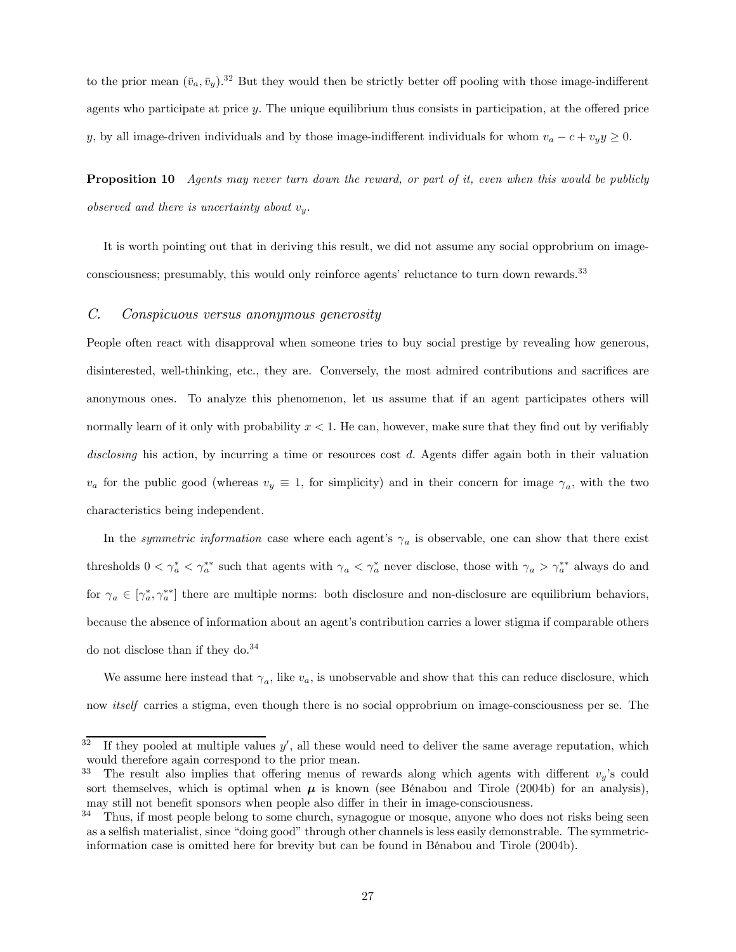to the prior mean  $(\bar{v}_a, \bar{v}_y)$ .<sup>32</sup> But they would then be strictly better off pooling with those image-indifferent agents who participate at price  $y$ . The unique equilibrium thus consists in participation, at the offered price y, by all image-driven individuals and by those image-indifferent individuals for whom  $v_a - c + v_y y \ge 0$ .

Proposition 10 Agents may never turn down the reward, or part of it, even when this would be publicly observed and there is uncertainty about  $v_y$ .

It is worth pointing out that in deriving this result, we did not assume any social opprobrium on imageconsciousness; presumably, this would only reinforce agents' reluctance to turn down rewards.<sup>33</sup>

#### C. Conspicuous versus anonymous generosity

People often react with disapproval when someone tries to buy social prestige by revealing how generous, disinterested, well-thinking, etc., they are. Conversely, the most admired contributions and sacrifices are anonymous ones. To analyze this phenomenon, let us assume that if an agent participates others will normally learn of it only with probability  $x < 1$ . He can, however, make sure that they find out by verifiably disclosing his action, by incurring a time or resources cost  $d$ . Agents differ again both in their valuation  $v_a$  for the public good (whereas  $v_y \equiv 1$ , for simplicity) and in their concern for image  $\gamma_a$ , with the two characteristics being independent.

In the *symmetric information* case where each agent's  $\gamma_a$  is observable, one can show that there exist thresholds  $0 < \gamma_a^* < \gamma_a^{**}$  such that agents with  $\gamma_a < \gamma_a^*$  never disclose, those with  $\gamma_a > \gamma_a^{**}$  always do and for  $\gamma_a \in [\gamma_a^*, \gamma_a^{**}]$  there are multiple norms: both disclosure and non-disclosure are equilibrium behaviors, because the absence of information about an agent's contribution carries a lower stigma if comparable others do not disclose than if they  $\mathrm{do.}^{34}$ 

We assume here instead that  $\gamma_a$ , like  $v_a$ , is unobservable and show that this can reduce disclosure, which now itself carries a stigma, even though there is no social opprobrium on image-consciousness per se. The

 $32$  If they pooled at multiple values  $y'$ , all these would need to deliver the same average reputation, which would therefore again correspond to the prior mean.<br><sup>33</sup> The result also implies that offering menus of

The result also implies that offering menus of rewards along which agents with different  $v_y$ 's could sort themselves, which is optimal when  $\mu$  is known (see Bénabou and Tirole (2004b) for an analysis), may still not benefit sponsors when people also differ in their in image-consciousness.

<sup>&</sup>lt;sup>34</sup> Thus, if most people belong to some church, synagogue or mosque, anyone who does not risks being seen as a selfish materialist, since "doing good" through other channels is less easily demonstrable. The symmetricinformation case is omitted here for brevity but can be found in Bénabou and Tirole (2004b).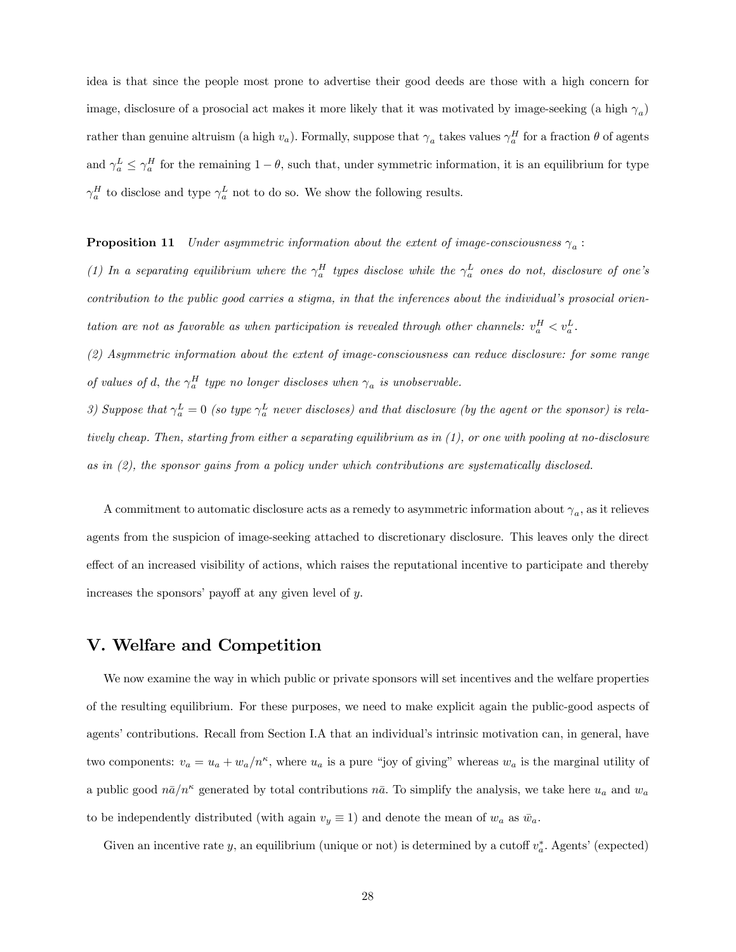idea is that since the people most prone to advertise their good deeds are those with a high concern for image, disclosure of a prosocial act makes it more likely that it was motivated by image-seeking (a high  $\gamma_a$ ) rather than genuine altruism (a high  $v_a$ ). Formally, suppose that  $\gamma_a$  takes values  $\gamma_a^H$  for a fraction  $\theta$  of agents and  $\gamma_a^L \leq \gamma_a^H$  for the remaining  $1 - \theta$ , such that, under symmetric information, it is an equilibrium for type  $\gamma_a^H$  to disclose and type  $\gamma_a^L$  not to do so. We show the following results.

**Proposition 11** Under asymmetric information about the extent of image-consciousness  $\gamma_a$ :

(1) In a separating equilibrium where the  $\gamma_a^H$  types disclose while the  $\gamma_a^L$  ones do not, disclosure of one's contribution to the public good carries a stigma, in that the inferences about the individual's prosocial orientation are not as favorable as when participation is revealed through other channels:  $v_a^H < v_a^L$ .

(2) Asymmetric information about the extent of image-consciousness can reduce disclosure: for some range of values of d, the  $\gamma_a^H$  type no longer discloses when  $\gamma_a$  is unobservable.

3) Suppose that  $\gamma_a^L = 0$  (so type  $\gamma_a^L$  never discloses) and that disclosure (by the agent or the sponsor) is relatively cheap. Then, starting from either a separating equilibrium as in (1), or one with pooling at no-disclosure as in (2), the sponsor gains from a policy under which contributions are systematically disclosed.

A commitment to automatic disclosure acts as a remedy to asymmetric information about  $\gamma_a$ , as it relieves agents from the suspicion of image-seeking attached to discretionary disclosure. This leaves only the direct effect of an increased visibility of actions, which raises the reputational incentive to participate and thereby increases the sponsors' payoff at any given level of y.

## V. Welfare and Competition

We now examine the way in which public or private sponsors will set incentives and the welfare properties of the resulting equilibrium. For these purposes, we need to make explicit again the public-good aspects of agents' contributions. Recall from Section I.A that an individual's intrinsic motivation can, in general, have two components:  $v_a = u_a + w_a/n^{\kappa}$ , where  $u_a$  is a pure "joy of giving" whereas  $w_a$  is the marginal utility of a public good  $n\bar{a}/n^{\kappa}$  generated by total contributions  $n\bar{a}$ . To simplify the analysis, we take here  $u_a$  and  $w_a$ to be independently distributed (with again  $v_y \equiv 1$ ) and denote the mean of  $w_a$  as  $\bar{w}_a$ .

Given an incentive rate y, an equilibrium (unique or not) is determined by a cutoff  $v_a^*$ . Agents' (expected)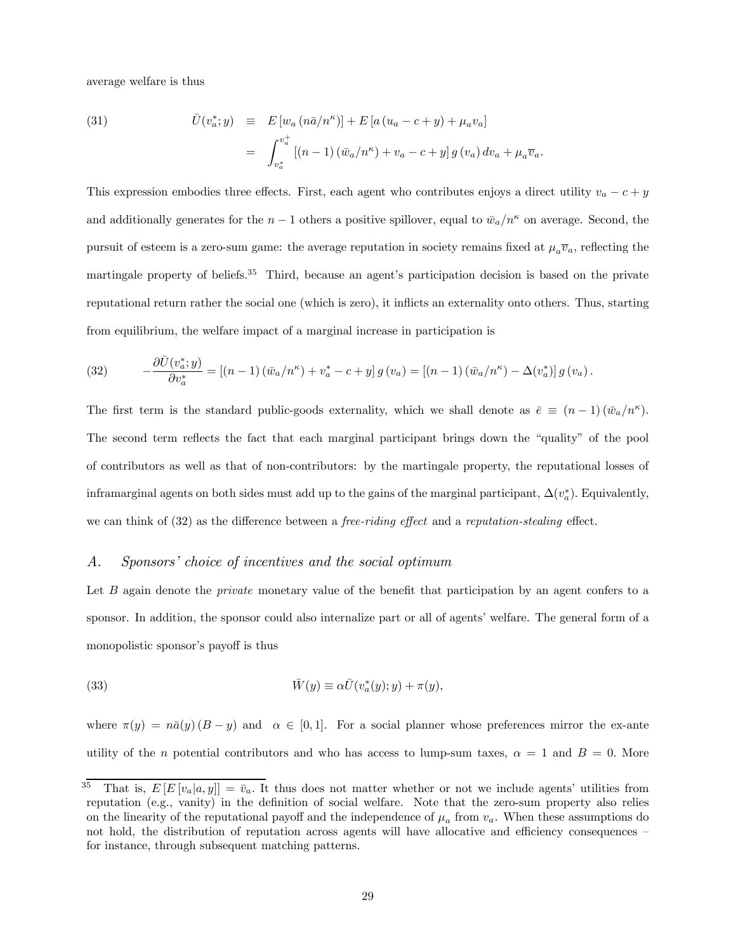average welfare is thus

(31) 
$$
\bar{U}(v_a^*; y) \equiv E[w_a (n\bar{a}/n^{\kappa})] + E[a(u_a - c + y) + \mu_a v_a]
$$

$$
= \int_{v_a^*}^{v_a^+} [(n-1) (\bar{w}_a/n^{\kappa}) + v_a - c + y] g(v_a) dv_a + \mu_a \bar{v}_a.
$$

This expression embodies three effects. First, each agent who contributes enjoys a direct utility  $v_a - c + y$ and additionally generates for the  $n-1$  others a positive spillover, equal to  $\bar{w}_a/n^{\kappa}$  on average. Second, the pursuit of esteem is a zero-sum game: the average reputation in society remains fixed at  $\mu_a \overline{v}_a$ , reflecting the martingale property of beliefs.<sup>35</sup> Third, because an agent's participation decision is based on the private reputational return rather the social one (which is zero), it inflicts an externality onto others. Thus, starting from equilibrium, the welfare impact of a marginal increase in participation is

(32) 
$$
-\frac{\partial \bar{U}(v_a^*; y)}{\partial v_a^*} = \left[ (n-1) \left( \bar{w}_a / n^{\kappa} \right) + v_a^* - c + y \right] g(v_a) = \left[ (n-1) \left( \bar{w}_a / n^{\kappa} \right) - \Delta(v_a^*) \right] g(v_a).
$$

The first term is the standard public-goods externality, which we shall denote as  $\bar{e} \equiv (n-1) (\bar{w}_a/n^{\kappa})$ . The second term reflects the fact that each marginal participant brings down the "quality" of the pool of contributors as well as that of non-contributors: by the martingale property, the reputational losses of inframarginal agents on both sides must add up to the gains of the marginal participant,  $\Delta(v_a^*)$ . Equivalently, we can think of (32) as the difference between a *free-riding effect* and a *reputation-stealing* effect.

### A. Sponsors' choice of incentives and the social optimum

Let B again denote the *private* monetary value of the benefit that participation by an agent confers to a sponsor. In addition, the sponsor could also internalize part or all of agents' welfare. The general form of a monopolistic sponsor's payoff is thus

(33) 
$$
\overline{W}(y) \equiv \alpha \overline{U}(v_a^*(y); y) + \pi(y),
$$

where  $\pi(y) = n\bar{a}(y) (B - y)$  and  $\alpha \in [0, 1]$ . For a social planner whose preferences mirror the ex-ante utility of the n potential contributors and who has access to lump-sum taxes,  $\alpha = 1$  and  $B = 0$ . More

<sup>&</sup>lt;sup>35</sup> That is,  $E[E[v_a|a, y]] = \bar{v}_a$ . It thus does not matter whether or not we include agents' utilities from reputation (e.g., vanity) in the definition of social welfare. Note that the zero-sum property also relies on the linearity of the reputational payoff and the independence of  $\mu_a$  from  $v_a$ . When these assumptions do not hold, the distribution of reputation across agents will have allocative and efficiency consequences – for instance, through subsequent matching patterns.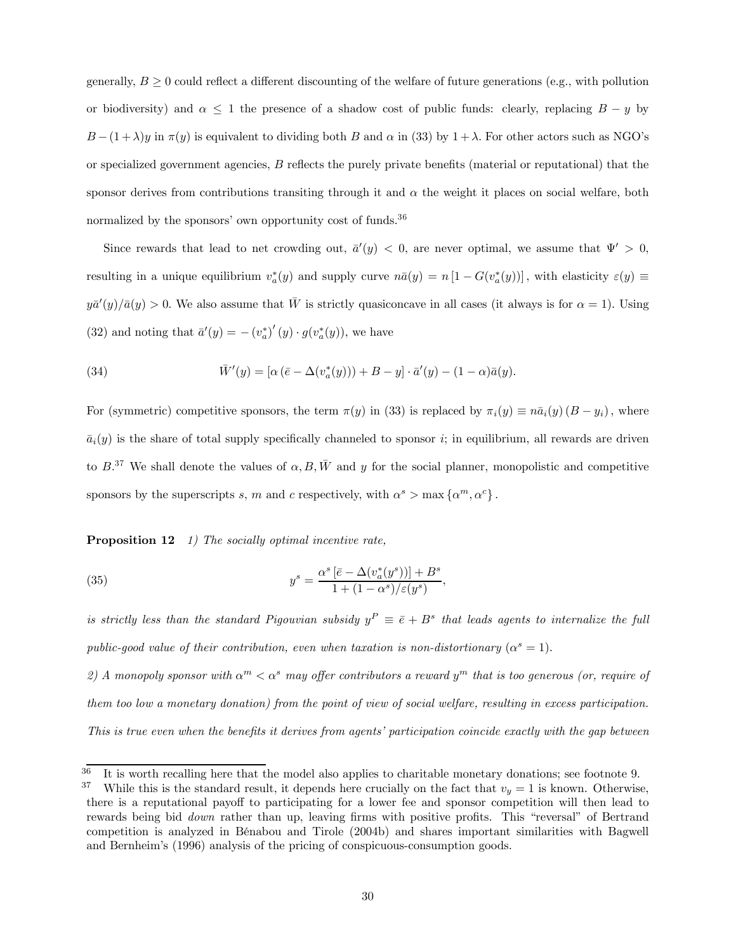generally,  $B \geq 0$  could reflect a different discounting of the welfare of future generations (e.g., with pollution or biodiversity) and  $\alpha \leq 1$  the presence of a shadow cost of public funds: clearly, replacing  $B - y$  by  $B-(1+\lambda)y$  in  $\pi(y)$  is equivalent to dividing both B and  $\alpha$  in (33) by  $1+\lambda$ . For other actors such as NGO's or specialized government agencies, B reflects the purely private benefits (material or reputational) that the sponsor derives from contributions transiting through it and  $\alpha$  the weight it places on social welfare, both normalized by the sponsors' own opportunity cost of funds.<sup>36</sup>

Since rewards that lead to net crowding out,  $\bar{a}'(y) < 0$ , are never optimal, we assume that  $\Psi' > 0$ , resulting in a unique equilibrium  $v_a^*(y)$  and supply curve  $n\bar{a}(y) = n[1 - G(v_a^*(y))]$ , with elasticity  $\varepsilon(y) \equiv$  $y\bar{a}'(y)/\bar{a}(y) > 0$ . We also assume that  $\bar{W}$  is strictly quasiconcave in all cases (it always is for  $\alpha = 1$ ). Using (32) and noting that  $\bar{a}'(y) = -(v_a^*)'(y) \cdot g(v_a^*(y))$ , we have

(34) 
$$
\overline{W}'(y) = [\alpha (\overline{e} - \Delta(v_a^*(y))) + B - y] \cdot \overline{a}'(y) - (1 - \alpha)\overline{a}(y).
$$

For (symmetric) competitive sponsors, the term  $\pi(y)$  in (33) is replaced by  $\pi_i(y) \equiv n\bar{a}_i(y) (B - y_i)$ , where  $\bar{a}_i(y)$  is the share of total supply specifically channeled to sponsor i; in equilibrium, all rewards are driven to B.<sup>37</sup> We shall denote the values of  $\alpha$ , B, W and y for the social planner, monopolistic and competitive sponsors by the superscripts s, m and c respectively, with  $\alpha^s > \max{\{\alpha^m, \alpha^c\}}$ .

Proposition 12 1) The socially optimal incentive rate,

(35) 
$$
y^{s} = \frac{\alpha^{s} \left[\bar{e} - \Delta(v_{a}^{*}(y^{s}))\right] + B^{s}}{1 + (1 - \alpha^{s})/\varepsilon(y^{s})},
$$

is strictly less than the standard Pigouvian subsidy  $y^P \equiv \bar{e} + B^s$  that leads agents to internalize the full public-good value of their contribution, even when taxation is non-distortionary ( $\alpha^{s} = 1$ ). 2) A monopoly sponsor with  $\alpha^m < \alpha^s$  may offer contributors a reward  $y^m$  that is too generous (or, require of them too low a monetary donation) from the point of view of social welfare, resulting in excess participation.

This is true even when the benefits it derives from agents' participation coincide exactly with the gap between

<sup>&</sup>lt;sup>36</sup> It is worth recalling here that the model also applies to charitable monetary donations; see footnote 9.<br><sup>37</sup> While this is the standard result, it depends here crucially on the fact that  $v_n = 1$  is known. Otherwise

While this is the standard result, it depends here crucially on the fact that  $v_y = 1$  is known. Otherwise, there is a reputational payoff to participating for a lower fee and sponsor competition will then lead to rewards being bid down rather than up, leaving firms with positive profits. This "reversal" of Bertrand competition is analyzed in Bénabou and Tirole (2004b) and shares important similarities with Bagwell and Bernheim's (1996) analysis of the pricing of conspicuous-consumption goods.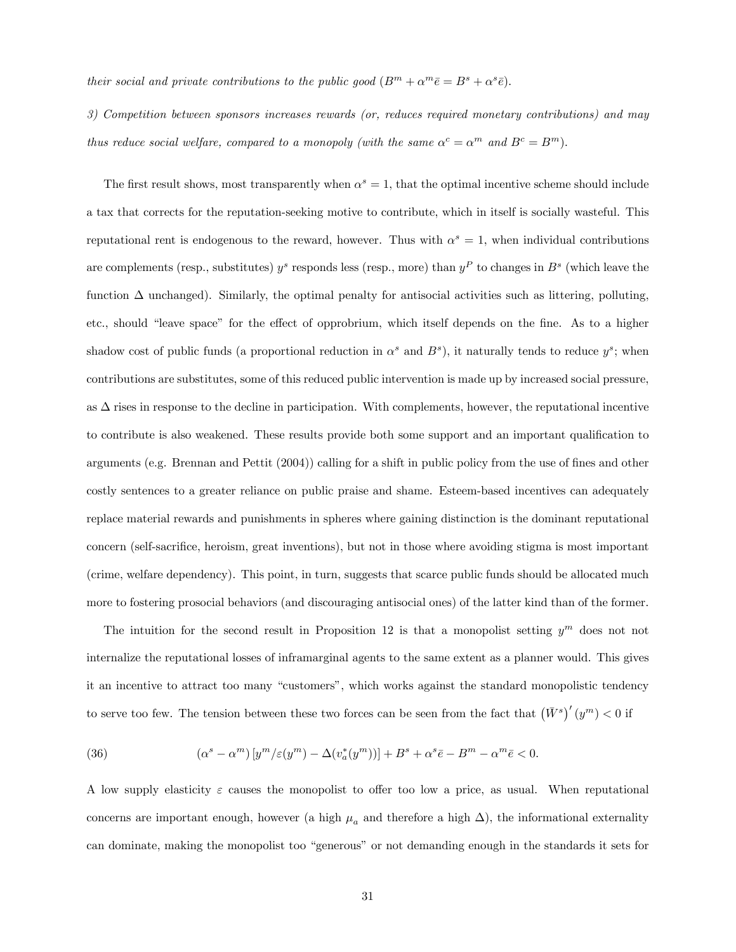their social and private contributions to the public good  $(B^m + \alpha^m \bar{e} = B^s + \alpha^s \bar{e}).$ 

3) Competition between sponsors increases rewards (or, reduces required monetary contributions) and may thus reduce social welfare, compared to a monopoly (with the same  $\alpha^c = \alpha^m$  and  $B^c = B^m$ ).

The first result shows, most transparently when  $\alpha^s = 1$ , that the optimal incentive scheme should include a tax that corrects for the reputation-seeking motive to contribute, which in itself is socially wasteful. This reputational rent is endogenous to the reward, however. Thus with  $\alpha^s = 1$ , when individual contributions are complements (resp., substitutes)  $y^s$  responds less (resp., more) than  $y^P$  to changes in  $B^s$  (which leave the function  $\Delta$  unchanged). Similarly, the optimal penalty for antisocial activities such as littering, polluting, etc., should "leave space" for the effect of opprobrium, which itself depends on the fine. As to a higher shadow cost of public funds (a proportional reduction in  $\alpha^s$  and  $B^s$ ), it naturally tends to reduce  $y^s$ ; when contributions are substitutes, some of this reduced public intervention is made up by increased social pressure, as ∆ rises in response to the decline in participation. With complements, however, the reputational incentive to contribute is also weakened. These results provide both some support and an important qualification to arguments (e.g. Brennan and Pettit (2004)) calling for a shift in public policy from the use of fines and other costly sentences to a greater reliance on public praise and shame. Esteem-based incentives can adequately replace material rewards and punishments in spheres where gaining distinction is the dominant reputational concern (self-sacrifice, heroism, great inventions), but not in those where avoiding stigma is most important (crime, welfare dependency). This point, in turn, suggests that scarce public funds should be allocated much more to fostering prosocial behaviors (and discouraging antisocial ones) of the latter kind than of the former.

The intuition for the second result in Proposition 12 is that a monopolist setting  $y^m$  does not not internalize the reputational losses of inframarginal agents to the same extent as a planner would. This gives it an incentive to attract too many "customers", which works against the standard monopolistic tendency to serve too few. The tension between these two forces can be seen from the fact that  $(\bar{W}^s)'(y^m) < 0$  if

(36) 
$$
(\alpha^s - \alpha^m) \left[ y^m / \varepsilon(y^m) - \Delta(v_a^*(y^m)) \right] + B^s + \alpha^s \overline{e} - B^m - \alpha^m \overline{e} < 0.
$$

A low supply elasticity  $\varepsilon$  causes the monopolist to offer too low a price, as usual. When reputational concerns are important enough, however (a high  $\mu_a$  and therefore a high  $\Delta$ ), the informational externality can dominate, making the monopolist too "generous" or not demanding enough in the standards it sets for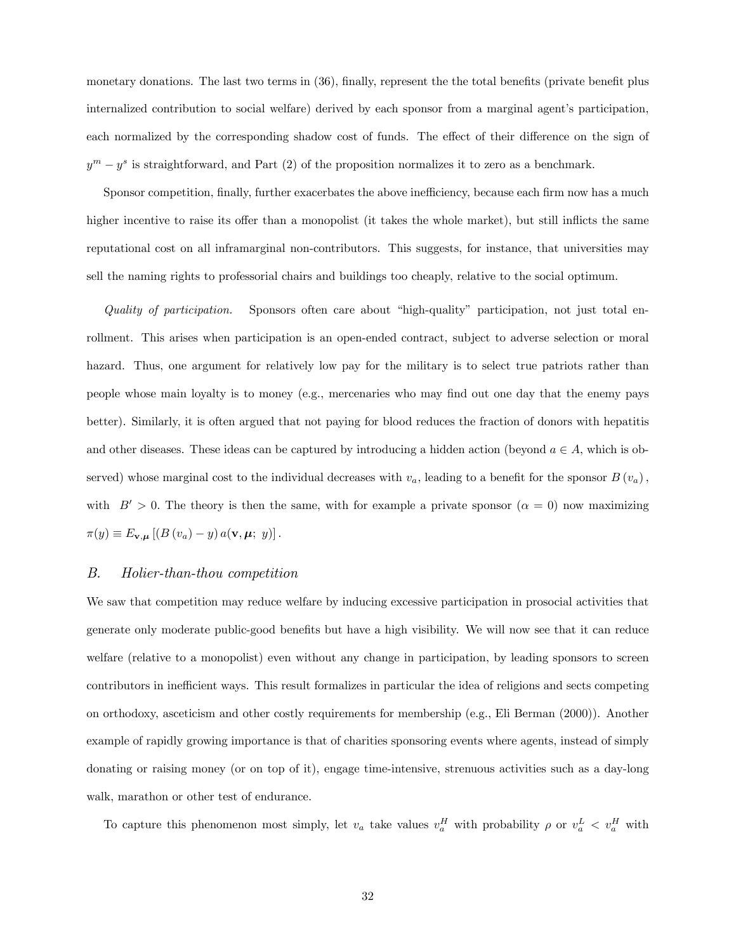monetary donations. The last two terms in (36), finally, represent the the total benefits (private benefit plus internalized contribution to social welfare) derived by each sponsor from a marginal agent's participation, each normalized by the corresponding shadow cost of funds. The effect of their difference on the sign of  $y^m - y^s$  is straightforward, and Part (2) of the proposition normalizes it to zero as a benchmark.

Sponsor competition, finally, further exacerbates the above inefficiency, because each firm now has a much higher incentive to raise its offer than a monopolist (it takes the whole market), but still inflicts the same reputational cost on all inframarginal non-contributors. This suggests, for instance, that universities may sell the naming rights to professorial chairs and buildings too cheaply, relative to the social optimum.

Quality of participation. Sponsors often care about "high-quality" participation, not just total enrollment. This arises when participation is an open-ended contract, subject to adverse selection or moral hazard. Thus, one argument for relatively low pay for the military is to select true patriots rather than people whose main loyalty is to money (e.g., mercenaries who may find out one day that the enemy pays better). Similarly, it is often argued that not paying for blood reduces the fraction of donors with hepatitis and other diseases. These ideas can be captured by introducing a hidden action (beyond  $a \in A$ , which is observed) whose marginal cost to the individual decreases with  $v_a$ , leading to a benefit for the sponsor  $B(v_a)$ , with  $B' > 0$ . The theory is then the same, with for example a private sponsor  $(\alpha = 0)$  now maximizing  $\pi(y) \equiv E_{\mathbf{v},\boldsymbol{\mu}} \left[ \left( B\left(v_a\right) - y\right) a(\mathbf{v},\boldsymbol{\mu};\ y) \right].$ 

#### B. Holier-than-thou competition

We saw that competition may reduce welfare by inducing excessive participation in prosocial activities that generate only moderate public-good benefits but have a high visibility. We will now see that it can reduce welfare (relative to a monopolist) even without any change in participation, by leading sponsors to screen contributors in inefficient ways. This result formalizes in particular the idea of religions and sects competing on orthodoxy, asceticism and other costly requirements for membership (e.g., Eli Berman (2000)). Another example of rapidly growing importance is that of charities sponsoring events where agents, instead of simply donating or raising money (or on top of it), engage time-intensive, strenuous activities such as a day-long walk, marathon or other test of endurance.

To capture this phenomenon most simply, let  $v_a$  take values  $v_a^H$  with probability  $\rho$  or  $v_a^L < v_a^H$  with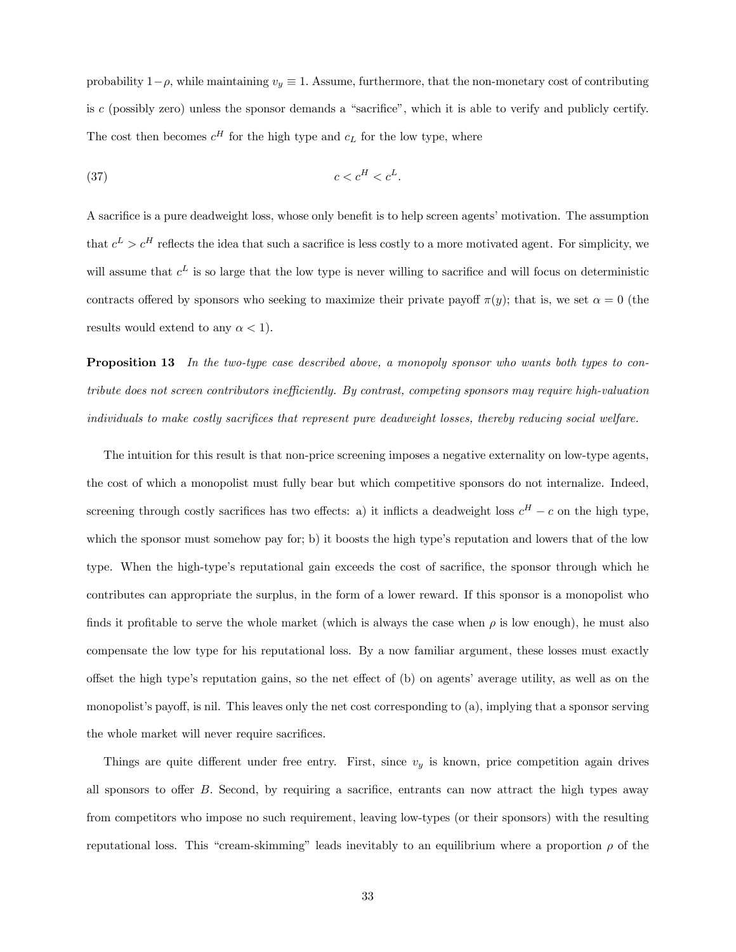probability  $1-\rho$ , while maintaining  $v_y \equiv 1$ . Assume, furthermore, that the non-monetary cost of contributing is c (possibly zero) unless the sponsor demands a "sacrifice", which it is able to verify and publicly certify. The cost then becomes  $c^H$  for the high type and  $c_L$  for the low type, where

$$
(37) \t\t c < c^H < c^L.
$$

A sacrifice is a pure deadweight loss, whose only benefit is to help screen agents' motivation. The assumption that  $c^L > c^H$  reflects the idea that such a sacrifice is less costly to a more motivated agent. For simplicity, we will assume that  $c^L$  is so large that the low type is never willing to sacrifice and will focus on deterministic contracts offered by sponsors who seeking to maximize their private payoff  $\pi(y)$ ; that is, we set  $\alpha = 0$  (the results would extend to any  $\alpha < 1$ .

Proposition 13 In the two-type case described above, a monopoly sponsor who wants both types to contribute does not screen contributors inefficiently. By contrast, competing sponsors may require high-valuation individuals to make costly sacrifices that represent pure deadweight losses, thereby reducing social welfare.

The intuition for this result is that non-price screening imposes a negative externality on low-type agents, the cost of which a monopolist must fully bear but which competitive sponsors do not internalize. Indeed, screening through costly sacrifices has two effects: a) it inflicts a deadweight loss  $c^H - c$  on the high type, which the sponsor must somehow pay for; b) it boosts the high type's reputation and lowers that of the low type. When the high-type's reputational gain exceeds the cost of sacrifice, the sponsor through which he contributes can appropriate the surplus, in the form of a lower reward. If this sponsor is a monopolist who finds it profitable to serve the whole market (which is always the case when  $\rho$  is low enough), he must also compensate the low type for his reputational loss. By a now familiar argument, these losses must exactly offset the high type's reputation gains, so the net effect of (b) on agents' average utility, as well as on the monopolist's payoff, is nil. This leaves only the net cost corresponding to (a), implying that a sponsor serving the whole market will never require sacrifices.

Things are quite different under free entry. First, since  $v_y$  is known, price competition again drives all sponsors to offer  $B$ . Second, by requiring a sacrifice, entrants can now attract the high types away from competitors who impose no such requirement, leaving low-types (or their sponsors) with the resulting reputational loss. This "cream-skimming" leads inevitably to an equilibrium where a proportion ρ of the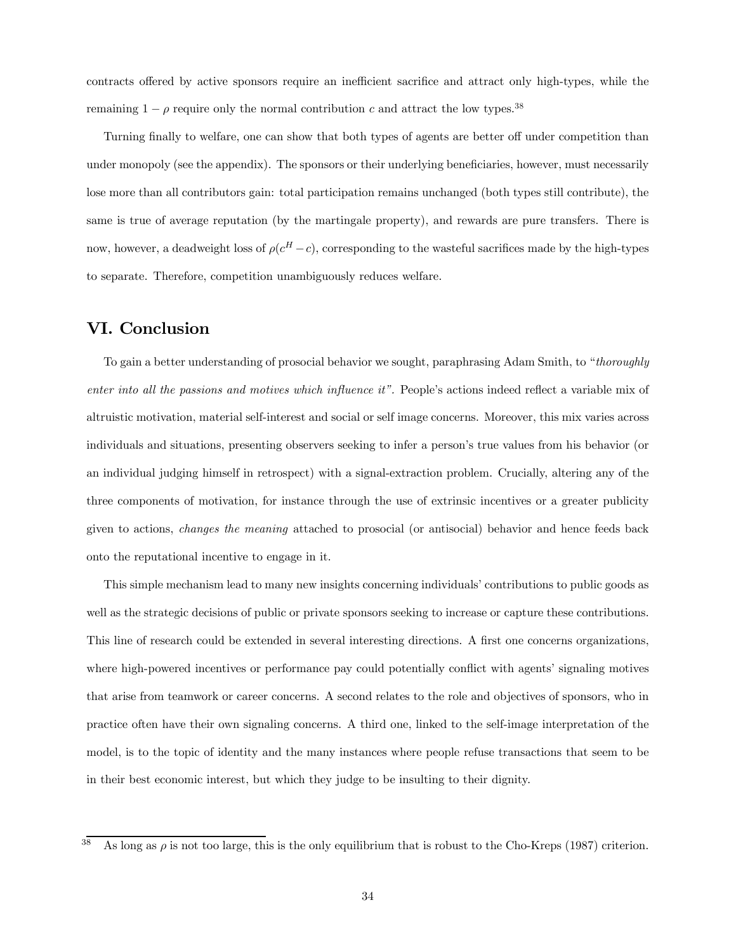contracts offered by active sponsors require an inefficient sacrifice and attract only high-types, while the remaining  $1 - \rho$  require only the normal contribution c and attract the low types.<sup>38</sup>

Turning finally to welfare, one can show that both types of agents are better off under competition than under monopoly (see the appendix). The sponsors or their underlying beneficiaries, however, must necessarily lose more than all contributors gain: total participation remains unchanged (both types still contribute), the same is true of average reputation (by the martingale property), and rewards are pure transfers. There is now, however, a deadweight loss of  $\rho(c^H - c)$ , corresponding to the wasteful sacrifices made by the high-types to separate. Therefore, competition unambiguously reduces welfare.

# VI. Conclusion

To gain a better understanding of prosocial behavior we sought, paraphrasing Adam Smith, to "thoroughly enter into all the passions and motives which influence it". People's actions indeed reflect a variable mix of altruistic motivation, material self-interest and social or self image concerns. Moreover, this mix varies across individuals and situations, presenting observers seeking to infer a person's true values from his behavior (or an individual judging himself in retrospect) with a signal-extraction problem. Crucially, altering any of the three components of motivation, for instance through the use of extrinsic incentives or a greater publicity given to actions, changes the meaning attached to prosocial (or antisocial) behavior and hence feeds back onto the reputational incentive to engage in it.

This simple mechanism lead to many new insights concerning individuals' contributions to public goods as well as the strategic decisions of public or private sponsors seeking to increase or capture these contributions. This line of research could be extended in several interesting directions. A first one concerns organizations, where high-powered incentives or performance pay could potentially conflict with agents' signaling motives that arise from teamwork or career concerns. A second relates to the role and objectives of sponsors, who in practice often have their own signaling concerns. A third one, linked to the self-image interpretation of the model, is to the topic of identity and the many instances where people refuse transactions that seem to be in their best economic interest, but which they judge to be insulting to their dignity.

As long as  $\rho$  is not too large, this is the only equilibrium that is robust to the Cho-Kreps (1987) criterion.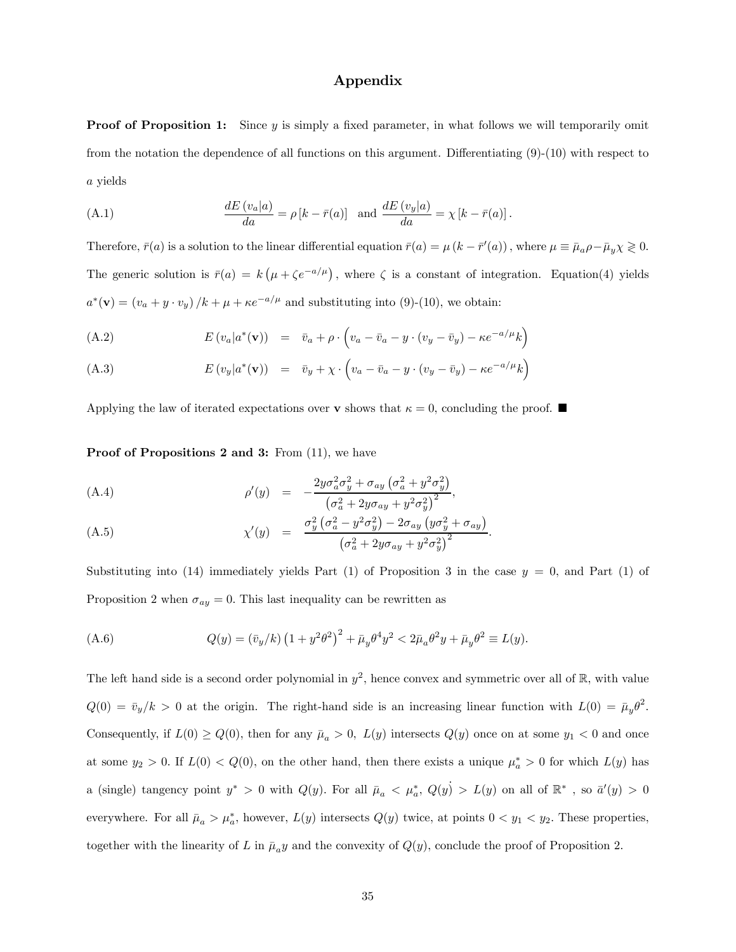### Appendix

**Proof of Proposition 1:** Since  $y$  is simply a fixed parameter, in what follows we will temporarily omit from the notation the dependence of all functions on this argument. Differentiating (9)-(10) with respect to a yields

(A.1) 
$$
\frac{dE(v_a|a)}{da} = \rho [k - \bar{r}(a)] \text{ and } \frac{dE(v_y|a)}{da} = \chi [k - \bar{r}(a)].
$$

Therefore,  $\bar{r}(a)$  is a solution to the linear differential equation  $\bar{r}(a) = \mu (k - \bar{r}'(a))$ , where  $\mu \equiv \bar{\mu}_a \rho - \bar{\mu}_y \chi \gtrless 0$ . The generic solution is  $\bar{r}(a) = k(\mu + \zeta e^{-a/\mu})$ , where  $\zeta$  is a constant of integration. Equation(4) yields  $a^*(\mathbf{v})=(v_a + y \cdot v_y)/k + \mu + \kappa e^{-a/\mu}$  and substituting into (9)-(10), we obtain:

(A.2) 
$$
E(v_a|a^*(\mathbf{v})) = \bar{v}_a + \rho \cdot (v_a - \bar{v}_a - y \cdot (v_y - \bar{v}_y) - \kappa e^{-a/\mu}k)
$$

(A.3) 
$$
E(v_y|a^*(\mathbf{v})) = \bar{v}_y + \chi \cdot \left(v_a - \bar{v}_a - y \cdot (v_y - \bar{v}_y) - \kappa e^{-a/\mu} k\right)
$$

Applying the law of iterated expectations over **v** shows that  $\kappa = 0$ , concluding the proof.  $\blacksquare$ 

Proof of Propositions 2 and 3: From (11), we have

(A.4) 
$$
\rho'(y) = -\frac{2y\sigma_a^2\sigma_y^2 + \sigma_{ay}(\sigma_a^2 + y^2\sigma_y^2)}{(\sigma_a^2 + 2y\sigma_{ay} + y^2\sigma_y^2)^2},
$$

(A.5) 
$$
\chi'(y) = \frac{\sigma_y^2 (\sigma_a^2 - y^2 \sigma_y^2) - 2 \sigma_{ay} (y \sigma_y^2 + \sigma_{ay})}{(\sigma_a^2 + 2y \sigma_{ay} + y^2 \sigma_y^2)^2}.
$$

Substituting into (14) immediately yields Part (1) of Proposition 3 in the case  $y = 0$ , and Part (1) of Proposition 2 when  $\sigma_{ay} = 0$ . This last inequality can be rewritten as

(A.6) 
$$
Q(y) = (\bar{v}_y/k) (1 + y^2 \theta^2)^2 + \bar{\mu}_y \theta^4 y^2 < 2\bar{\mu}_a \theta^2 y + \bar{\mu}_y \theta^2 \equiv L(y).
$$

The left hand side is a second order polynomial in  $y^2$ , hence convex and symmetric over all of R, with value  $Q(0) = \bar{v}_y/k > 0$  at the origin. The right-hand side is an increasing linear function with  $L(0) = \bar{\mu}_y \theta^2$ . Consequently, if  $L(0) \ge Q(0)$ , then for any  $\bar{\mu}_a > 0$ ,  $L(y)$  intersects  $Q(y)$  once on at some  $y_1 < 0$  and once at some  $y_2 > 0$ . If  $L(0) < Q(0)$ , on the other hand, then there exists a unique  $\mu_a^* > 0$  for which  $L(y)$  has a (single) tangency point  $y^* > 0$  with  $Q(y)$ . For all  $\bar{\mu}_a < \mu_a^*$ ,  $Q(y) > L(y)$  on all of  $\mathbb{R}^*$ , so  $\bar{a}'(y) > 0$ everywhere. For all  $\bar{\mu}_a > \mu_a^*$ , however,  $L(y)$  intersects  $Q(y)$  twice, at points  $0 < y_1 < y_2$ . These properties, together with the linearity of L in  $\bar{\mu}_a y$  and the convexity of  $Q(y)$ , conclude the proof of Proposition 2.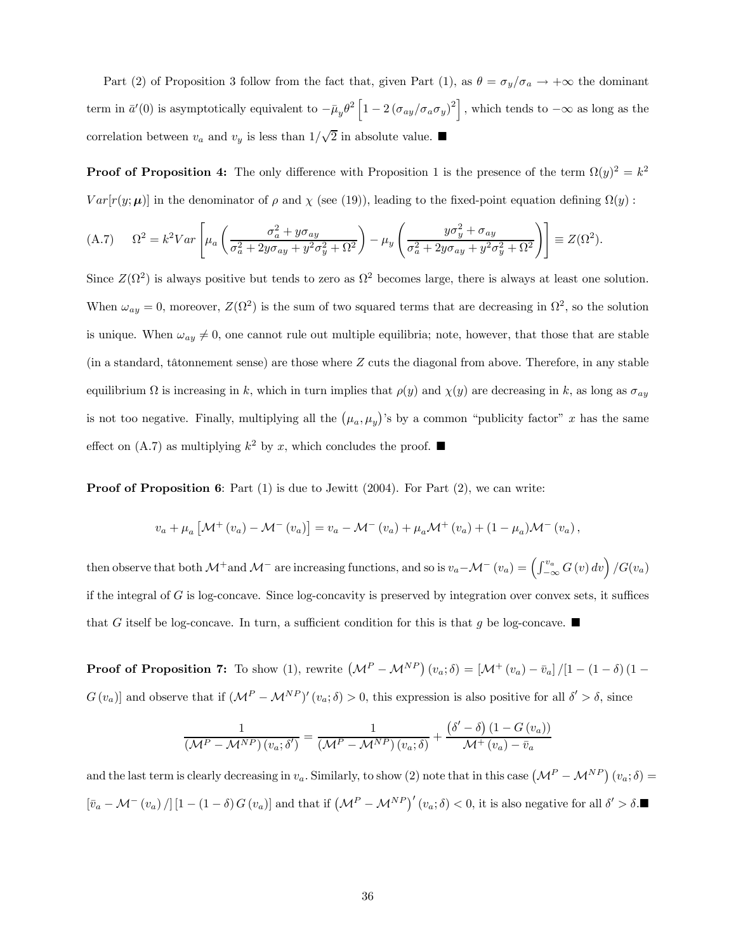Part (2) of Proposition 3 follow from the fact that, given Part (1), as  $\theta = \sigma_y/\sigma_a \rightarrow +\infty$  the dominant term in  $\bar{a}'(0)$  is asymptotically equivalent to  $-\bar{\mu}_y\theta^2\left[1-2\left(\sigma_{ay}/\sigma_a\sigma_y\right)^2\right]$ , which tends to  $-\infty$  as long as the correlation between  $v_a$  and  $v_y$  is less than  $1/\sqrt{2}$  in absolute value.

**Proof of Proposition 4:** The only difference with Proposition 1 is the presence of the term  $\Omega(y)^2 = k^2$  $Var[r(y; \mu)]$  in the denominator of  $\rho$  and  $\chi$  (see (19)), leading to the fixed-point equation defining  $\Omega(y)$ :

(A.7) 
$$
\Omega^2 = k^2 Var \left[ \mu_a \left( \frac{\sigma_a^2 + y \sigma_{ay}}{\sigma_a^2 + 2y \sigma_{ay} + y^2 \sigma_y^2 + \Omega^2} \right) - \mu_y \left( \frac{y \sigma_y^2 + \sigma_{ay}}{\sigma_a^2 + 2y \sigma_{ay} + y^2 \sigma_y^2 + \Omega^2} \right) \right] \equiv Z(\Omega^2).
$$

Since  $Z(\Omega^2)$  is always positive but tends to zero as  $\Omega^2$  becomes large, there is always at least one solution. When  $\omega_{ay} = 0$ , moreover,  $Z(\Omega^2)$  is the sum of two squared terms that are decreasing in  $\Omega^2$ , so the solution is unique. When  $\omega_{ay} \neq 0$ , one cannot rule out multiple equilibria; note, however, that those that are stable (in a standard, tâtonnement sense) are those where Z cuts the diagonal from above. Therefore, in any stable equilibrium  $\Omega$  is increasing in k, which in turn implies that  $\rho(y)$  and  $\chi(y)$  are decreasing in k, as long as  $\sigma_{ay}$ is not too negative. Finally, multiplying all the  $(\mu_a, \mu_y)$ 's by a common "publicity factor" x has the same effect on (A.7) as multiplying  $k^2$  by x, which concludes the proof.  $\blacksquare$ 

**Proof of Proposition 6**: Part (1) is due to Jewitt (2004). For Part (2), we can write:

$$
v_a + \mu_a [\mathcal{M}^+ (v_a) - \mathcal{M}^- (v_a)] = v_a - \mathcal{M}^- (v_a) + \mu_a \mathcal{M}^+ (v_a) + (1 - \mu_a) \mathcal{M}^- (v_a) ,
$$

then observe that both  $\mathcal{M}^+$  and  $\mathcal{M}^-$  are increasing functions, and so is  $v_a - \mathcal{M}^ (v_a) = \left(\int_{-\infty}^{v_a} G(v) dv\right)/G(v_a)$ if the integral of  $G$  is log-concave. Since log-concavity is preserved by integration over convex sets, it suffices that G itself be log-concave. In turn, a sufficient condition for this is that g be log-concave.

**Proof of Proposition 7:** To show (1), rewrite  $(\mathcal{M}^P - \mathcal{M}^{NP}) (v_a; \delta) = [\mathcal{M}^+ (v_a) - \bar{v}_a]/[1 - (1 - \delta)(1 G(v_a)$ ] and observe that if  $(M^P - M^{NP})'(v_a; \delta) > 0$ , this expression is also positive for all  $\delta' > \delta$ , since

$$
\frac{1}{\left(\mathcal{M}^P - \mathcal{M}^{NP}\right)\left(v_a; \delta'\right)} = \frac{1}{\left(\mathcal{M}^P - \mathcal{M}^{NP}\right)\left(v_a; \delta\right)} + \frac{\left(\delta' - \delta\right)\left(1 - G\left(v_a\right)\right)}{\mathcal{M}^+\left(v_a\right) - \bar{v}_a}
$$

and the last term is clearly decreasing in  $v_a$ . Similarly, to show (2) note that in this case  $(\mathcal{M}^P - \mathcal{M}^{NP}) (v_a; \delta) =$  $[\bar{v}_a - \mathcal{M}^-(v_a)] [1 - (1 - \delta) G (v_a)]$  and that if  $(\mathcal{M}^P - \mathcal{M}^{NP})' (v_a; \delta) < 0$ , it is also negative for all  $\delta' > \delta$ .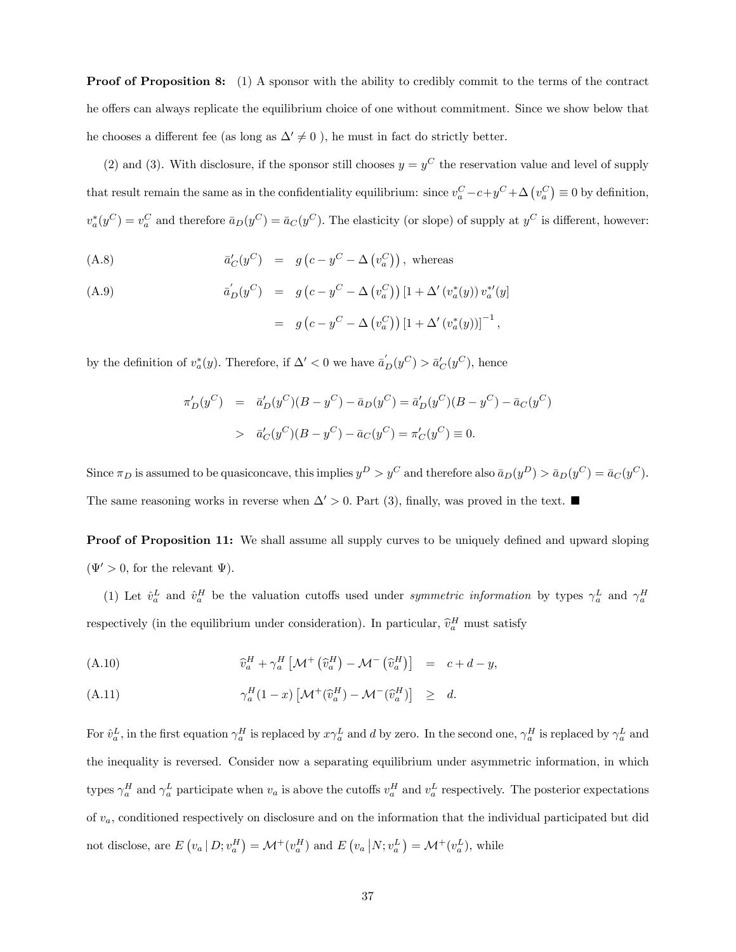**Proof of Proposition 8:** (1) A sponsor with the ability to credibly commit to the terms of the contract he offers can always replicate the equilibrium choice of one without commitment. Since we show below that he chooses a different fee (as long as  $\Delta' \neq 0$ ), he must in fact do strictly better.

(2) and (3). With disclosure, if the sponsor still chooses  $y = y^C$  the reservation value and level of supply that result remain the same as in the confidentiality equilibrium: since  $v_a^C - c + y^C + \Delta (v_a^C) \equiv 0$  by definition,  $v_a^*(y^C) = v_a^C$  and therefore  $\bar{a}_D(y^C) = \bar{a}_C(y^C)$ . The elasticity (or slope) of supply at  $y^C$  is different, however:

(A.8) 
$$
\bar{a}'_C(y^C) = g(c - y^C - \Delta(v_a^C)), \text{ whereas}
$$

(A.9) 
$$
\bar{a}'_D(y^C) = g(c - y^C - \Delta(v_a^C)) [1 + \Delta'(v_a^*(y)) v_a^{*'}(y)]
$$

$$
= g(c - y^C - \Delta(v_a^C)) [1 + \Delta'(v_a^*(y))]^{-1},
$$

by the definition of  $v_a^*(y)$ . Therefore, if  $\Delta' < 0$  we have  $\overline{a}_D'(y^C) > \overline{a}_C'(y^C)$ , hence

$$
\pi'_D(y^C) = \bar{a}'_D(y^C)(B - y^C) - \bar{a}_D(y^C) = \bar{a}'_D(y^C)(B - y^C) - \bar{a}_C(y^C)
$$
  
> 
$$
\bar{a}'_C(y^C)(B - y^C) - \bar{a}_C(y^C) = \pi'_C(y^C) \equiv 0.
$$

Since  $\pi_D$  is assumed to be quasiconcave, this implies  $y^D > y^C$  and therefore also  $\bar{a}_D(y^D) > \bar{a}_D (y^C) = \bar{a}_C (y^C)$ . The same reasoning works in reverse when  $\Delta' > 0$ . Part (3), finally, was proved in the text. ■

**Proof of Proposition 11:** We shall assume all supply curves to be uniquely defined and upward sloping  $(\Psi' > 0, \text{ for the relevant } \Psi).$ 

(1) Let  $\hat{v}_a^L$  and  $\hat{v}_a^H$  be the valuation cutoffs used under *symmetric information* by types  $\gamma_a^L$  and  $\gamma_a^H$ respectively (in the equilibrium under consideration). In particular,  $\widehat{v}_a^H$  must satisfy

$$
\widehat{v}_a^H + \gamma_a^H \left[ \mathcal{M}^+ \left( \widehat{v}_a^H \right) - \mathcal{M}^- \left( \widehat{v}_a^H \right) \right] = c + d - y,
$$

(A.11)  $\gamma_a^H(1-x)\left[\mathcal{M}^+(\hat{v}_a^H) - \mathcal{M}^-(\hat{v}_a^H)\right] \geq d.$ 

For  $\hat{v}_a^L$ , in the first equation  $\gamma_a^H$  is replaced by  $x\gamma_a^L$  and d by zero. In the second one,  $\gamma_a^H$  is replaced by  $\gamma_a^L$  and the inequality is reversed. Consider now a separating equilibrium under asymmetric information, in which types  $\gamma_a^H$  and  $\gamma_a^L$  participate when  $v_a$  is above the cutoffs  $v_a^H$  and  $v_a^L$  respectively. The posterior expectations of  $v_a$ , conditioned respectively on disclosure and on the information that the individual participated but did not disclose, are  $E(v_a | D; v_a^H) = \mathcal{M}^+(v_a^H)$  and  $E(v_a | N; v_a^L) = \mathcal{M}^+(v_a^L)$ , while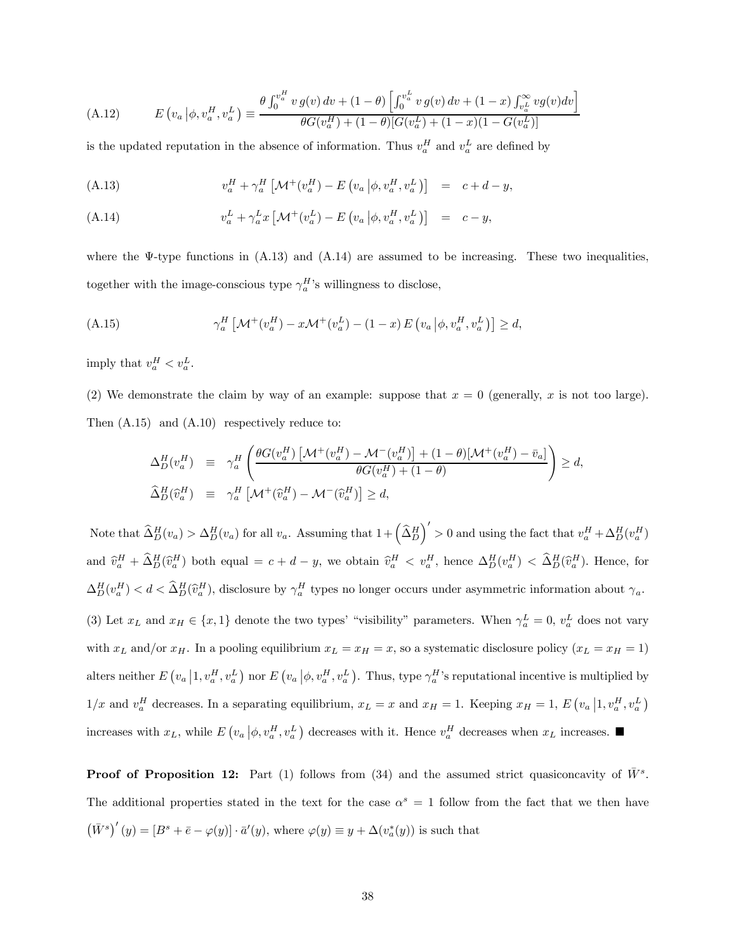$$
(A.12) \t E\left(v_a \middle| \phi, v_a^H, v_a^L\right) \equiv \frac{\theta \int_0^{v_a^H} v g(v) \, dv + (1 - \theta) \left[\int_0^{v_a^L} v g(v) \, dv + (1 - x) \int_{v_a^L}^{\infty} v g(v) \, dv\right]}{\theta G(v_a^H) + (1 - \theta) [G(v_a^L) + (1 - x)(1 - G(v_a^L)]}
$$

is the updated reputation in the absence of information. Thus  $v_a^H$  and  $v_a^L$  are defined by

(A.13) 
$$
v_a^H + \gamma_a^H \left[ \mathcal{M}^+(v_a^H) - E\left(v_a \middle| \phi, v_a^H, v_a^L\right) \right] = c + d - y,
$$

(A.14) 
$$
v_a^L + \gamma_a^L x \left[ \mathcal{M}^+(v_a^L) - E \left( v_a \left| \phi, v_a^H, v_a^L \right) \right] \right] = c - y,
$$

where the  $\Psi$ -type functions in  $(A.13)$  and  $(A.14)$  are assumed to be increasing. These two inequalities, together with the image-conscious type  $\gamma_a^H$ 's willingness to disclose,

(A.15) 
$$
\gamma_a^H \left[ \mathcal{M}^+(v_a^H) - x \mathcal{M}^+(v_a^L) - (1-x) E\left(v_a \middle| \phi, v_a^H, v_a^L\right) \right] \geq d,
$$

imply that  $v_a^H < v_a^L$ .

(2) We demonstrate the claim by way of an example: suppose that  $x = 0$  (generally, x is not too large). Then (A.15) and (A.10) respectively reduce to:

$$
\Delta_D^H(v_a^H) \equiv \gamma_a^H \left( \frac{\theta G(v_a^H) \left[ \mathcal{M}^+(v_a^H) - \mathcal{M}^-(v_a^H) \right] + (1 - \theta) [\mathcal{M}^+(v_a^H) - \bar{v}_a]}{\theta G(v_a^H) + (1 - \theta)} \right) \ge d,
$$
\n
$$
\widehat{\Delta}_D^H(\widehat{v}_a^H) \equiv \gamma_a^H \left[ \mathcal{M}^+(\widehat{v}_a^H) - \mathcal{M}^-(\widehat{v}_a^H) \right] \ge d,
$$

Note that  $\widehat{\Delta}_{D}^{H}(v_{a}) > \Delta_{D}^{H}(v_{a})$  for all  $v_{a}$ . Assuming that  $1 + \left(\widehat{\Delta}_{D}^{H}\right)' > 0$  and using the fact that  $v_{a}^{H} + \Delta_{D}^{H}(v_{a}^{H})$ and  $\hat{v}_a^H + \hat{\Delta}_D^H(\hat{v}_a^H)$  both equal =  $c + d - y$ , we obtain  $\hat{v}_a^H < v_a^H$ , hence  $\Delta_D^H(v_a^H) < \hat{\Delta}_D^H(\hat{v}_a^H)$ . Hence, for  $\Delta_D^H(v_a^H) < d < \hat{\Delta}_D^H(\hat{v}_a^H)$ , disclosure by  $\gamma_a^H$  types no longer occurs under asymmetric information about  $\gamma_a$ . (3) Let  $x_L$  and  $x_H \in \{x, 1\}$  denote the two types' "visibility" parameters. When  $\gamma_a^L = 0$ ,  $v_a^L$  does not vary with  $x_L$  and/or  $x_H$ . In a pooling equilibrium  $x_L = x_H = x$ , so a systematic disclosure policy  $(x_L = x_H = 1)$ alters neither  $E\left(v_a\left|1, v_a^H, v_a^L\right.\right)$  nor  $E\left(v_a\left|\phi, v_a^H, v_a^L\right.\right)$ . Thus, type  $\gamma_a^H$ 's reputational incentive is multiplied by  $1/x$  and  $v_a^H$  decreases. In a separating equilibrium,  $x_L = x$  and  $x_H = 1$ . Keeping  $x_H = 1$ ,  $E(v_a | 1, v_a^H, v_a^L)$ increases with  $x_L$ , while  $E(v_a | \phi, v_a^H, v_a^L)$  decreases with it. Hence  $v_a^H$  decreases when  $x_L$  increases.

**Proof of Proposition 12:** Part (1) follows from (34) and the assumed strict quasiconcavity of  $\bar{W}^s$ . The additional properties stated in the text for the case  $\alpha^{s} = 1$  follow from the fact that we then have  $(\bar{W}^s)'(y) = [B^s + \bar{e} - \varphi(y)] \cdot \bar{a}'(y)$ , where  $\varphi(y) \equiv y + \Delta(v_a^*(y))$  is such that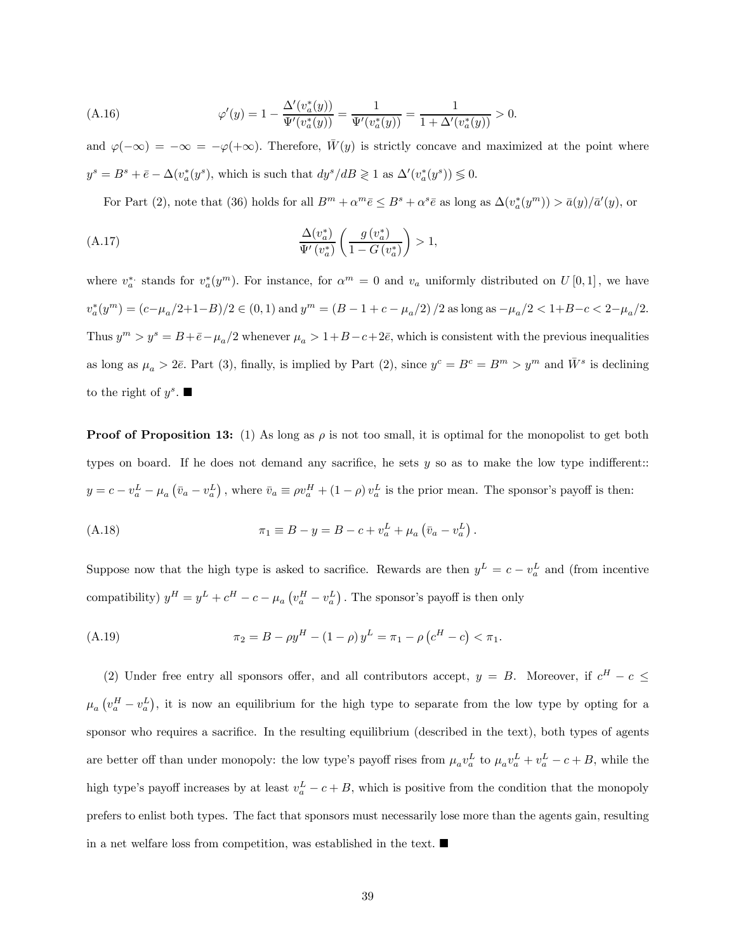(A.16) 
$$
\varphi'(y) = 1 - \frac{\Delta'(v_a^*(y))}{\Psi'(v_a^*(y))} = \frac{1}{\Psi'(v_a^*(y))} = \frac{1}{1 + \Delta'(v_a^*(y))} > 0.
$$

and  $\varphi(-\infty) = -\infty = -\varphi(+\infty)$ . Therefore,  $\bar{W}(y)$  is strictly concave and maximized at the point where  $y^{s} = B^{s} + \bar{e} - \Delta(v_a^*(y^{s}),$  which is such that  $dy^{s}/dB \geq 1$  as  $\Delta'(v_a^*(y^{s})) \leq 0$ .

For Part (2), note that (36) holds for all  $B^m + \alpha^m \bar{e} \leq B^s + \alpha^s \bar{e}$  as long as  $\Delta(v_a^*(y^m)) > \bar{a}(y)/\bar{a}'(y)$ , or

(A.17) 
$$
\frac{\Delta(v_a^*)}{\Psi'(v_a^*)}\left(\frac{g(v_a^*)}{1-G(v_a^*)}\right) > 1,
$$

where  $v_a^*$  stands for  $v_a^*(y^m)$ . For instance, for  $\alpha^m = 0$  and  $v_a$  uniformly distributed on  $U[0,1]$ , we have  $v_a^*(y^m) = (c - \mu_a/2 + 1 - B)/2 \in (0, 1)$  and  $y^m = (B - 1 + c - \mu_a/2)/2$  as long as  $-\mu_a/2 < 1 + B - c < 2 - \mu_a/2$ . Thus  $y^m > y^s = B + \bar{e} - \mu_a/2$  whenever  $\mu_a > 1 + B - c + 2\bar{e}$ , which is consistent with the previous inequalities as long as  $\mu_a > 2\bar{e}$ . Part (3), finally, is implied by Part (2), since  $y^c = B^c = B^m > y^m$  and  $\bar{W}^s$  is declining to the right of  $y^s$ .

**Proof of Proposition 13:** (1) As long as  $\rho$  is not too small, it is optimal for the monopolist to get both types on board. If he does not demand any sacrifice, he sets  $y$  so as to make the low type indifferent::  $y = c - v_a^L - \mu_a \left(\bar{v}_a - v_a^L\right)$ , where  $\bar{v}_a \equiv \rho v_a^H + (1 - \rho) v_a^L$  is the prior mean. The sponsor's payoff is then:

(A.18) 
$$
\pi_1 \equiv B - y = B - c + v_a^L + \mu_a \left( \bar{v}_a - v_a^L \right).
$$

Suppose now that the high type is asked to sacrifice. Rewards are then  $y^L = c - v_a^L$  and (from incentive compatibility)  $y^H = y^L + c^H - c - \mu_a \left( v_a^H - v_a^L \right)$ . The sponsor's payoff is then only

(A.19) 
$$
\pi_2 = B - \rho y^H - (1 - \rho) y^L = \pi_1 - \rho (c^H - c) < \pi_1.
$$

(2) Under free entry all sponsors offer, and all contributors accept,  $y = B$ . Moreover, if  $c^H - c \leq$  $\mu_a \left( v_a^H - v_a^L \right)$ , it is now an equilibrium for the high type to separate from the low type by opting for a sponsor who requires a sacrifice. In the resulting equilibrium (described in the text), both types of agents are better off than under monopoly: the low type's payoff rises from  $\mu_a v_a^L$  to  $\mu_a v_a^L + v_a^L - c + B$ , while the high type's payoff increases by at least  $v_a^L - c + B$ , which is positive from the condition that the monopoly prefers to enlist both types. The fact that sponsors must necessarily lose more than the agents gain, resulting in a net welfare loss from competition, was established in the text.  $\blacksquare$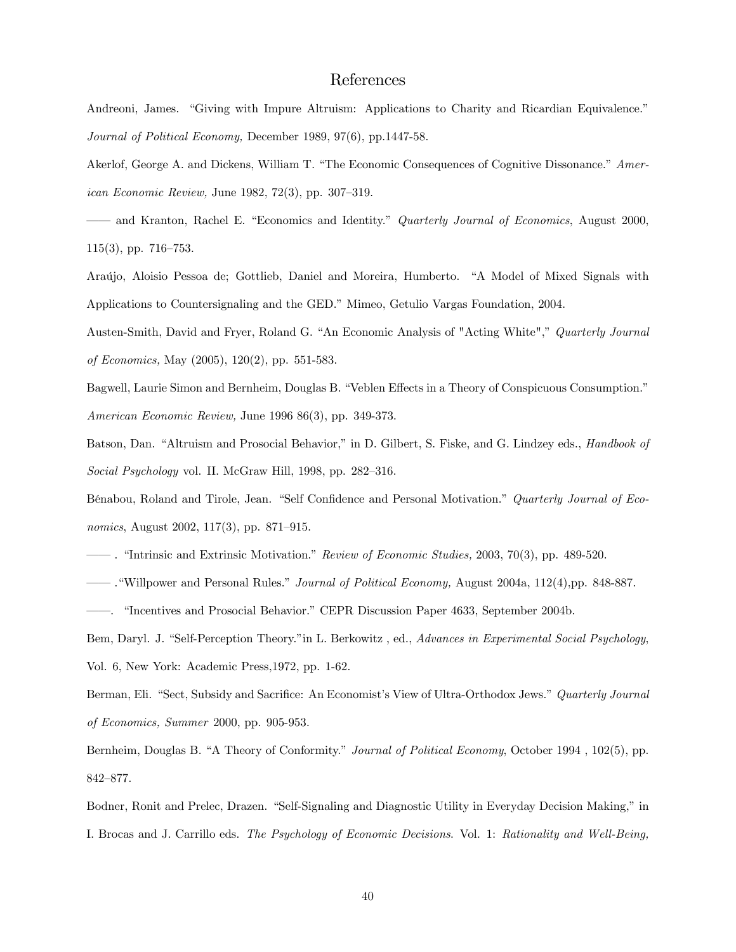## References

Andreoni, James. "Giving with Impure Altruism: Applications to Charity and Ricardian Equivalence." Journal of Political Economy, December 1989, 97(6), pp.1447-58.

Akerlof, George A. and Dickens, William T. "The Economic Consequences of Cognitive Dissonance." American Economic Review, June 1982, 72(3), pp. 307—319.

–– and Kranton, Rachel E. "Economics and Identity." Quarterly Journal of Economics, August 2000, 115(3), pp. 716—753.

Araújo, Aloisio Pessoa de; Gottlieb, Daniel and Moreira, Humberto. "A Model of Mixed Signals with Applications to Countersignaling and the GED." Mimeo, Getulio Vargas Foundation, 2004.

Austen-Smith, David and Fryer, Roland G. "An Economic Analysis of "Acting White"," Quarterly Journal of Economics, May (2005), 120(2), pp. 551-583.

Bagwell, Laurie Simon and Bernheim, Douglas B. "Veblen Effects in a Theory of Conspicuous Consumption." American Economic Review, June 1996 86(3), pp. 349-373.

Batson, Dan. "Altruism and Prosocial Behavior," in D. Gilbert, S. Fiske, and G. Lindzey eds., Handbook of Social Psychology vol. II. McGraw Hill, 1998, pp. 282—316.

Bénabou, Roland and Tirole, Jean. "Self Confidence and Personal Motivation." Quarterly Journal of Economics, August 2002, 117(3), pp. 871—915.

- –– . "Intrinsic and Extrinsic Motivation." Review of Economic Studies, 2003, 70(3), pp. 489-520.
- –– ."Willpower and Personal Rules." Journal of Political Economy, August 2004a, 112(4),pp. 848-887.
- ––. "Incentives and Prosocial Behavior." CEPR Discussion Paper 4633, September 2004b.
- Bem, Daryl. J. "Self-Perception Theory."in L. Berkowitz , ed., Advances in Experimental Social Psychology, Vol. 6, New York: Academic Press,1972, pp. 1-62.
- Berman, Eli. "Sect, Subsidy and Sacrifice: An Economist's View of Ultra-Orthodox Jews." Quarterly Journal of Economics, Summer 2000, pp. 905-953.

Bernheim, Douglas B. "A Theory of Conformity." Journal of Political Economy, October 1994, 102(5), pp. 842—877.

Bodner, Ronit and Prelec, Drazen. "Self-Signaling and Diagnostic Utility in Everyday Decision Making," in I. Brocas and J. Carrillo eds. The Psychology of Economic Decisions. Vol. 1: Rationality and Well-Being,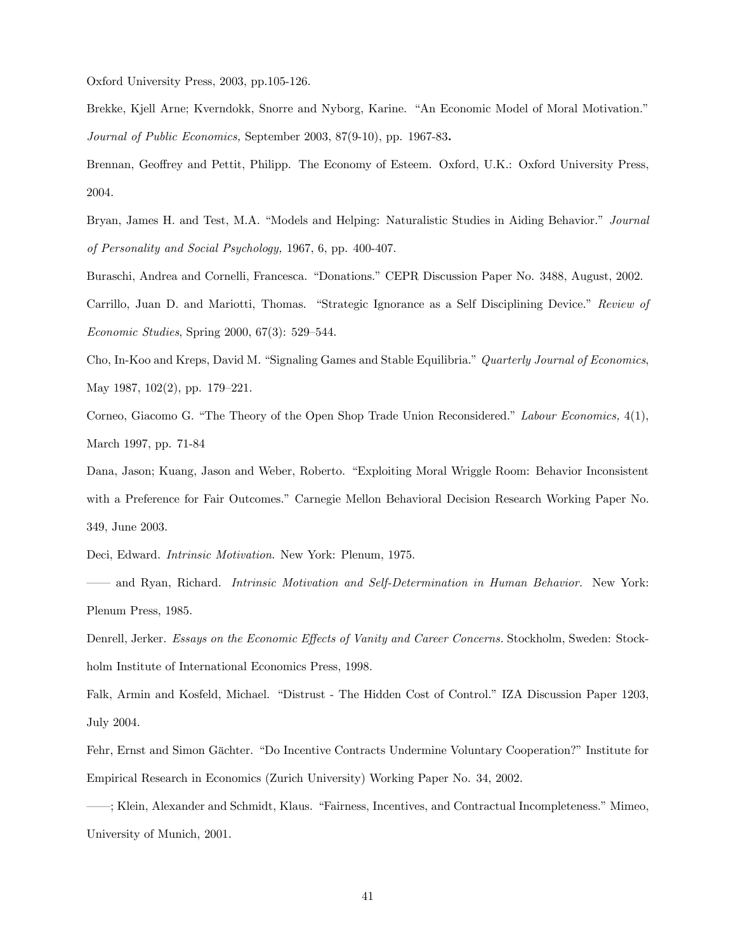Oxford University Press, 2003, pp.105-126.

Brekke, Kjell Arne; Kverndokk, Snorre and Nyborg, Karine. "An Economic Model of Moral Motivation." Journal of Public Economics, September 2003, 87(9-10), pp. 1967-83.

Brennan, Geoffrey and Pettit, Philipp. The Economy of Esteem. Oxford, U.K.: Oxford University Press, 2004.

Bryan, James H. and Test, M.A. "Models and Helping: Naturalistic Studies in Aiding Behavior." Journal of Personality and Social Psychology, 1967, 6, pp. 400-407.

Buraschi, Andrea and Cornelli, Francesca. "Donations." CEPR Discussion Paper No. 3488, August, 2002.

Carrillo, Juan D. and Mariotti, Thomas. "Strategic Ignorance as a Self Disciplining Device." Review of Economic Studies, Spring 2000, 67(3): 529—544.

Cho, In-Koo and Kreps, David M. "Signaling Games and Stable Equilibria." Quarterly Journal of Economics, May 1987, 102(2), pp. 179—221.

Corneo, Giacomo G. "The Theory of the Open Shop Trade Union Reconsidered." Labour Economics, 4(1), March 1997, pp. 71-84

Dana, Jason; Kuang, Jason and Weber, Roberto. "Exploiting Moral Wriggle Room: Behavior Inconsistent with a Preference for Fair Outcomes." Carnegie Mellon Behavioral Decision Research Working Paper No. 349, June 2003.

Deci, Edward. Intrinsic Motivation. New York: Plenum, 1975.

–– and Ryan, Richard. Intrinsic Motivation and Self-Determination in Human Behavior. New York: Plenum Press, 1985.

Denrell, Jerker. Essays on the Economic Effects of Vanity and Career Concerns. Stockholm, Sweden: Stockholm Institute of International Economics Press, 1998.

Falk, Armin and Kosfeld, Michael. "Distrust - The Hidden Cost of Control." IZA Discussion Paper 1203, July 2004.

Fehr, Ernst and Simon Gächter. "Do Incentive Contracts Undermine Voluntary Cooperation?" Institute for Empirical Research in Economics (Zurich University) Working Paper No. 34, 2002.

––; Klein, Alexander and Schmidt, Klaus. "Fairness, Incentives, and Contractual Incompleteness." Mimeo, University of Munich, 2001.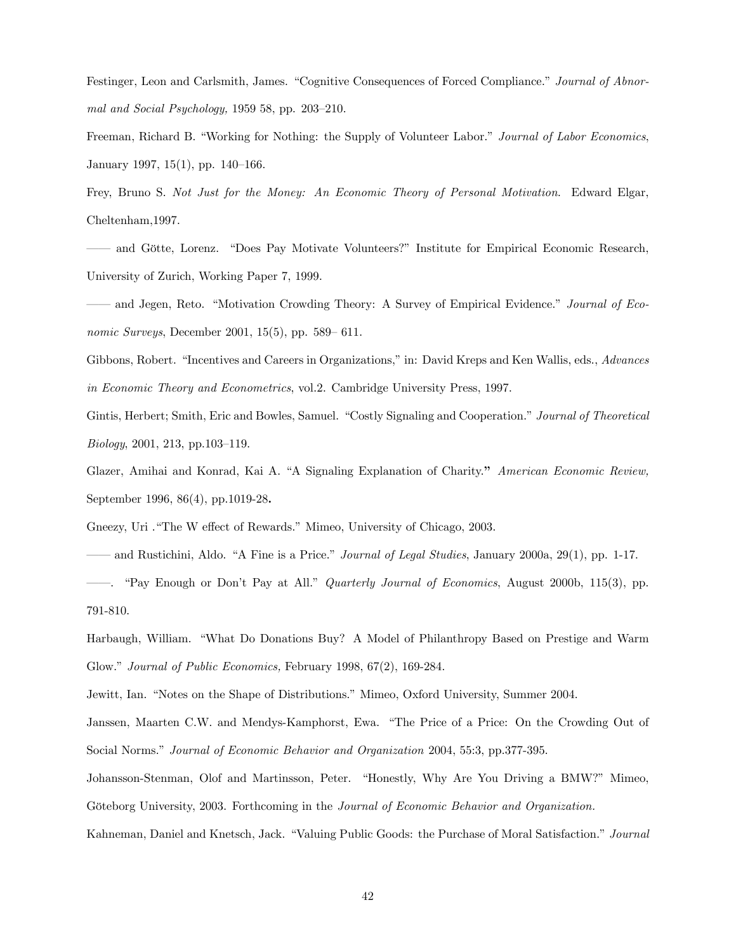Festinger, Leon and Carlsmith, James. "Cognitive Consequences of Forced Compliance." Journal of Abnormal and Social Psychology, 1959 58, pp. 203—210.

Freeman, Richard B. "Working for Nothing: the Supply of Volunteer Labor." Journal of Labor Economics, January 1997, 15(1), pp. 140—166.

Frey, Bruno S. Not Just for the Money: An Economic Theory of Personal Motivation. Edward Elgar, Cheltenham,1997.

–– and Götte, Lorenz. "Does Pay Motivate Volunteers?" Institute for Empirical Economic Research, University of Zurich, Working Paper 7, 1999.

–– and Jegen, Reto. "Motivation Crowding Theory: A Survey of Empirical Evidence." Journal of Economic Surveys, December 2001, 15(5), pp. 589— 611.

Gibbons, Robert. "Incentives and Careers in Organizations," in: David Kreps and Ken Wallis, eds., Advances in Economic Theory and Econometrics, vol.2. Cambridge University Press, 1997.

Gintis, Herbert; Smith, Eric and Bowles, Samuel. "Costly Signaling and Cooperation." Journal of Theoretical Biology, 2001, 213, pp.103—119.

Glazer, Amihai and Konrad, Kai A. "A Signaling Explanation of Charity." American Economic Review, September 1996, 86(4), pp.1019-28.

Gneezy, Uri ."The W effect of Rewards." Mimeo, University of Chicago, 2003.

–– and Rustichini, Aldo. "A Fine is a Price." Journal of Legal Studies, January 2000a, 29(1), pp. 1-17.

––. "Pay Enough or Don't Pay at All." Quarterly Journal of Economics, August 2000b, 115(3), pp. 791-810.

Harbaugh, William. "What Do Donations Buy? A Model of Philanthropy Based on Prestige and Warm Glow." Journal of Public Economics, February 1998, 67(2), 169-284.

Jewitt, Ian. "Notes on the Shape of Distributions." Mimeo, Oxford University, Summer 2004.

Janssen, Maarten C.W. and Mendys-Kamphorst, Ewa. "The Price of a Price: On the Crowding Out of Social Norms." Journal of Economic Behavior and Organization 2004, 55:3, pp.377-395.

Johansson-Stenman, Olof and Martinsson, Peter. "Honestly, Why Are You Driving a BMW?" Mimeo, Göteborg University, 2003. Forthcoming in the *Journal of Economic Behavior and Organization*.

Kahneman, Daniel and Knetsch, Jack. "Valuing Public Goods: the Purchase of Moral Satisfaction." Journal